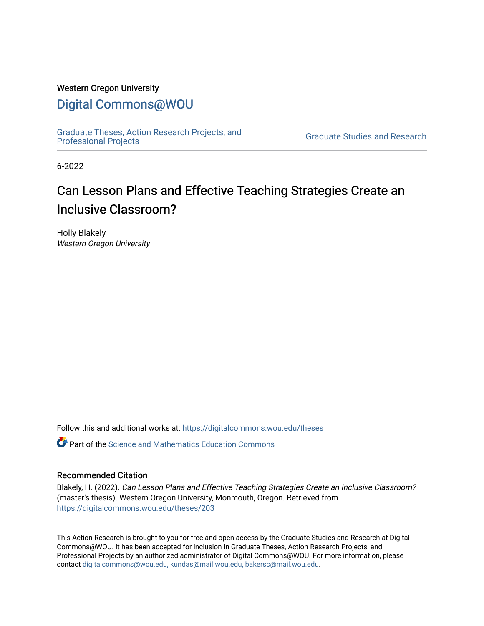## Western Oregon University

# [Digital Commons@WOU](https://digitalcommons.wou.edu/)

[Graduate Theses, Action Research Projects, and](https://digitalcommons.wou.edu/theses) 

**Graduate Studies and Research** 

6-2022

# Can Lesson Plans and Effective Teaching Strategies Create an Inclusive Classroom?

Holly Blakely Western Oregon University

Follow this and additional works at: [https://digitalcommons.wou.edu/theses](https://digitalcommons.wou.edu/theses?utm_source=digitalcommons.wou.edu%2Ftheses%2F203&utm_medium=PDF&utm_campaign=PDFCoverPages) 

 $\bullet$  Part of the Science and Mathematics Education Commons

## Recommended Citation

Blakely, H. (2022). Can Lesson Plans and Effective Teaching Strategies Create an Inclusive Classroom? (master's thesis). Western Oregon University, Monmouth, Oregon. Retrieved from [https://digitalcommons.wou.edu/theses/203](https://digitalcommons.wou.edu/theses/203?utm_source=digitalcommons.wou.edu%2Ftheses%2F203&utm_medium=PDF&utm_campaign=PDFCoverPages) 

This Action Research is brought to you for free and open access by the Graduate Studies and Research at Digital Commons@WOU. It has been accepted for inclusion in Graduate Theses, Action Research Projects, and Professional Projects by an authorized administrator of Digital Commons@WOU. For more information, please contact [digitalcommons@wou.edu, kundas@mail.wou.edu, bakersc@mail.wou.edu](mailto:digitalcommons@wou.edu,%20kundas@mail.wou.edu,%20bakersc@mail.wou.edu).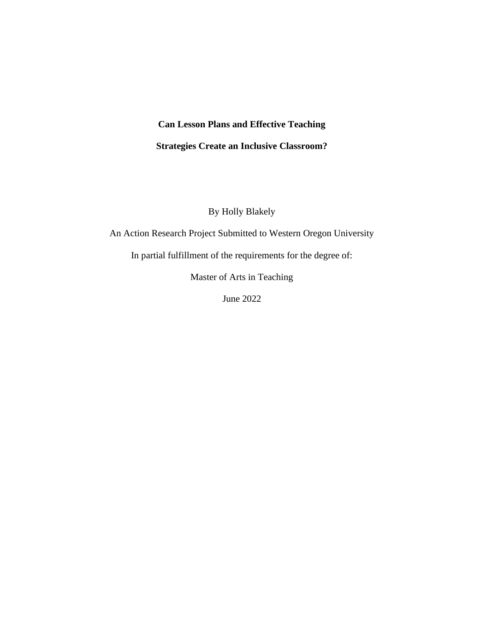# **Can Lesson Plans and Effective Teaching Strategies Create an Inclusive Classroom?**

By Holly Blakely

An Action Research Project Submitted to Western Oregon University

In partial fulfillment of the requirements for the degree of:

Master of Arts in Teaching

June 2022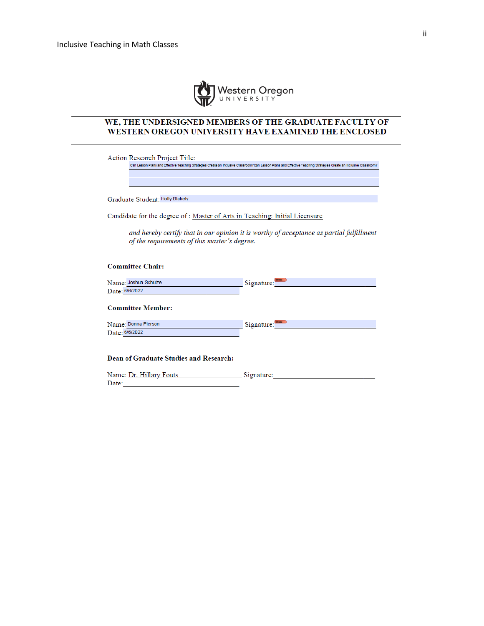

#### WE, THE UNDERSIGNED MEMBERS OF THE GRADUATE FACULTY OF WESTERN OREGON UNIVERSITY HAVE EXAMINED THE ENCLOSED

Action Research Project Title:

Can Lesson Plans and Effective Teaching Strategies Create an Inclusive Classroom?Can Lesson Plans and Effective Teaching Strategies Create an Inclusive Classroom?

Graduate Student: Holly Blakely

Candidate for the degree of : Master of Arts in Teaching: Initial Licensure

and hereby certify that in our opinion it is worthy of acceptance as partial fulfillment of the requirements of this master's degree.

#### **Committee Chair:**

| Name: Joshua Schulze | <b>MINKER</b><br>Signature: |
|----------------------|-----------------------------|
| Date: 6/6/2022       |                             |
|                      |                             |

#### **Committee Member:**

| Name: Donna Pierson | Signature: |
|---------------------|------------|
| Date: 6/6/2022      |            |

#### Dean of Graduate Studies and Research:

| Name: Dr. Hillary Fouts | Signature: |
|-------------------------|------------|
| Date:                   |            |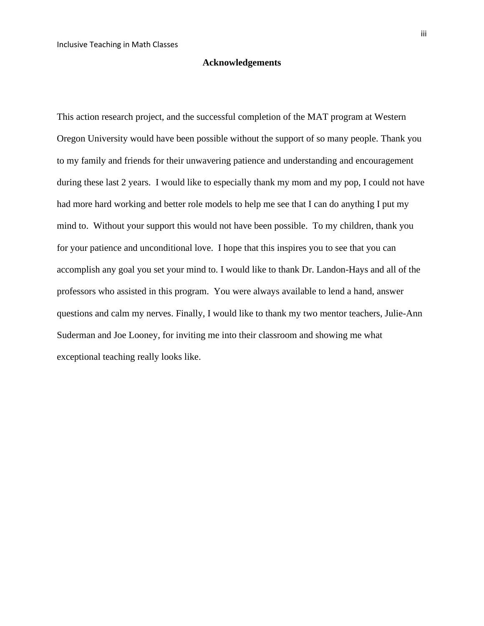#### **Acknowledgements**

This action research project, and the successful completion of the MAT program at Western Oregon University would have been possible without the support of so many people. Thank you to my family and friends for their unwavering patience and understanding and encouragement during these last 2 years. I would like to especially thank my mom and my pop, I could not have had more hard working and better role models to help me see that I can do anything I put my mind to. Without your support this would not have been possible. To my children, thank you for your patience and unconditional love. I hope that this inspires you to see that you can accomplish any goal you set your mind to. I would like to thank Dr. Landon-Hays and all of the professors who assisted in this program. You were always available to lend a hand, answer questions and calm my nerves. Finally, I would like to thank my two mentor teachers, Julie-Ann Suderman and Joe Looney, for inviting me into their classroom and showing me what exceptional teaching really looks like.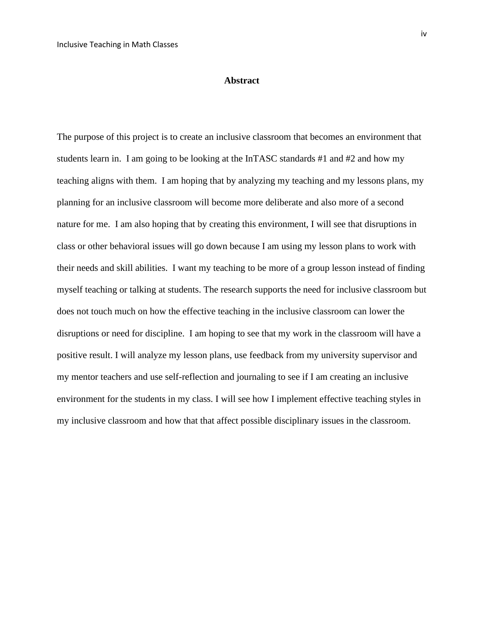#### **Abstract**

The purpose of this project is to create an inclusive classroom that becomes an environment that students learn in. I am going to be looking at the InTASC standards #1 and #2 and how my teaching aligns with them. I am hoping that by analyzing my teaching and my lessons plans, my planning for an inclusive classroom will become more deliberate and also more of a second nature for me. I am also hoping that by creating this environment, I will see that disruptions in class or other behavioral issues will go down because I am using my lesson plans to work with their needs and skill abilities. I want my teaching to be more of a group lesson instead of finding myself teaching or talking at students. The research supports the need for inclusive classroom but does not touch much on how the effective teaching in the inclusive classroom can lower the disruptions or need for discipline. I am hoping to see that my work in the classroom will have a positive result. I will analyze my lesson plans, use feedback from my university supervisor and my mentor teachers and use self-reflection and journaling to see if I am creating an inclusive environment for the students in my class. I will see how I implement effective teaching styles in my inclusive classroom and how that that affect possible disciplinary issues in the classroom.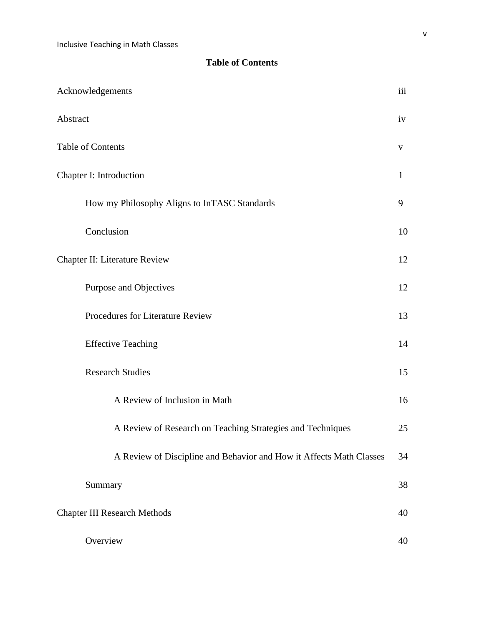# **Table of Contents**

| Acknowledgements                                                    | iii          |
|---------------------------------------------------------------------|--------------|
| Abstract                                                            | iv           |
| Table of Contents                                                   | V            |
| Chapter I: Introduction                                             | $\mathbf{1}$ |
| How my Philosophy Aligns to InTASC Standards                        | 9            |
| Conclusion                                                          | 10           |
| Chapter II: Literature Review                                       | 12           |
| Purpose and Objectives                                              | 12           |
| Procedures for Literature Review                                    | 13           |
| <b>Effective Teaching</b>                                           | 14           |
| <b>Research Studies</b>                                             | 15           |
| A Review of Inclusion in Math                                       | 16           |
| A Review of Research on Teaching Strategies and Techniques          | 25           |
| A Review of Discipline and Behavior and How it Affects Math Classes | 34           |
| Summary                                                             | 38           |
| <b>Chapter III Research Methods</b>                                 | 40           |
| Overview                                                            | 40           |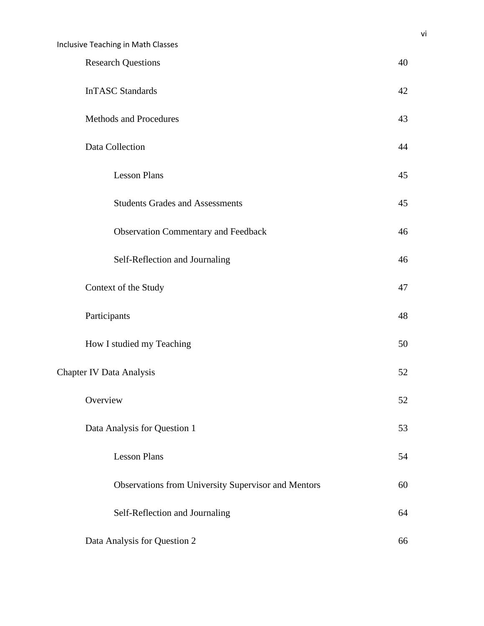| <b>Inclusive Teaching in Math Classes</b>           |    |
|-----------------------------------------------------|----|
| <b>Research Questions</b>                           | 40 |
| <b>InTASC Standards</b>                             | 42 |
| <b>Methods and Procedures</b>                       | 43 |
| Data Collection                                     | 44 |
| <b>Lesson Plans</b>                                 | 45 |
| <b>Students Grades and Assessments</b>              | 45 |
| <b>Observation Commentary and Feedback</b>          | 46 |
| Self-Reflection and Journaling                      | 46 |
| Context of the Study                                | 47 |
| Participants                                        | 48 |
| How I studied my Teaching                           | 50 |
| <b>Chapter IV Data Analysis</b>                     | 52 |
| Overview                                            | 52 |
| Data Analysis for Question 1                        | 53 |
| <b>Lesson Plans</b>                                 | 54 |
| Observations from University Supervisor and Mentors | 60 |
| Self-Reflection and Journaling                      | 64 |
| Data Analysis for Question 2                        | 66 |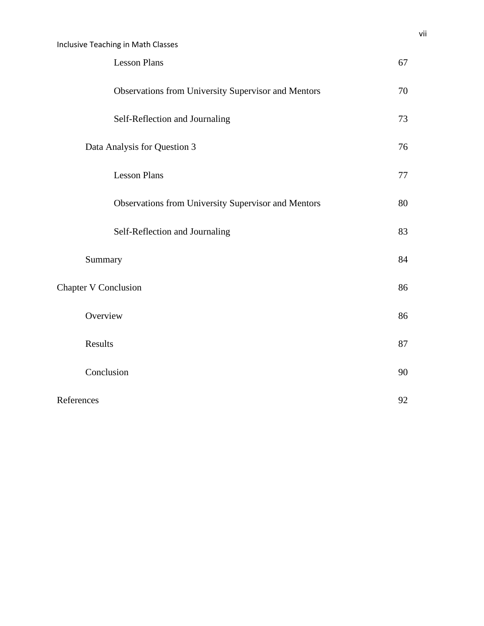| <b>Lesson Plans</b>                                 | 67      |
|-----------------------------------------------------|---------|
| Observations from University Supervisor and Mentors | 70      |
| Self-Reflection and Journaling                      | 73      |
| Data Analysis for Question 3                        | 76      |
| <b>Lesson Plans</b>                                 | $77 \,$ |
| Observations from University Supervisor and Mentors | 80      |
| Self-Reflection and Journaling                      | 83      |
| Summary                                             | 84      |
| <b>Chapter V Conclusion</b>                         | 86      |
| Overview                                            | 86      |
| Results                                             | 87      |
| Conclusion                                          | 90      |
| References                                          | 92      |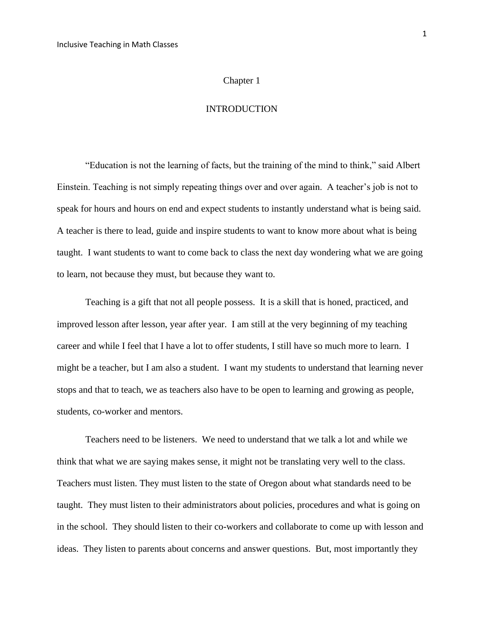#### Chapter 1

#### INTRODUCTION

"Education is not the learning of facts, but the training of the mind to think," said Albert Einstein. Teaching is not simply repeating things over and over again. A teacher's job is not to speak for hours and hours on end and expect students to instantly understand what is being said. A teacher is there to lead, guide and inspire students to want to know more about what is being taught. I want students to want to come back to class the next day wondering what we are going to learn, not because they must, but because they want to.

Teaching is a gift that not all people possess. It is a skill that is honed, practiced, and improved lesson after lesson, year after year. I am still at the very beginning of my teaching career and while I feel that I have a lot to offer students, I still have so much more to learn. I might be a teacher, but I am also a student. I want my students to understand that learning never stops and that to teach, we as teachers also have to be open to learning and growing as people, students, co-worker and mentors.

Teachers need to be listeners. We need to understand that we talk a lot and while we think that what we are saying makes sense, it might not be translating very well to the class. Teachers must listen. They must listen to the state of Oregon about what standards need to be taught. They must listen to their administrators about policies, procedures and what is going on in the school. They should listen to their co-workers and collaborate to come up with lesson and ideas. They listen to parents about concerns and answer questions. But, most importantly they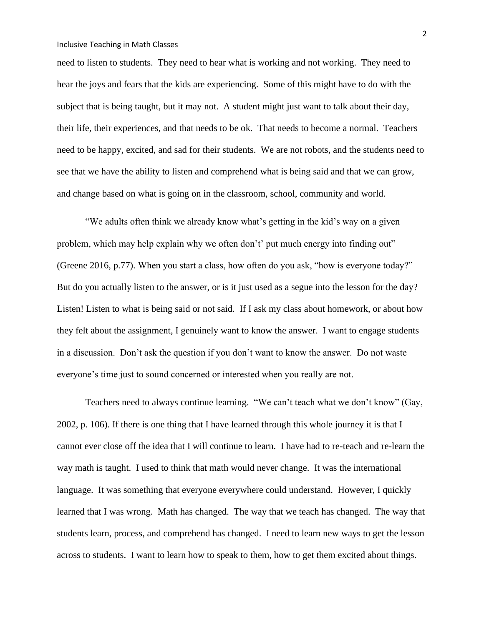need to listen to students. They need to hear what is working and not working. They need to hear the joys and fears that the kids are experiencing. Some of this might have to do with the subject that is being taught, but it may not. A student might just want to talk about their day, their life, their experiences, and that needs to be ok. That needs to become a normal. Teachers need to be happy, excited, and sad for their students. We are not robots, and the students need to see that we have the ability to listen and comprehend what is being said and that we can grow, and change based on what is going on in the classroom, school, community and world.

"We adults often think we already know what's getting in the kid's way on a given problem, which may help explain why we often don't' put much energy into finding out" (Greene 2016, p.77). When you start a class, how often do you ask, "how is everyone today?" But do you actually listen to the answer, or is it just used as a segue into the lesson for the day? Listen! Listen to what is being said or not said. If I ask my class about homework, or about how they felt about the assignment, I genuinely want to know the answer. I want to engage students in a discussion. Don't ask the question if you don't want to know the answer. Do not waste everyone's time just to sound concerned or interested when you really are not.

Teachers need to always continue learning. "We can't teach what we don't know" (Gay, 2002, p. 106). If there is one thing that I have learned through this whole journey it is that I cannot ever close off the idea that I will continue to learn. I have had to re-teach and re-learn the way math is taught. I used to think that math would never change. It was the international language. It was something that everyone everywhere could understand. However, I quickly learned that I was wrong. Math has changed. The way that we teach has changed. The way that students learn, process, and comprehend has changed. I need to learn new ways to get the lesson across to students. I want to learn how to speak to them, how to get them excited about things.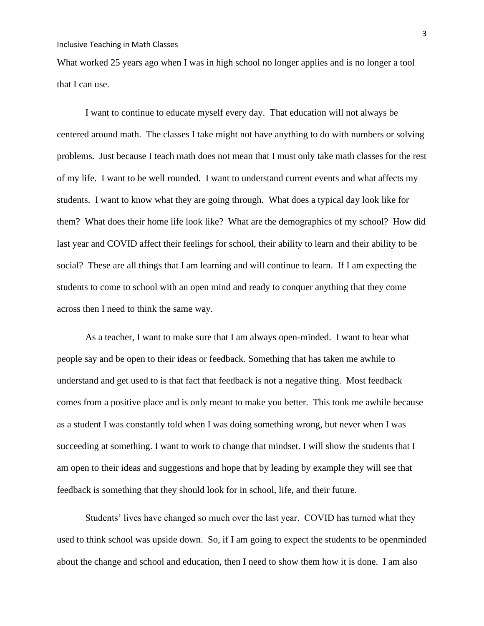What worked 25 years ago when I was in high school no longer applies and is no longer a tool that I can use.

I want to continue to educate myself every day. That education will not always be centered around math. The classes I take might not have anything to do with numbers or solving problems. Just because I teach math does not mean that I must only take math classes for the rest of my life. I want to be well rounded. I want to understand current events and what affects my students. I want to know what they are going through. What does a typical day look like for them? What does their home life look like? What are the demographics of my school? How did last year and COVID affect their feelings for school, their ability to learn and their ability to be social? These are all things that I am learning and will continue to learn. If I am expecting the students to come to school with an open mind and ready to conquer anything that they come across then I need to think the same way.

As a teacher, I want to make sure that I am always open-minded. I want to hear what people say and be open to their ideas or feedback. Something that has taken me awhile to understand and get used to is that fact that feedback is not a negative thing. Most feedback comes from a positive place and is only meant to make you better. This took me awhile because as a student I was constantly told when I was doing something wrong, but never when I was succeeding at something. I want to work to change that mindset. I will show the students that I am open to their ideas and suggestions and hope that by leading by example they will see that feedback is something that they should look for in school, life, and their future.

Students' lives have changed so much over the last year. COVID has turned what they used to think school was upside down. So, if I am going to expect the students to be openminded about the change and school and education, then I need to show them how it is done. I am also

3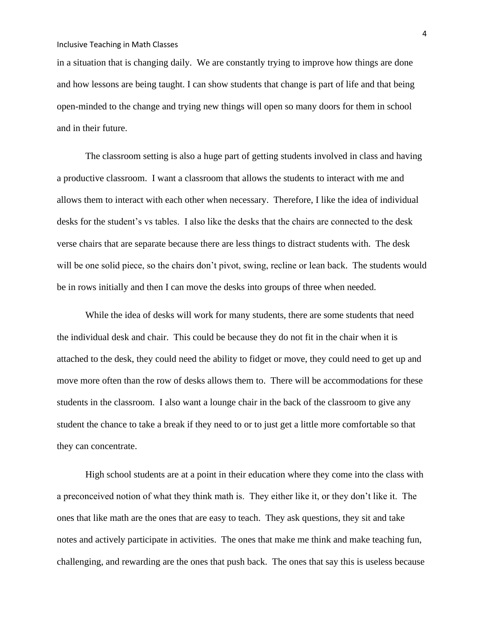in a situation that is changing daily. We are constantly trying to improve how things are done and how lessons are being taught. I can show students that change is part of life and that being open-minded to the change and trying new things will open so many doors for them in school and in their future.

The classroom setting is also a huge part of getting students involved in class and having a productive classroom. I want a classroom that allows the students to interact with me and allows them to interact with each other when necessary. Therefore, I like the idea of individual desks for the student's vs tables. I also like the desks that the chairs are connected to the desk verse chairs that are separate because there are less things to distract students with. The desk will be one solid piece, so the chairs don't pivot, swing, recline or lean back. The students would be in rows initially and then I can move the desks into groups of three when needed.

While the idea of desks will work for many students, there are some students that need the individual desk and chair. This could be because they do not fit in the chair when it is attached to the desk, they could need the ability to fidget or move, they could need to get up and move more often than the row of desks allows them to. There will be accommodations for these students in the classroom. I also want a lounge chair in the back of the classroom to give any student the chance to take a break if they need to or to just get a little more comfortable so that they can concentrate.

High school students are at a point in their education where they come into the class with a preconceived notion of what they think math is. They either like it, or they don't like it. The ones that like math are the ones that are easy to teach. They ask questions, they sit and take notes and actively participate in activities. The ones that make me think and make teaching fun, challenging, and rewarding are the ones that push back. The ones that say this is useless because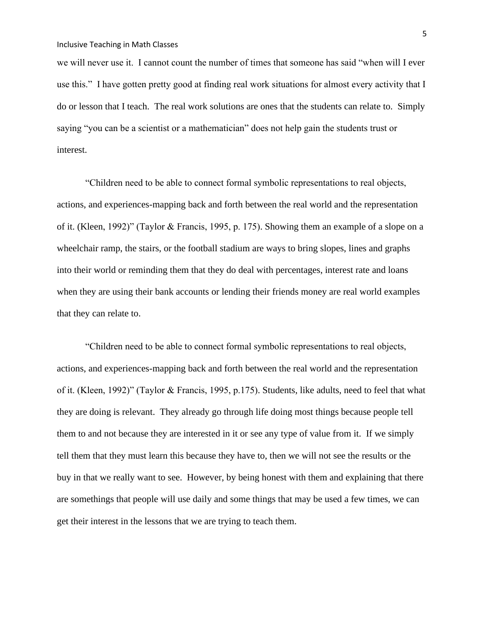we will never use it. I cannot count the number of times that someone has said "when will I ever use this." I have gotten pretty good at finding real work situations for almost every activity that I do or lesson that I teach. The real work solutions are ones that the students can relate to. Simply saying "you can be a scientist or a mathematician" does not help gain the students trust or interest.

"Children need to be able to connect formal symbolic representations to real objects, actions, and experiences-mapping back and forth between the real world and the representation of it. (Kleen, 1992)" (Taylor & Francis, 1995, p. 175). Showing them an example of a slope on a wheelchair ramp, the stairs, or the football stadium are ways to bring slopes, lines and graphs into their world or reminding them that they do deal with percentages, interest rate and loans when they are using their bank accounts or lending their friends money are real world examples that they can relate to.

"Children need to be able to connect formal symbolic representations to real objects, actions, and experiences-mapping back and forth between the real world and the representation of it. (Kleen, 1992)" (Taylor & Francis, 1995, p.175). Students, like adults, need to feel that what they are doing is relevant. They already go through life doing most things because people tell them to and not because they are interested in it or see any type of value from it. If we simply tell them that they must learn this because they have to, then we will not see the results or the buy in that we really want to see. However, by being honest with them and explaining that there are somethings that people will use daily and some things that may be used a few times, we can get their interest in the lessons that we are trying to teach them.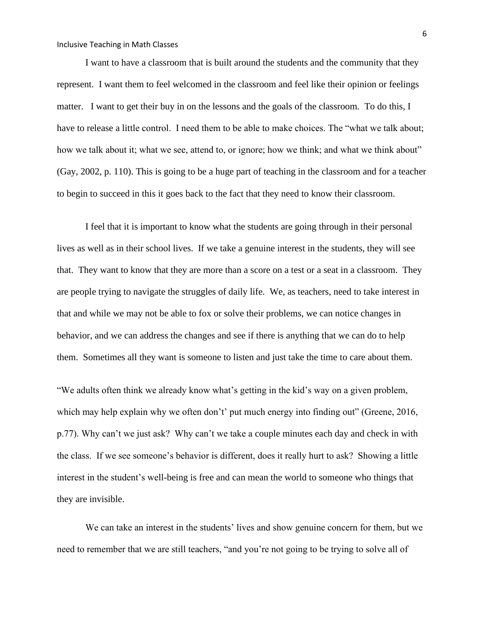I want to have a classroom that is built around the students and the community that they represent. I want them to feel welcomed in the classroom and feel like their opinion or feelings matter. I want to get their buy in on the lessons and the goals of the classroom. To do this, I have to release a little control. I need them to be able to make choices. The "what we talk about; how we talk about it; what we see, attend to, or ignore; how we think; and what we think about" (Gay, 2002, p. 110). This is going to be a huge part of teaching in the classroom and for a teacher to begin to succeed in this it goes back to the fact that they need to know their classroom.

I feel that it is important to know what the students are going through in their personal lives as well as in their school lives. If we take a genuine interest in the students, they will see that. They want to know that they are more than a score on a test or a seat in a classroom. They are people trying to navigate the struggles of daily life. We, as teachers, need to take interest in that and while we may not be able to fox or solve their problems, we can notice changes in behavior, and we can address the changes and see if there is anything that we can do to help them. Sometimes all they want is someone to listen and just take the time to care about them.

"We adults often think we already know what's getting in the kid's way on a given problem, which may help explain why we often don't' put much energy into finding out" (Greene, 2016, p.77). Why can't we just ask? Why can't we take a couple minutes each day and check in with the class. If we see someone's behavior is different, does it really hurt to ask? Showing a little interest in the student's well-being is free and can mean the world to someone who things that they are invisible.

We can take an interest in the students' lives and show genuine concern for them, but we need to remember that we are still teachers, "and you're not going to be trying to solve all of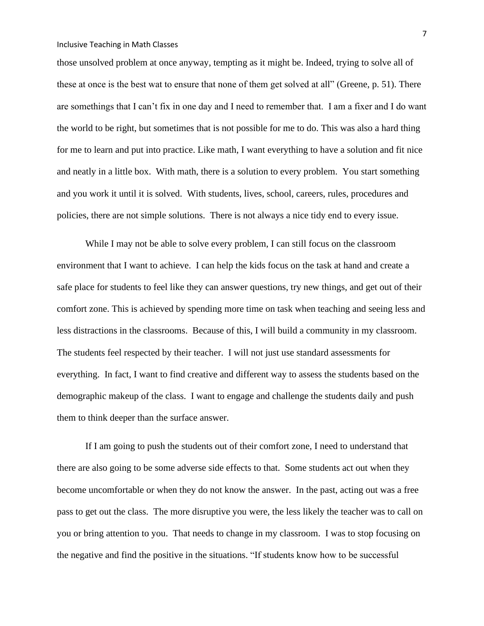those unsolved problem at once anyway, tempting as it might be. Indeed, trying to solve all of these at once is the best wat to ensure that none of them get solved at all" (Greene, p. 51). There are somethings that I can't fix in one day and I need to remember that. I am a fixer and I do want the world to be right, but sometimes that is not possible for me to do. This was also a hard thing for me to learn and put into practice. Like math, I want everything to have a solution and fit nice and neatly in a little box. With math, there is a solution to every problem. You start something and you work it until it is solved. With students, lives, school, careers, rules, procedures and policies, there are not simple solutions. There is not always a nice tidy end to every issue.

While I may not be able to solve every problem, I can still focus on the classroom environment that I want to achieve. I can help the kids focus on the task at hand and create a safe place for students to feel like they can answer questions, try new things, and get out of their comfort zone. This is achieved by spending more time on task when teaching and seeing less and less distractions in the classrooms. Because of this, I will build a community in my classroom. The students feel respected by their teacher. I will not just use standard assessments for everything. In fact, I want to find creative and different way to assess the students based on the demographic makeup of the class. I want to engage and challenge the students daily and push them to think deeper than the surface answer.

If I am going to push the students out of their comfort zone, I need to understand that there are also going to be some adverse side effects to that. Some students act out when they become uncomfortable or when they do not know the answer. In the past, acting out was a free pass to get out the class. The more disruptive you were, the less likely the teacher was to call on you or bring attention to you. That needs to change in my classroom. I was to stop focusing on the negative and find the positive in the situations. "If students know how to be successful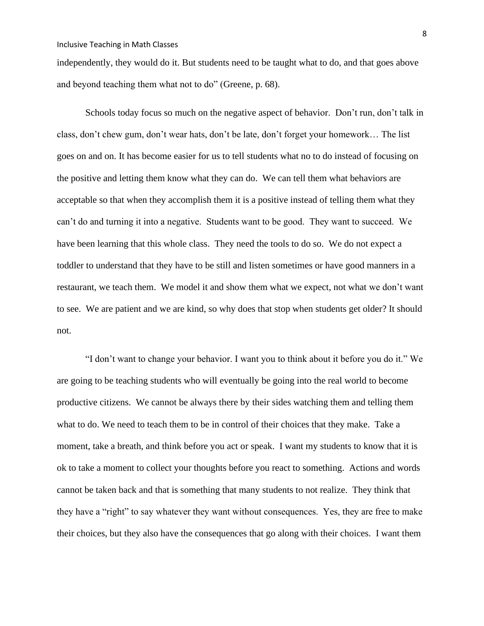independently, they would do it. But students need to be taught what to do, and that goes above and beyond teaching them what not to do" (Greene, p. 68).

Schools today focus so much on the negative aspect of behavior. Don't run, don't talk in class, don't chew gum, don't wear hats, don't be late, don't forget your homework… The list goes on and on. It has become easier for us to tell students what no to do instead of focusing on the positive and letting them know what they can do. We can tell them what behaviors are acceptable so that when they accomplish them it is a positive instead of telling them what they can't do and turning it into a negative. Students want to be good. They want to succeed. We have been learning that this whole class. They need the tools to do so. We do not expect a toddler to understand that they have to be still and listen sometimes or have good manners in a restaurant, we teach them. We model it and show them what we expect, not what we don't want to see. We are patient and we are kind, so why does that stop when students get older? It should not.

"I don't want to change your behavior. I want you to think about it before you do it." We are going to be teaching students who will eventually be going into the real world to become productive citizens. We cannot be always there by their sides watching them and telling them what to do. We need to teach them to be in control of their choices that they make. Take a moment, take a breath, and think before you act or speak. I want my students to know that it is ok to take a moment to collect your thoughts before you react to something. Actions and words cannot be taken back and that is something that many students to not realize. They think that they have a "right" to say whatever they want without consequences. Yes, they are free to make their choices, but they also have the consequences that go along with their choices. I want them

8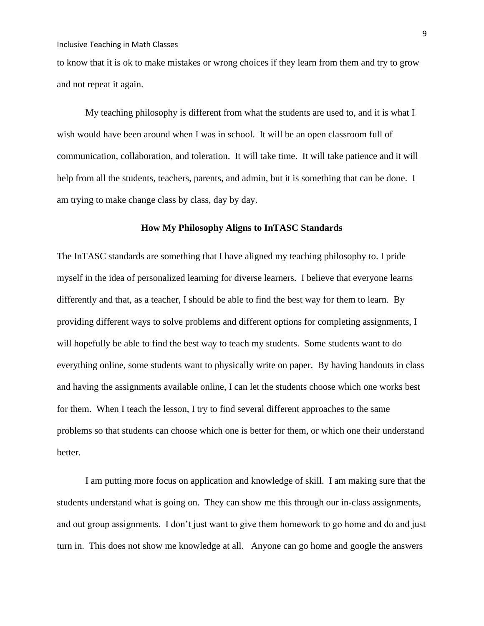to know that it is ok to make mistakes or wrong choices if they learn from them and try to grow and not repeat it again.

My teaching philosophy is different from what the students are used to, and it is what I wish would have been around when I was in school. It will be an open classroom full of communication, collaboration, and toleration. It will take time. It will take patience and it will help from all the students, teachers, parents, and admin, but it is something that can be done. I am trying to make change class by class, day by day.

#### **How My Philosophy Aligns to InTASC Standards**

The InTASC standards are something that I have aligned my teaching philosophy to. I pride myself in the idea of personalized learning for diverse learners. I believe that everyone learns differently and that, as a teacher, I should be able to find the best way for them to learn. By providing different ways to solve problems and different options for completing assignments, I will hopefully be able to find the best way to teach my students. Some students want to do everything online, some students want to physically write on paper. By having handouts in class and having the assignments available online, I can let the students choose which one works best for them. When I teach the lesson, I try to find several different approaches to the same problems so that students can choose which one is better for them, or which one their understand better.

I am putting more focus on application and knowledge of skill. I am making sure that the students understand what is going on. They can show me this through our in-class assignments, and out group assignments. I don't just want to give them homework to go home and do and just turn in. This does not show me knowledge at all. Anyone can go home and google the answers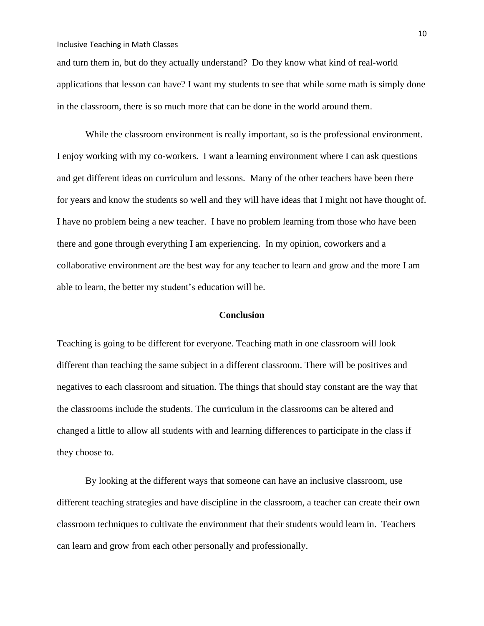and turn them in, but do they actually understand? Do they know what kind of real-world applications that lesson can have? I want my students to see that while some math is simply done in the classroom, there is so much more that can be done in the world around them.

While the classroom environment is really important, so is the professional environment. I enjoy working with my co-workers. I want a learning environment where I can ask questions and get different ideas on curriculum and lessons. Many of the other teachers have been there for years and know the students so well and they will have ideas that I might not have thought of. I have no problem being a new teacher. I have no problem learning from those who have been there and gone through everything I am experiencing. In my opinion, coworkers and a collaborative environment are the best way for any teacher to learn and grow and the more I am able to learn, the better my student's education will be.

#### **Conclusion**

Teaching is going to be different for everyone. Teaching math in one classroom will look different than teaching the same subject in a different classroom. There will be positives and negatives to each classroom and situation. The things that should stay constant are the way that the classrooms include the students. The curriculum in the classrooms can be altered and changed a little to allow all students with and learning differences to participate in the class if they choose to.

By looking at the different ways that someone can have an inclusive classroom, use different teaching strategies and have discipline in the classroom, a teacher can create their own classroom techniques to cultivate the environment that their students would learn in. Teachers can learn and grow from each other personally and professionally.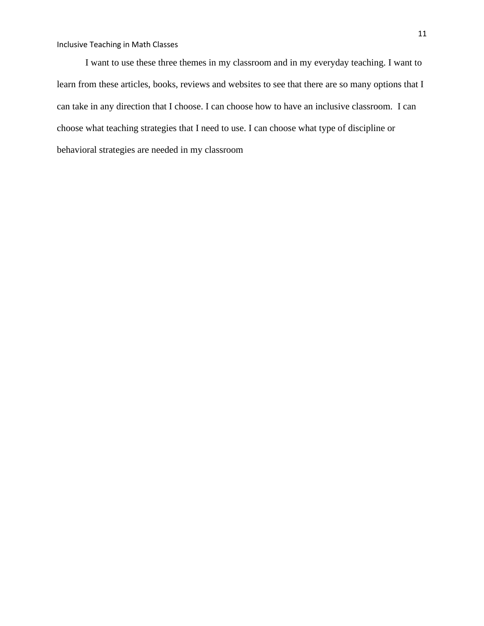I want to use these three themes in my classroom and in my everyday teaching. I want to learn from these articles, books, reviews and websites to see that there are so many options that I can take in any direction that I choose. I can choose how to have an inclusive classroom. I can choose what teaching strategies that I need to use. I can choose what type of discipline or behavioral strategies are needed in my classroom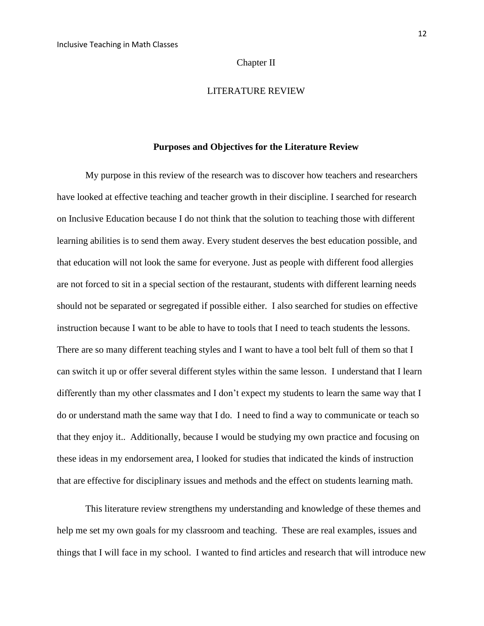#### Chapter II

#### LITERATURE REVIEW

#### **Purposes and Objectives for the Literature Review**

My purpose in this review of the research was to discover how teachers and researchers have looked at effective teaching and teacher growth in their discipline. I searched for research on Inclusive Education because I do not think that the solution to teaching those with different learning abilities is to send them away. Every student deserves the best education possible, and that education will not look the same for everyone. Just as people with different food allergies are not forced to sit in a special section of the restaurant, students with different learning needs should not be separated or segregated if possible either. I also searched for studies on effective instruction because I want to be able to have to tools that I need to teach students the lessons. There are so many different teaching styles and I want to have a tool belt full of them so that I can switch it up or offer several different styles within the same lesson. I understand that I learn differently than my other classmates and I don't expect my students to learn the same way that I do or understand math the same way that I do. I need to find a way to communicate or teach so that they enjoy it.. Additionally, because I would be studying my own practice and focusing on these ideas in my endorsement area, I looked for studies that indicated the kinds of instruction that are effective for disciplinary issues and methods and the effect on students learning math.

This literature review strengthens my understanding and knowledge of these themes and help me set my own goals for my classroom and teaching. These are real examples, issues and things that I will face in my school. I wanted to find articles and research that will introduce new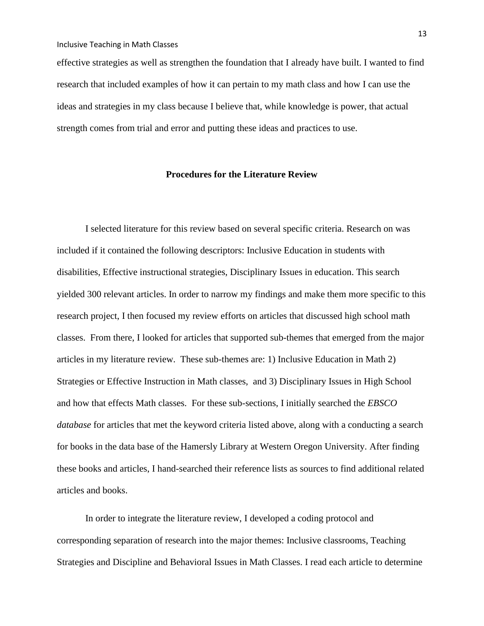effective strategies as well as strengthen the foundation that I already have built. I wanted to find research that included examples of how it can pertain to my math class and how I can use the ideas and strategies in my class because I believe that, while knowledge is power, that actual strength comes from trial and error and putting these ideas and practices to use.

## **Procedures for the Literature Review**

I selected literature for this review based on several specific criteria. Research on was included if it contained the following descriptors: Inclusive Education in students with disabilities, Effective instructional strategies, Disciplinary Issues in education. This search yielded 300 relevant articles. In order to narrow my findings and make them more specific to this research project, I then focused my review efforts on articles that discussed high school math classes. From there, I looked for articles that supported sub-themes that emerged from the major articles in my literature review. These sub-themes are: 1) Inclusive Education in Math 2) Strategies or Effective Instruction in Math classes, and 3) Disciplinary Issues in High School and how that effects Math classes. For these sub-sections, I initially searched the *EBSCO database* for articles that met the keyword criteria listed above, along with a conducting a search for books in the data base of the Hamersly Library at Western Oregon University. After finding these books and articles, I hand-searched their reference lists as sources to find additional related articles and books.

In order to integrate the literature review, I developed a coding protocol and corresponding separation of research into the major themes: Inclusive classrooms, Teaching Strategies and Discipline and Behavioral Issues in Math Classes. I read each article to determine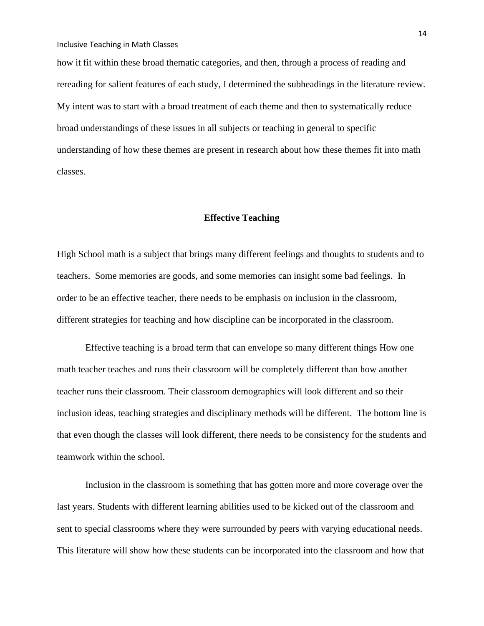how it fit within these broad thematic categories, and then, through a process of reading and rereading for salient features of each study, I determined the subheadings in the literature review. My intent was to start with a broad treatment of each theme and then to systematically reduce broad understandings of these issues in all subjects or teaching in general to specific understanding of how these themes are present in research about how these themes fit into math classes.

#### **Effective Teaching**

High School math is a subject that brings many different feelings and thoughts to students and to teachers. Some memories are goods, and some memories can insight some bad feelings. In order to be an effective teacher, there needs to be emphasis on inclusion in the classroom, different strategies for teaching and how discipline can be incorporated in the classroom.

Effective teaching is a broad term that can envelope so many different things How one math teacher teaches and runs their classroom will be completely different than how another teacher runs their classroom. Their classroom demographics will look different and so their inclusion ideas, teaching strategies and disciplinary methods will be different. The bottom line is that even though the classes will look different, there needs to be consistency for the students and teamwork within the school.

Inclusion in the classroom is something that has gotten more and more coverage over the last years. Students with different learning abilities used to be kicked out of the classroom and sent to special classrooms where they were surrounded by peers with varying educational needs. This literature will show how these students can be incorporated into the classroom and how that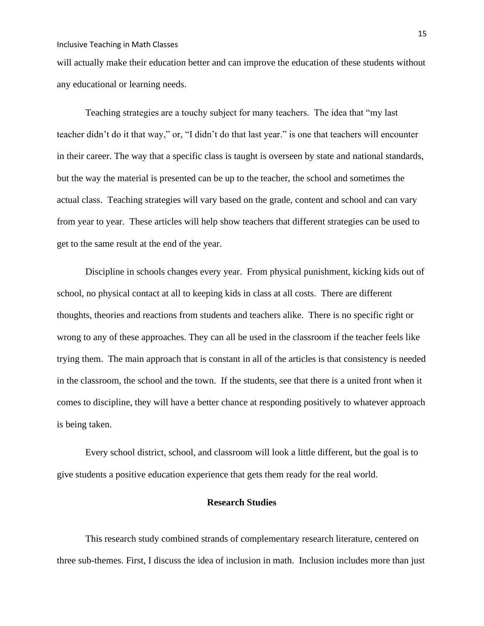will actually make their education better and can improve the education of these students without any educational or learning needs.

Teaching strategies are a touchy subject for many teachers. The idea that "my last teacher didn't do it that way," or, "I didn't do that last year." is one that teachers will encounter in their career. The way that a specific class is taught is overseen by state and national standards, but the way the material is presented can be up to the teacher, the school and sometimes the actual class. Teaching strategies will vary based on the grade, content and school and can vary from year to year. These articles will help show teachers that different strategies can be used to get to the same result at the end of the year.

Discipline in schools changes every year. From physical punishment, kicking kids out of school, no physical contact at all to keeping kids in class at all costs. There are different thoughts, theories and reactions from students and teachers alike. There is no specific right or wrong to any of these approaches. They can all be used in the classroom if the teacher feels like trying them. The main approach that is constant in all of the articles is that consistency is needed in the classroom, the school and the town. If the students, see that there is a united front when it comes to discipline, they will have a better chance at responding positively to whatever approach is being taken.

Every school district, school, and classroom will look a little different, but the goal is to give students a positive education experience that gets them ready for the real world.

### **Research Studies**

This research study combined strands of complementary research literature, centered on three sub-themes. First, I discuss the idea of inclusion in math. Inclusion includes more than just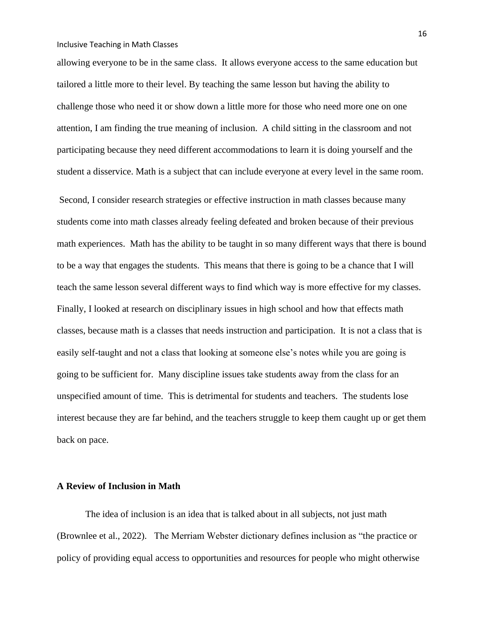allowing everyone to be in the same class. It allows everyone access to the same education but tailored a little more to their level. By teaching the same lesson but having the ability to challenge those who need it or show down a little more for those who need more one on one attention, I am finding the true meaning of inclusion. A child sitting in the classroom and not participating because they need different accommodations to learn it is doing yourself and the student a disservice. Math is a subject that can include everyone at every level in the same room.

Second, I consider research strategies or effective instruction in math classes because many students come into math classes already feeling defeated and broken because of their previous math experiences. Math has the ability to be taught in so many different ways that there is bound to be a way that engages the students. This means that there is going to be a chance that I will teach the same lesson several different ways to find which way is more effective for my classes. Finally, I looked at research on disciplinary issues in high school and how that effects math classes, because math is a classes that needs instruction and participation. It is not a class that is easily self-taught and not a class that looking at someone else's notes while you are going is going to be sufficient for. Many discipline issues take students away from the class for an unspecified amount of time. This is detrimental for students and teachers. The students lose interest because they are far behind, and the teachers struggle to keep them caught up or get them back on pace.

#### **A Review of Inclusion in Math**

The idea of inclusion is an idea that is talked about in all subjects, not just math (Brownlee et al., 2022). The Merriam Webster dictionary defines inclusion as "the practice or policy of providing equal access to opportunities and resources for people who might otherwise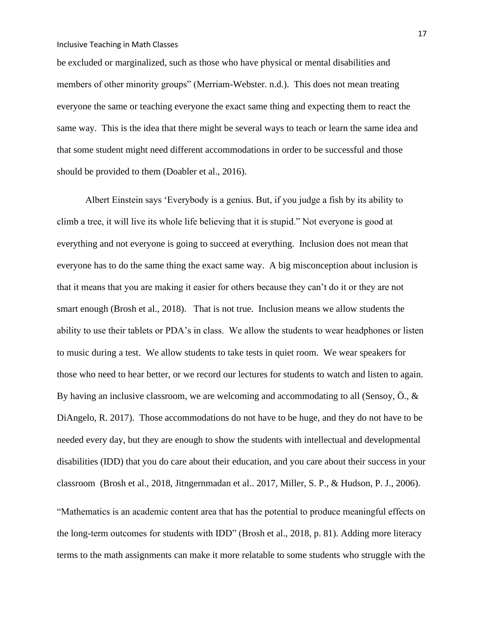be excluded or marginalized, such as those who have physical or mental disabilities and members of other minority groups" (Merriam-Webster. n.d.). This does not mean treating everyone the same or teaching everyone the exact same thing and expecting them to react the same way. This is the idea that there might be several ways to teach or learn the same idea and that some student might need different accommodations in order to be successful and those should be provided to them (Doabler et al., 2016).

Albert Einstein says 'Everybody is a genius. But, if you judge a fish by its ability to climb a tree, it will live its whole life believing that it is stupid." Not everyone is good at everything and not everyone is going to succeed at everything. Inclusion does not mean that everyone has to do the same thing the exact same way. A big misconception about inclusion is that it means that you are making it easier for others because they can't do it or they are not smart enough (Brosh et al., 2018). That is not true. Inclusion means we allow students the ability to use their tablets or PDA's in class. We allow the students to wear headphones or listen to music during a test. We allow students to take tests in quiet room. We wear speakers for those who need to hear better, or we record our lectures for students to watch and listen to again. By having an inclusive classroom, we are welcoming and accommodating to all (Sensoy,  $\ddot{\text{o}}$ .,  $\&$ DiAngelo, R. 2017). Those accommodations do not have to be huge, and they do not have to be needed every day, but they are enough to show the students with intellectual and developmental disabilities (IDD) that you do care about their education, and you care about their success in your classroom (Brosh et al., 2018, Jitngernmadan et al.. 2017, Miller, S. P., & Hudson, P. J., 2006).

"Mathematics is an academic content area that has the potential to produce meaningful effects on the long-term outcomes for students with IDD" (Brosh et al., 2018, p. 81). Adding more literacy terms to the math assignments can make it more relatable to some students who struggle with the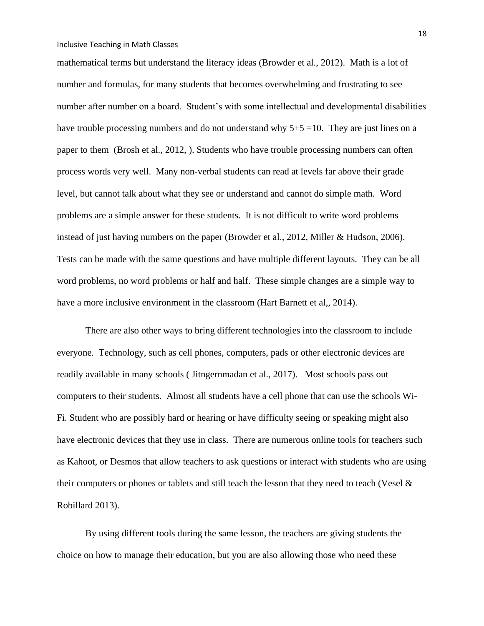mathematical terms but understand the literacy ideas (Browder et al., 2012). Math is a lot of number and formulas, for many students that becomes overwhelming and frustrating to see number after number on a board. Student's with some intellectual and developmental disabilities have trouble processing numbers and do not understand why  $5+5=10$ . They are just lines on a paper to them (Brosh et al., 2012, ). Students who have trouble processing numbers can often process words very well. Many non-verbal students can read at levels far above their grade level, but cannot talk about what they see or understand and cannot do simple math. Word problems are a simple answer for these students. It is not difficult to write word problems instead of just having numbers on the paper (Browder et al., 2012, Miller & Hudson, 2006). Tests can be made with the same questions and have multiple different layouts. They can be all word problems, no word problems or half and half. These simple changes are a simple way to have a more inclusive environment in the classroom (Hart Barnett et al., 2014).

There are also other ways to bring different technologies into the classroom to include everyone. Technology, such as cell phones, computers, pads or other electronic devices are readily available in many schools ( Jitngernmadan et al., 2017). Most schools pass out computers to their students. Almost all students have a cell phone that can use the schools Wi-Fi. Student who are possibly hard or hearing or have difficulty seeing or speaking might also have electronic devices that they use in class. There are numerous online tools for teachers such as Kahoot, or Desmos that allow teachers to ask questions or interact with students who are using their computers or phones or tablets and still teach the lesson that they need to teach (Vesel  $\&$ Robillard 2013).

By using different tools during the same lesson, the teachers are giving students the choice on how to manage their education, but you are also allowing those who need these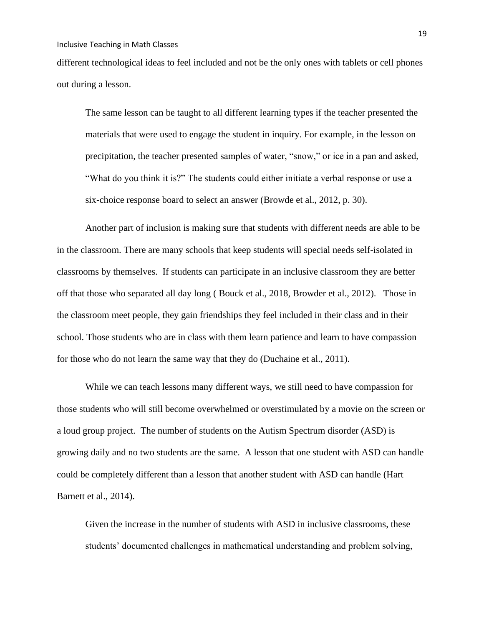different technological ideas to feel included and not be the only ones with tablets or cell phones out during a lesson.

The same lesson can be taught to all different learning types if the teacher presented the materials that were used to engage the student in inquiry. For example, in the lesson on precipitation, the teacher presented samples of water, "snow," or ice in a pan and asked, "What do you think it is?" The students could either initiate a verbal response or use a six-choice response board to select an answer (Browde et al., 2012, p. 30).

Another part of inclusion is making sure that students with different needs are able to be in the classroom. There are many schools that keep students will special needs self-isolated in classrooms by themselves. If students can participate in an inclusive classroom they are better off that those who separated all day long ( Bouck et al., 2018, Browder et al., 2012). Those in the classroom meet people, they gain friendships they feel included in their class and in their school. Those students who are in class with them learn patience and learn to have compassion for those who do not learn the same way that they do (Duchaine et al., 2011).

While we can teach lessons many different ways, we still need to have compassion for those students who will still become overwhelmed or overstimulated by a movie on the screen or a loud group project. The number of students on the Autism Spectrum disorder (ASD) is growing daily and no two students are the same. A lesson that one student with ASD can handle could be completely different than a lesson that another student with ASD can handle (Hart Barnett et al., 2014).

Given the increase in the number of students with ASD in inclusive classrooms, these students' documented challenges in mathematical understanding and problem solving,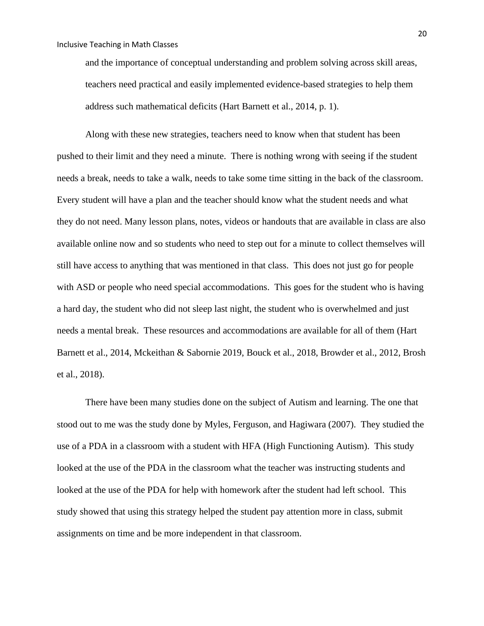and the importance of conceptual understanding and problem solving across skill areas, teachers need practical and easily implemented evidence-based strategies to help them address such mathematical deficits (Hart Barnett et al., 2014, p. 1).

Along with these new strategies, teachers need to know when that student has been pushed to their limit and they need a minute. There is nothing wrong with seeing if the student needs a break, needs to take a walk, needs to take some time sitting in the back of the classroom. Every student will have a plan and the teacher should know what the student needs and what they do not need. Many lesson plans, notes, videos or handouts that are available in class are also available online now and so students who need to step out for a minute to collect themselves will still have access to anything that was mentioned in that class. This does not just go for people with ASD or people who need special accommodations. This goes for the student who is having a hard day, the student who did not sleep last night, the student who is overwhelmed and just needs a mental break. These resources and accommodations are available for all of them (Hart Barnett et al., 2014, Mckeithan & Sabornie 2019, Bouck et al., 2018, Browder et al., 2012, Brosh et al., 2018).

There have been many studies done on the subject of Autism and learning. The one that stood out to me was the study done by Myles, Ferguson, and Hagiwara (2007). They studied the use of a PDA in a classroom with a student with HFA (High Functioning Autism). This study looked at the use of the PDA in the classroom what the teacher was instructing students and looked at the use of the PDA for help with homework after the student had left school. This study showed that using this strategy helped the student pay attention more in class, submit assignments on time and be more independent in that classroom.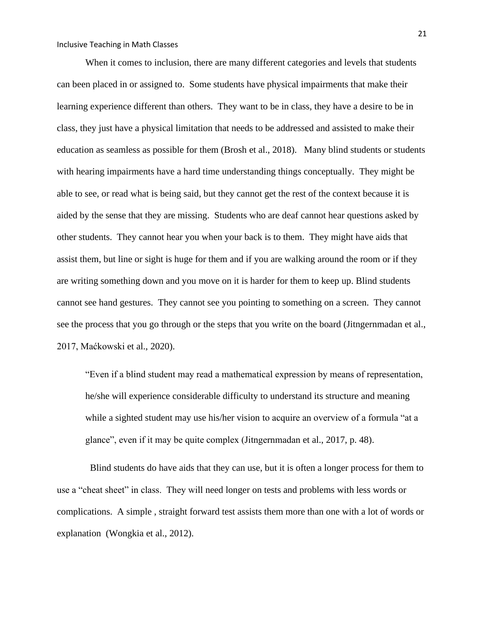When it comes to inclusion, there are many different categories and levels that students can been placed in or assigned to. Some students have physical impairments that make their learning experience different than others. They want to be in class, they have a desire to be in class, they just have a physical limitation that needs to be addressed and assisted to make their education as seamless as possible for them (Brosh et al., 2018). Many blind students or students with hearing impairments have a hard time understanding things conceptually. They might be able to see, or read what is being said, but they cannot get the rest of the context because it is aided by the sense that they are missing. Students who are deaf cannot hear questions asked by other students. They cannot hear you when your back is to them. They might have aids that assist them, but line or sight is huge for them and if you are walking around the room or if they are writing something down and you move on it is harder for them to keep up. Blind students cannot see hand gestures. They cannot see you pointing to something on a screen. They cannot see the process that you go through or the steps that you write on the board (Jitngernmadan et al., 2017, Maćkowski et al., 2020).

"Even if a blind student may read a mathematical expression by means of representation, he/she will experience considerable difficulty to understand its structure and meaning while a sighted student may use his/her vision to acquire an overview of a formula "at a glance", even if it may be quite complex (Jitngernmadan et al., 2017, p. 48).

 Blind students do have aids that they can use, but it is often a longer process for them to use a "cheat sheet" in class. They will need longer on tests and problems with less words or complications. A simple , straight forward test assists them more than one with a lot of words or explanation (Wongkia et al., 2012).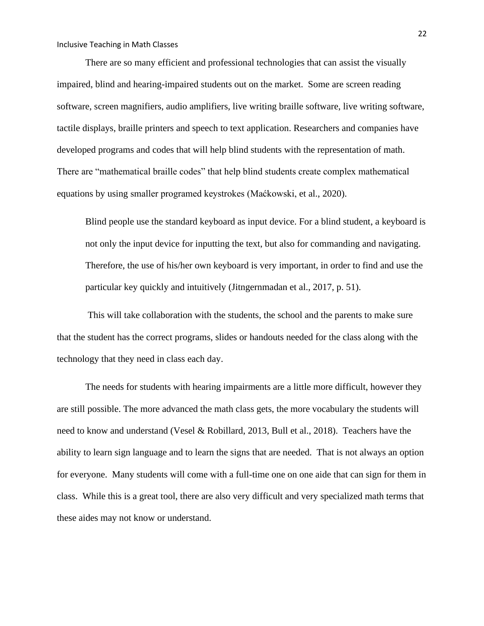There are so many efficient and professional technologies that can assist the visually impaired, blind and hearing-impaired students out on the market. Some are screen reading software, screen magnifiers, audio amplifiers, live writing braille software, live writing software, tactile displays, braille printers and speech to text application. Researchers and companies have developed programs and codes that will help blind students with the representation of math. There are "mathematical braille codes" that help blind students create complex mathematical equations by using smaller programed keystrokes (Maćkowski, et al., 2020).

Blind people use the standard keyboard as input device. For a blind student, a keyboard is not only the input device for inputting the text, but also for commanding and navigating. Therefore, the use of his/her own keyboard is very important, in order to find and use the particular key quickly and intuitively (Jitngernmadan et al., 2017, p. 51).

This will take collaboration with the students, the school and the parents to make sure that the student has the correct programs, slides or handouts needed for the class along with the technology that they need in class each day.

The needs for students with hearing impairments are a little more difficult, however they are still possible. The more advanced the math class gets, the more vocabulary the students will need to know and understand (Vesel & Robillard, 2013, Bull et al., 2018). Teachers have the ability to learn sign language and to learn the signs that are needed. That is not always an option for everyone. Many students will come with a full-time one on one aide that can sign for them in class. While this is a great tool, there are also very difficult and very specialized math terms that these aides may not know or understand.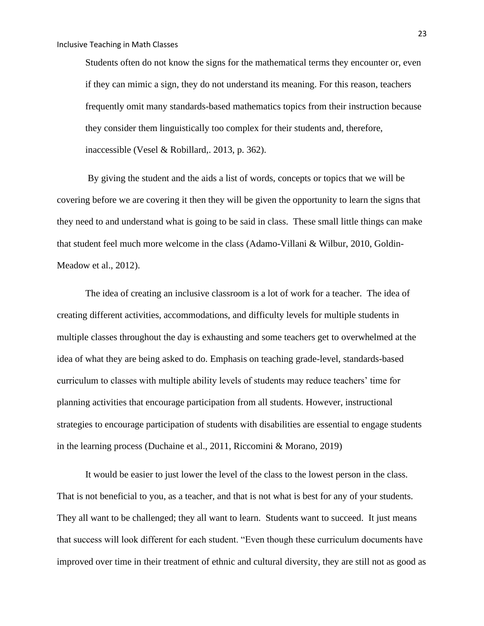Students often do not know the signs for the mathematical terms they encounter or, even if they can mimic a sign, they do not understand its meaning. For this reason, teachers frequently omit many standards-based mathematics topics from their instruction because they consider them linguistically too complex for their students and, therefore, inaccessible (Vesel & Robillard,. 2013, p. 362).

By giving the student and the aids a list of words, concepts or topics that we will be covering before we are covering it then they will be given the opportunity to learn the signs that they need to and understand what is going to be said in class. These small little things can make that student feel much more welcome in the class (Adamo-Villani & Wilbur, 2010, Goldin-Meadow et al., 2012).

The idea of creating an inclusive classroom is a lot of work for a teacher. The idea of creating different activities, accommodations, and difficulty levels for multiple students in multiple classes throughout the day is exhausting and some teachers get to overwhelmed at the idea of what they are being asked to do. Emphasis on teaching grade-level, standards-based curriculum to classes with multiple ability levels of students may reduce teachers' time for planning activities that encourage participation from all students. However, instructional strategies to encourage participation of students with disabilities are essential to engage students in the learning process (Duchaine et al., 2011, Riccomini & Morano, 2019)

It would be easier to just lower the level of the class to the lowest person in the class. That is not beneficial to you, as a teacher, and that is not what is best for any of your students. They all want to be challenged; they all want to learn. Students want to succeed. It just means that success will look different for each student. "Even though these curriculum documents have improved over time in their treatment of ethnic and cultural diversity, they are still not as good as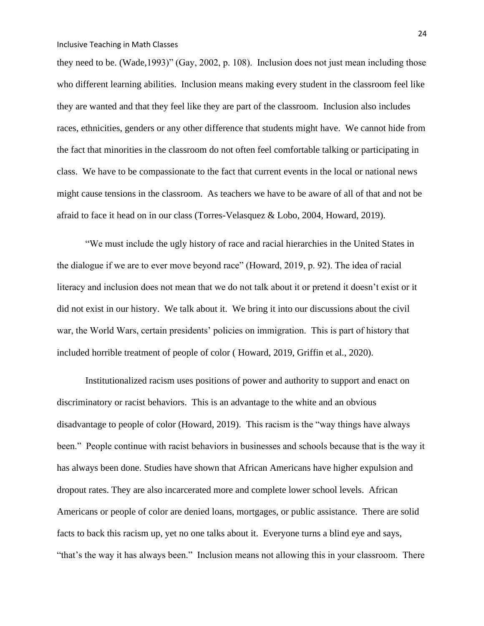they need to be. (Wade,1993)" (Gay, 2002, p. 108). Inclusion does not just mean including those who different learning abilities. Inclusion means making every student in the classroom feel like they are wanted and that they feel like they are part of the classroom. Inclusion also includes races, ethnicities, genders or any other difference that students might have. We cannot hide from the fact that minorities in the classroom do not often feel comfortable talking or participating in class. We have to be compassionate to the fact that current events in the local or national news might cause tensions in the classroom. As teachers we have to be aware of all of that and not be afraid to face it head on in our class (Torres-Velasquez & Lobo, 2004, Howard, 2019).

"We must include the ugly history of race and racial hierarchies in the United States in the dialogue if we are to ever move beyond race" (Howard, 2019, p. 92). The idea of racial literacy and inclusion does not mean that we do not talk about it or pretend it doesn't exist or it did not exist in our history. We talk about it. We bring it into our discussions about the civil war, the World Wars, certain presidents' policies on immigration. This is part of history that included horrible treatment of people of color ( Howard, 2019, Griffin et al., 2020).

Institutionalized racism uses positions of power and authority to support and enact on discriminatory or racist behaviors. This is an advantage to the white and an obvious disadvantage to people of color (Howard, 2019). This racism is the "way things have always been." People continue with racist behaviors in businesses and schools because that is the way it has always been done. Studies have shown that African Americans have higher expulsion and dropout rates. They are also incarcerated more and complete lower school levels. African Americans or people of color are denied loans, mortgages, or public assistance. There are solid facts to back this racism up, yet no one talks about it. Everyone turns a blind eye and says, "that's the way it has always been." Inclusion means not allowing this in your classroom. There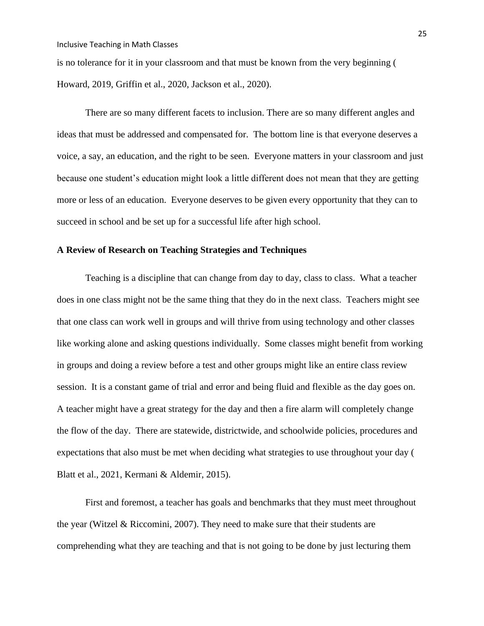is no tolerance for it in your classroom and that must be known from the very beginning ( Howard, 2019, Griffin et al., 2020, Jackson et al., 2020).

There are so many different facets to inclusion. There are so many different angles and ideas that must be addressed and compensated for. The bottom line is that everyone deserves a voice, a say, an education, and the right to be seen. Everyone matters in your classroom and just because one student's education might look a little different does not mean that they are getting more or less of an education. Everyone deserves to be given every opportunity that they can to succeed in school and be set up for a successful life after high school.

#### **A Review of Research on Teaching Strategies and Techniques**

Teaching is a discipline that can change from day to day, class to class. What a teacher does in one class might not be the same thing that they do in the next class. Teachers might see that one class can work well in groups and will thrive from using technology and other classes like working alone and asking questions individually. Some classes might benefit from working in groups and doing a review before a test and other groups might like an entire class review session. It is a constant game of trial and error and being fluid and flexible as the day goes on. A teacher might have a great strategy for the day and then a fire alarm will completely change the flow of the day. There are statewide, districtwide, and schoolwide policies, procedures and expectations that also must be met when deciding what strategies to use throughout your day ( Blatt et al., 2021, Kermani & Aldemir, 2015).

First and foremost, a teacher has goals and benchmarks that they must meet throughout the year (Witzel  $& Riccomini, 2007$ ). They need to make sure that their students are comprehending what they are teaching and that is not going to be done by just lecturing them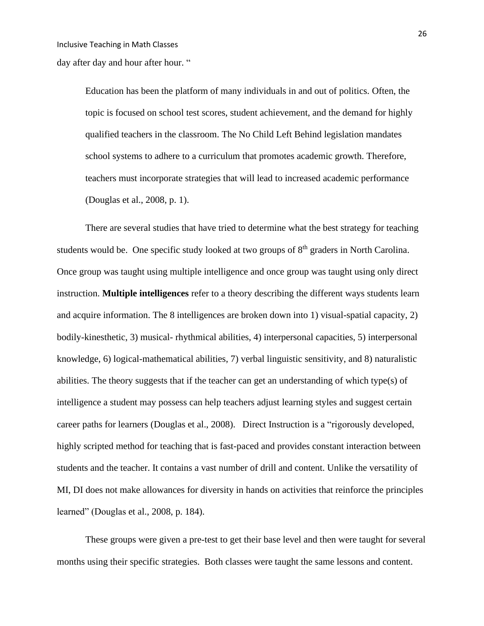day after day and hour after hour. "

Education has been the platform of many individuals in and out of politics. Often, the topic is focused on school test scores, student achievement, and the demand for highly qualified teachers in the classroom. The No Child Left Behind legislation mandates school systems to adhere to a curriculum that promotes academic growth. Therefore, teachers must incorporate strategies that will lead to increased academic performance (Douglas et al., 2008, p. 1).

There are several studies that have tried to determine what the best strategy for teaching students would be. One specific study looked at two groups of  $8<sup>th</sup>$  graders in North Carolina. Once group was taught using multiple intelligence and once group was taught using only direct instruction. **Multiple intelligences** refer to a theory describing the different ways students learn and acquire information. The 8 intelligences are broken down into 1) visual-spatial capacity, 2) bodily-kinesthetic, 3) musical- rhythmical abilities, 4) interpersonal capacities, 5) interpersonal knowledge, 6) logical-mathematical abilities, 7) verbal linguistic sensitivity, and 8) naturalistic abilities. The theory suggests that if the teacher can get an understanding of which type(s) of intelligence a student may possess can help teachers adjust learning styles and suggest certain career paths for learners (Douglas et al., 2008). Direct Instruction is a "rigorously developed, highly scripted method for teaching that is fast-paced and provides constant interaction between students and the teacher. It contains a vast number of drill and content. Unlike the versatility of MI, DI does not make allowances for diversity in hands on activities that reinforce the principles learned" (Douglas et al., 2008, p. 184).

These groups were given a pre-test to get their base level and then were taught for several months using their specific strategies. Both classes were taught the same lessons and content.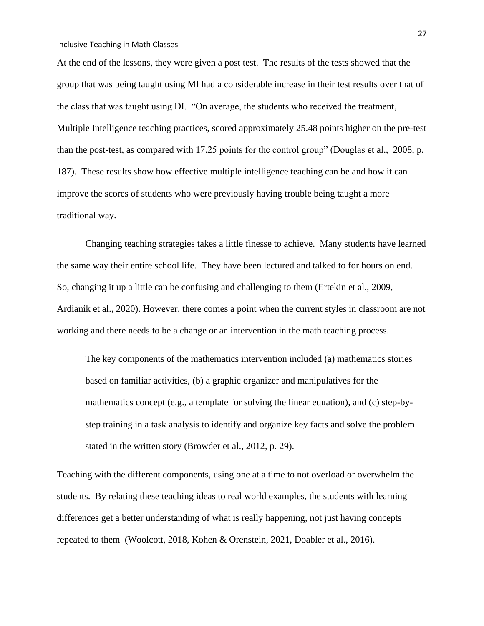At the end of the lessons, they were given a post test. The results of the tests showed that the group that was being taught using MI had a considerable increase in their test results over that of the class that was taught using DI. "On average, the students who received the treatment, Multiple Intelligence teaching practices, scored approximately 25.48 points higher on the pre-test than the post-test, as compared with 17.25 points for the control group" (Douglas et al., 2008, p. 187). These results show how effective multiple intelligence teaching can be and how it can improve the scores of students who were previously having trouble being taught a more traditional way.

Changing teaching strategies takes a little finesse to achieve. Many students have learned the same way their entire school life. They have been lectured and talked to for hours on end. So, changing it up a little can be confusing and challenging to them (Ertekin et al., 2009, Ardianik et al., 2020). However, there comes a point when the current styles in classroom are not working and there needs to be a change or an intervention in the math teaching process.

The key components of the mathematics intervention included (a) mathematics stories based on familiar activities, (b) a graphic organizer and manipulatives for the mathematics concept (e.g., a template for solving the linear equation), and (c) step-bystep training in a task analysis to identify and organize key facts and solve the problem stated in the written story (Browder et al., 2012, p. 29).

Teaching with the different components, using one at a time to not overload or overwhelm the students. By relating these teaching ideas to real world examples, the students with learning differences get a better understanding of what is really happening, not just having concepts repeated to them (Woolcott, 2018, Kohen & Orenstein, 2021, Doabler et al., 2016).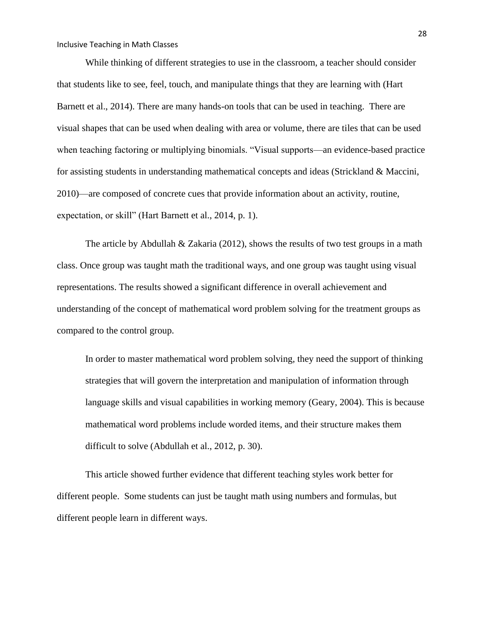While thinking of different strategies to use in the classroom, a teacher should consider that students like to see, feel, touch, and manipulate things that they are learning with (Hart Barnett et al., 2014). There are many hands-on tools that can be used in teaching. There are visual shapes that can be used when dealing with area or volume, there are tiles that can be used when teaching factoring or multiplying binomials. "Visual supports—an evidence-based practice for assisting students in understanding mathematical concepts and ideas (Strickland & Maccini, 2010)—are composed of concrete cues that provide information about an activity, routine, expectation, or skill" (Hart Barnett et al., 2014, p. 1).

The article by Abdullah & Zakaria (2012), shows the results of two test groups in a math class. Once group was taught math the traditional ways, and one group was taught using visual representations. The results showed a significant difference in overall achievement and understanding of the concept of mathematical word problem solving for the treatment groups as compared to the control group.

In order to master mathematical word problem solving, they need the support of thinking strategies that will govern the interpretation and manipulation of information through language skills and visual capabilities in working memory (Geary, 2004). This is because mathematical word problems include worded items, and their structure makes them difficult to solve (Abdullah et al., 2012, p. 30).

This article showed further evidence that different teaching styles work better for different people. Some students can just be taught math using numbers and formulas, but different people learn in different ways.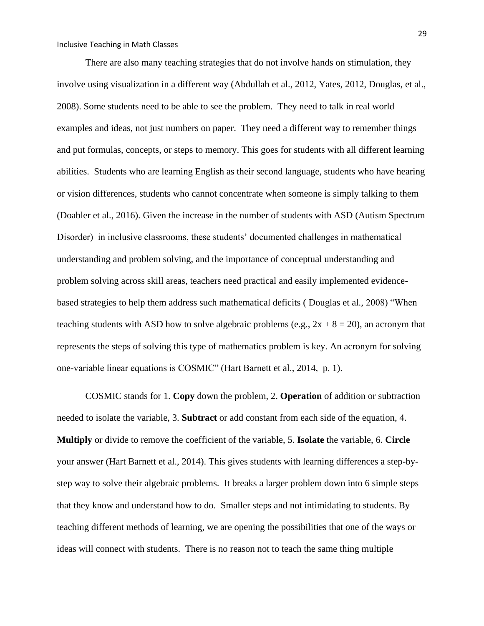There are also many teaching strategies that do not involve hands on stimulation, they involve using visualization in a different way (Abdullah et al., 2012, Yates, 2012, Douglas, et al., 2008). Some students need to be able to see the problem. They need to talk in real world examples and ideas, not just numbers on paper. They need a different way to remember things and put formulas, concepts, or steps to memory. This goes for students with all different learning abilities. Students who are learning English as their second language, students who have hearing or vision differences, students who cannot concentrate when someone is simply talking to them (Doabler et al., 2016). Given the increase in the number of students with ASD (Autism Spectrum Disorder) in inclusive classrooms, these students' documented challenges in mathematical understanding and problem solving, and the importance of conceptual understanding and problem solving across skill areas, teachers need practical and easily implemented evidencebased strategies to help them address such mathematical deficits ( Douglas et al., 2008) "When teaching students with ASD how to solve algebraic problems (e.g.,  $2x + 8 = 20$ ), an acronym that represents the steps of solving this type of mathematics problem is key. An acronym for solving one-variable linear equations is COSMIC" (Hart Barnett et al., 2014, p. 1).

COSMIC stands for 1. **Copy** down the problem, 2. **Operation** of addition or subtraction needed to isolate the variable, 3. **Subtract** or add constant from each side of the equation, 4. **Multiply** or divide to remove the coefficient of the variable, 5. **Isolate** the variable, 6. **Circle** your answer (Hart Barnett et al., 2014). This gives students with learning differences a step-bystep way to solve their algebraic problems. It breaks a larger problem down into 6 simple steps that they know and understand how to do. Smaller steps and not intimidating to students. By teaching different methods of learning, we are opening the possibilities that one of the ways or ideas will connect with students. There is no reason not to teach the same thing multiple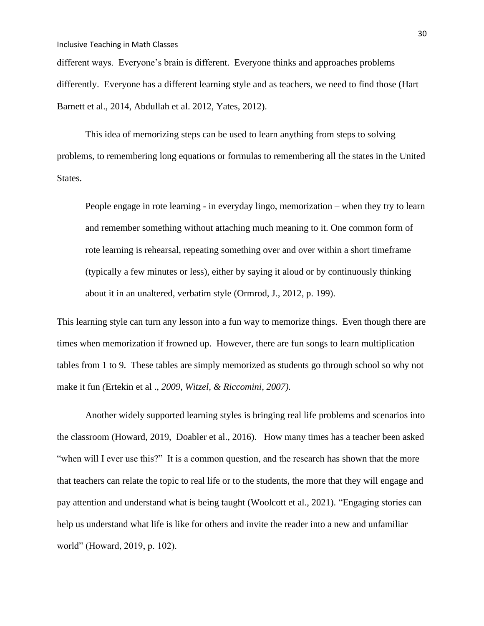different ways. Everyone's brain is different. Everyone thinks and approaches problems differently. Everyone has a different learning style and as teachers, we need to find those (Hart Barnett et al., 2014, Abdullah et al. 2012, Yates, 2012).

This idea of memorizing steps can be used to learn anything from steps to solving problems, to remembering long equations or formulas to remembering all the states in the United States.

People engage in rote learning - in everyday lingo, memorization – when they try to learn and remember something without attaching much meaning to it. One common form of rote learning is rehearsal, repeating something over and over within a short timeframe (typically a few minutes or less), either by saying it aloud or by continuously thinking about it in an unaltered, verbatim style (Ormrod, J., 2012, p. 199).

This learning style can turn any lesson into a fun way to memorize things. Even though there are times when memorization if frowned up. However, there are fun songs to learn multiplication tables from 1 to 9. These tables are simply memorized as students go through school so why not make it fun *(*Ertekin et al ., *2009, Witzel, & Riccomini, 2007).*

Another widely supported learning styles is bringing real life problems and scenarios into the classroom (Howard, 2019, Doabler et al., 2016). How many times has a teacher been asked "when will I ever use this?" It is a common question, and the research has shown that the more that teachers can relate the topic to real life or to the students, the more that they will engage and pay attention and understand what is being taught (Woolcott et al., 2021). "Engaging stories can help us understand what life is like for others and invite the reader into a new and unfamiliar world" (Howard, 2019, p. 102).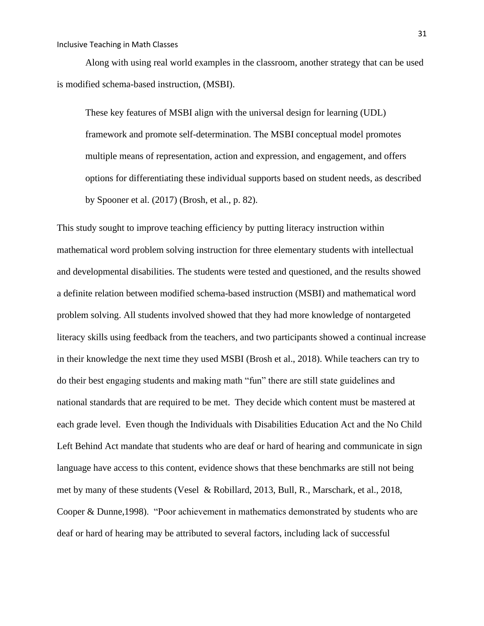Along with using real world examples in the classroom, another strategy that can be used is modified schema-based instruction, (MSBI).

These key features of MSBI align with the universal design for learning (UDL) framework and promote self-determination. The MSBI conceptual model promotes multiple means of representation, action and expression, and engagement, and offers options for differentiating these individual supports based on student needs, as described by Spooner et al. (2017) (Brosh, et al., p. 82).

This study sought to improve teaching efficiency by putting literacy instruction within mathematical word problem solving instruction for three elementary students with intellectual and developmental disabilities. The students were tested and questioned, and the results showed a definite relation between modified schema-based instruction (MSBI) and mathematical word problem solving. All students involved showed that they had more knowledge of nontargeted literacy skills using feedback from the teachers, and two participants showed a continual increase in their knowledge the next time they used MSBI (Brosh et al., 2018). While teachers can try to do their best engaging students and making math "fun" there are still state guidelines and national standards that are required to be met. They decide which content must be mastered at each grade level. Even though the Individuals with Disabilities Education Act and the No Child Left Behind Act mandate that students who are deaf or hard of hearing and communicate in sign language have access to this content, evidence shows that these benchmarks are still not being met by many of these students (Vesel & Robillard, 2013, Bull, R., Marschark, et al., 2018, Cooper & Dunne,1998). "Poor achievement in mathematics demonstrated by students who are deaf or hard of hearing may be attributed to several factors, including lack of successful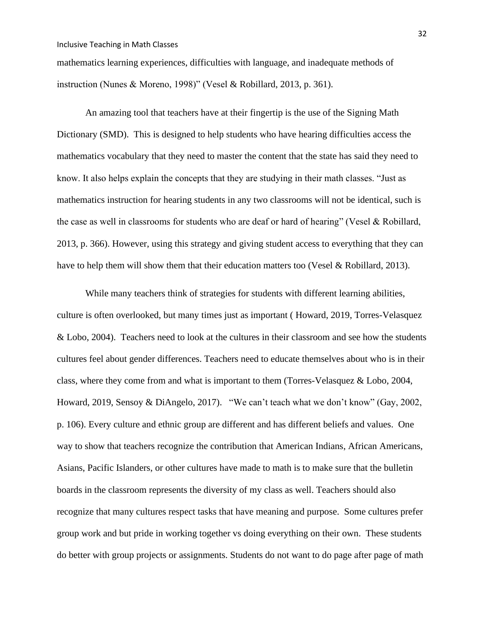mathematics learning experiences, difficulties with language, and inadequate methods of instruction (Nunes & Moreno, 1998)" (Vesel & Robillard, 2013, p. 361).

An amazing tool that teachers have at their fingertip is the use of the Signing Math Dictionary (SMD). This is designed to help students who have hearing difficulties access the mathematics vocabulary that they need to master the content that the state has said they need to know. It also helps explain the concepts that they are studying in their math classes. "Just as mathematics instruction for hearing students in any two classrooms will not be identical, such is the case as well in classrooms for students who are deaf or hard of hearing" (Vesel & Robillard, 2013, p. 366). However, using this strategy and giving student access to everything that they can have to help them will show them that their education matters too (Vesel & Robillard, 2013).

While many teachers think of strategies for students with different learning abilities, culture is often overlooked, but many times just as important ( Howard, 2019, Torres-Velasquez & Lobo, 2004). Teachers need to look at the cultures in their classroom and see how the students cultures feel about gender differences. Teachers need to educate themselves about who is in their class, where they come from and what is important to them (Torres-Velasquez & Lobo, 2004, Howard, 2019, Sensoy & DiAngelo, 2017). "We can't teach what we don't know" (Gay, 2002, p. 106). Every culture and ethnic group are different and has different beliefs and values. One way to show that teachers recognize the contribution that American Indians, African Americans, Asians, Pacific Islanders, or other cultures have made to math is to make sure that the bulletin boards in the classroom represents the diversity of my class as well. Teachers should also recognize that many cultures respect tasks that have meaning and purpose. Some cultures prefer group work and but pride in working together vs doing everything on their own. These students do better with group projects or assignments. Students do not want to do page after page of math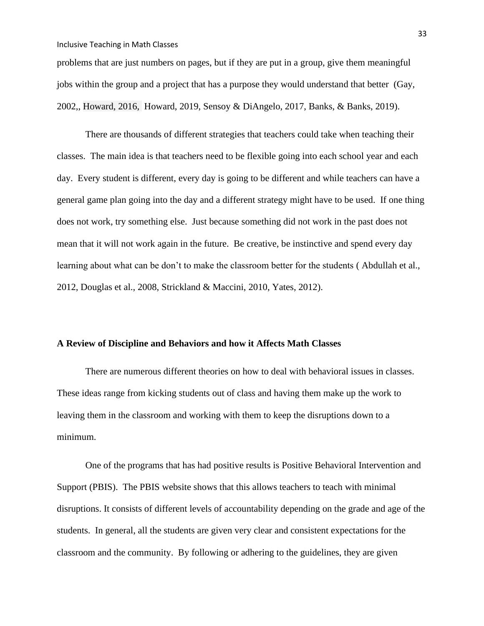problems that are just numbers on pages, but if they are put in a group, give them meaningful jobs within the group and a project that has a purpose they would understand that better (Gay, 2002,, Howard, 2016, Howard, 2019, Sensoy & DiAngelo, 2017, Banks, & Banks, 2019).

There are thousands of different strategies that teachers could take when teaching their classes. The main idea is that teachers need to be flexible going into each school year and each day. Every student is different, every day is going to be different and while teachers can have a general game plan going into the day and a different strategy might have to be used. If one thing does not work, try something else. Just because something did not work in the past does not mean that it will not work again in the future. Be creative, be instinctive and spend every day learning about what can be don't to make the classroom better for the students ( Abdullah et al., 2012, Douglas et al., 2008, Strickland & Maccini, 2010, Yates, 2012).

## **A Review of Discipline and Behaviors and how it Affects Math Classes**

There are numerous different theories on how to deal with behavioral issues in classes. These ideas range from kicking students out of class and having them make up the work to leaving them in the classroom and working with them to keep the disruptions down to a minimum.

One of the programs that has had positive results is Positive Behavioral Intervention and Support (PBIS). The PBIS website shows that this allows teachers to teach with minimal disruptions. It consists of different levels of accountability depending on the grade and age of the students. In general, all the students are given very clear and consistent expectations for the classroom and the community. By following or adhering to the guidelines, they are given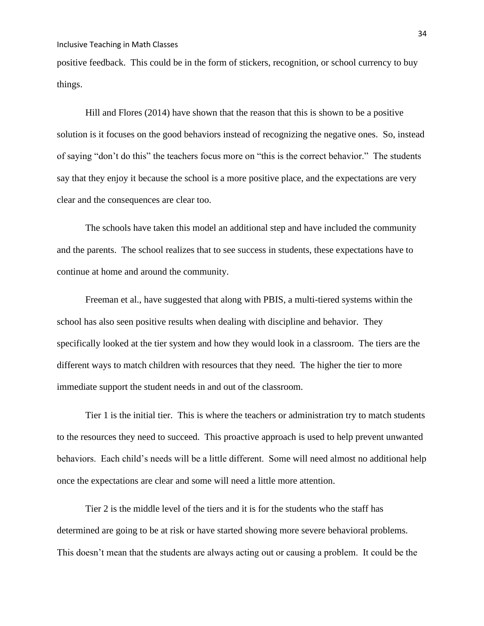positive feedback. This could be in the form of stickers, recognition, or school currency to buy things.

Hill and Flores (2014) have shown that the reason that this is shown to be a positive solution is it focuses on the good behaviors instead of recognizing the negative ones. So, instead of saying "don't do this" the teachers focus more on "this is the correct behavior." The students say that they enjoy it because the school is a more positive place, and the expectations are very clear and the consequences are clear too.

The schools have taken this model an additional step and have included the community and the parents. The school realizes that to see success in students, these expectations have to continue at home and around the community.

Freeman et al., have suggested that along with PBIS, a multi-tiered systems within the school has also seen positive results when dealing with discipline and behavior. They specifically looked at the tier system and how they would look in a classroom. The tiers are the different ways to match children with resources that they need. The higher the tier to more immediate support the student needs in and out of the classroom.

Tier 1 is the initial tier. This is where the teachers or administration try to match students to the resources they need to succeed. This proactive approach is used to help prevent unwanted behaviors. Each child's needs will be a little different. Some will need almost no additional help once the expectations are clear and some will need a little more attention.

Tier 2 is the middle level of the tiers and it is for the students who the staff has determined are going to be at risk or have started showing more severe behavioral problems. This doesn't mean that the students are always acting out or causing a problem. It could be the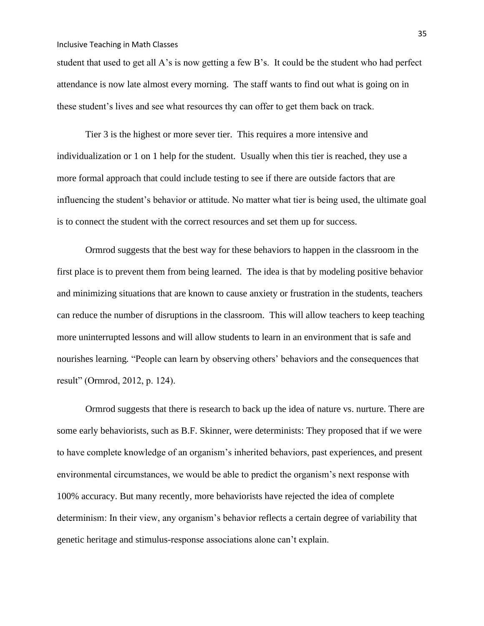student that used to get all A's is now getting a few B's. It could be the student who had perfect attendance is now late almost every morning. The staff wants to find out what is going on in these student's lives and see what resources thy can offer to get them back on track.

Tier 3 is the highest or more sever tier. This requires a more intensive and individualization or 1 on 1 help for the student. Usually when this tier is reached, they use a more formal approach that could include testing to see if there are outside factors that are influencing the student's behavior or attitude. No matter what tier is being used, the ultimate goal is to connect the student with the correct resources and set them up for success.

Ormrod suggests that the best way for these behaviors to happen in the classroom in the first place is to prevent them from being learned. The idea is that by modeling positive behavior and minimizing situations that are known to cause anxiety or frustration in the students, teachers can reduce the number of disruptions in the classroom. This will allow teachers to keep teaching more uninterrupted lessons and will allow students to learn in an environment that is safe and nourishes learning*.* "People can learn by observing others' behaviors and the consequences that result" (Ormrod, 2012, p. 124).

Ormrod suggests that there is research to back up the idea of nature vs. nurture. There are some early behaviorists, such as B.F. Skinner, were determinists: They proposed that if we were to have complete knowledge of an organism's inherited behaviors, past experiences, and present environmental circumstances, we would be able to predict the organism's next response with 100% accuracy. But many recently, more behaviorists have rejected the idea of complete determinism: In their view, any organism's behavior reflects a certain degree of variability that genetic heritage and stimulus-response associations alone can't explain.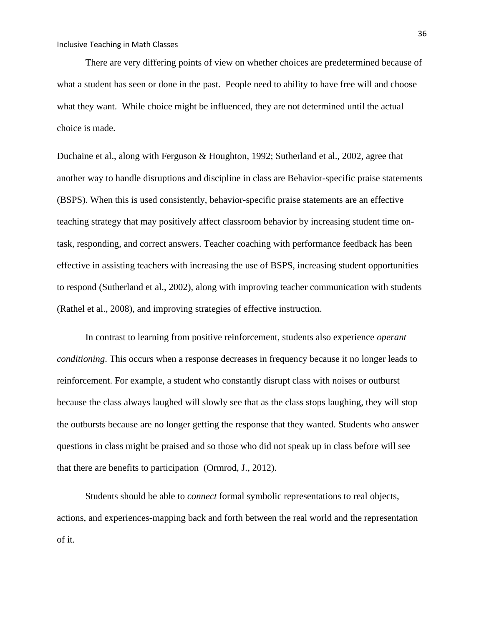There are very differing points of view on whether choices are predetermined because of what a student has seen or done in the past. People need to ability to have free will and choose what they want. While choice might be influenced, they are not determined until the actual choice is made.

Duchaine et al., along with Ferguson & Houghton, 1992; Sutherland et al., 2002, agree that another way to handle disruptions and discipline in class are Behavior-specific praise statements (BSPS). When this is used consistently, behavior-specific praise statements are an effective teaching strategy that may positively affect classroom behavior by increasing student time ontask, responding, and correct answers. Teacher coaching with performance feedback has been effective in assisting teachers with increasing the use of BSPS, increasing student opportunities to respond (Sutherland et al., 2002), along with improving teacher communication with students (Rathel et al., 2008), and improving strategies of effective instruction.

In contrast to learning from positive reinforcement, students also experience *operant conditioning*. This occurs when a response decreases in frequency because it no longer leads to reinforcement. For example, a student who constantly disrupt class with noises or outburst because the class always laughed will slowly see that as the class stops laughing, they will stop the outbursts because are no longer getting the response that they wanted. Students who answer questions in class might be praised and so those who did not speak up in class before will see that there are benefits to participation (Ormrod, J., 2012).

Students should be able to *connect* formal symbolic representations to real objects, actions, and experiences-mapping back and forth between the real world and the representation of it.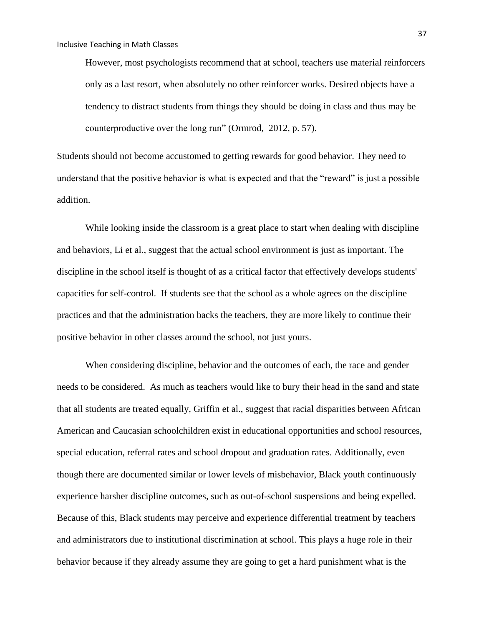However, most psychologists recommend that at school, teachers use material reinforcers only as a last resort, when absolutely no other reinforcer works. Desired objects have a tendency to distract students from things they should be doing in class and thus may be counterproductive over the long run" (Ormrod, 2012, p. 57).

Students should not become accustomed to getting rewards for good behavior. They need to understand that the positive behavior is what is expected and that the "reward" is just a possible addition.

While looking inside the classroom is a great place to start when dealing with discipline and behaviors, Li et al., suggest that the actual school environment is just as important. The discipline in the school itself is thought of as a critical factor that effectively develops students' capacities for self-control. If students see that the school as a whole agrees on the discipline practices and that the administration backs the teachers, they are more likely to continue their positive behavior in other classes around the school, not just yours.

When considering discipline, behavior and the outcomes of each, the race and gender needs to be considered. As much as teachers would like to bury their head in the sand and state that all students are treated equally, Griffin et al., suggest that racial disparities between African American and Caucasian schoolchildren exist in educational opportunities and school resources, special education, referral rates and school dropout and graduation rates. Additionally, even though there are documented similar or lower levels of misbehavior, Black youth continuously experience harsher discipline outcomes, such as out-of-school suspensions and being expelled. Because of this, Black students may perceive and experience differential treatment by teachers and administrators due to institutional discrimination at school. This plays a huge role in their behavior because if they already assume they are going to get a hard punishment what is the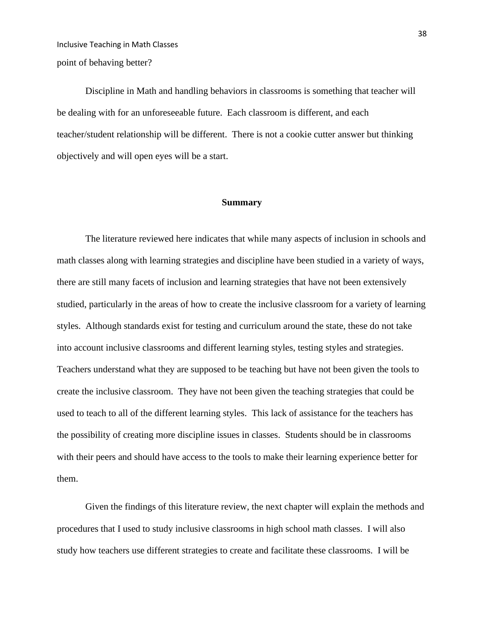Inclusive Teaching in Math Classes point of behaving better?

Discipline in Math and handling behaviors in classrooms is something that teacher will be dealing with for an unforeseeable future. Each classroom is different, and each teacher/student relationship will be different. There is not a cookie cutter answer but thinking objectively and will open eyes will be a start.

#### **Summary**

The literature reviewed here indicates that while many aspects of inclusion in schools and math classes along with learning strategies and discipline have been studied in a variety of ways, there are still many facets of inclusion and learning strategies that have not been extensively studied, particularly in the areas of how to create the inclusive classroom for a variety of learning styles. Although standards exist for testing and curriculum around the state, these do not take into account inclusive classrooms and different learning styles, testing styles and strategies. Teachers understand what they are supposed to be teaching but have not been given the tools to create the inclusive classroom. They have not been given the teaching strategies that could be used to teach to all of the different learning styles. This lack of assistance for the teachers has the possibility of creating more discipline issues in classes. Students should be in classrooms with their peers and should have access to the tools to make their learning experience better for them.

Given the findings of this literature review, the next chapter will explain the methods and procedures that I used to study inclusive classrooms in high school math classes. I will also study how teachers use different strategies to create and facilitate these classrooms. I will be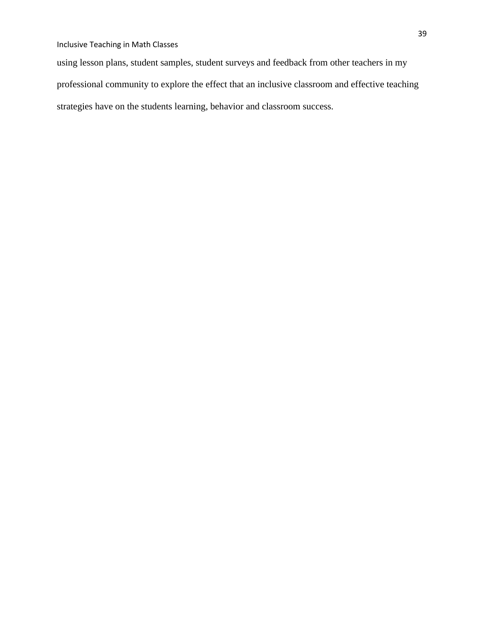using lesson plans, student samples, student surveys and feedback from other teachers in my professional community to explore the effect that an inclusive classroom and effective teaching strategies have on the students learning, behavior and classroom success.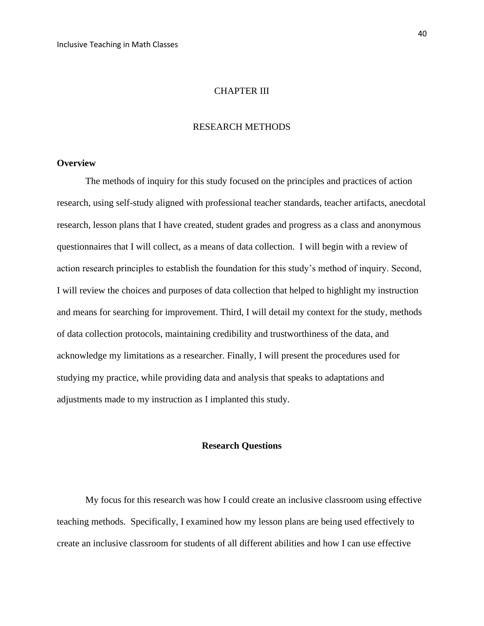### CHAPTER III

## RESEARCH METHODS

## **Overview**

The methods of inquiry for this study focused on the principles and practices of action research, using self-study aligned with professional teacher standards, teacher artifacts, anecdotal research, lesson plans that I have created, student grades and progress as a class and anonymous questionnaires that I will collect, as a means of data collection. I will begin with a review of action research principles to establish the foundation for this study's method of inquiry. Second, I will review the choices and purposes of data collection that helped to highlight my instruction and means for searching for improvement. Third, I will detail my context for the study, methods of data collection protocols, maintaining credibility and trustworthiness of the data, and acknowledge my limitations as a researcher. Finally, I will present the procedures used for studying my practice, while providing data and analysis that speaks to adaptations and adjustments made to my instruction as I implanted this study.

## **Research Questions**

My focus for this research was how I could create an inclusive classroom using effective teaching methods. Specifically, I examined how my lesson plans are being used effectively to create an inclusive classroom for students of all different abilities and how I can use effective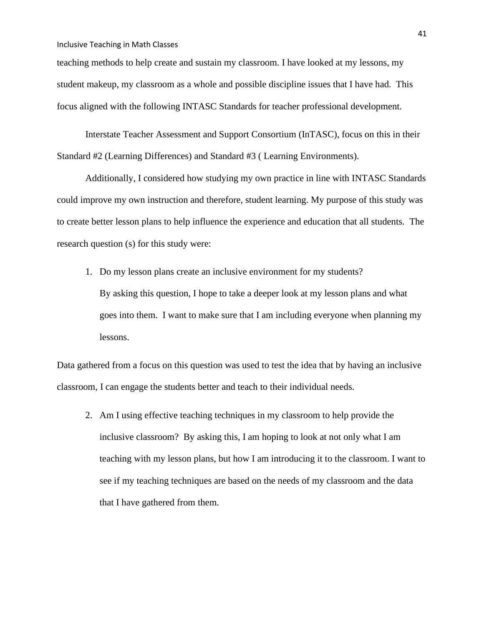teaching methods to help create and sustain my classroom. I have looked at my lessons, my student makeup, my classroom as a whole and possible discipline issues that I have had. This focus aligned with the following INTASC Standards for teacher professional development.

Interstate Teacher Assessment and Support Consortium (InTASC), focus on this in their Standard #2 (Learning Differences) and Standard #3 ( Learning Environments).

Additionally, I considered how studying my own practice in line with INTASC Standards could improve my own instruction and therefore, student learning. My purpose of this study was to create better lesson plans to help influence the experience and education that all students. The research question (s) for this study were:

1. Do my lesson plans create an inclusive environment for my students? By asking this question, I hope to take a deeper look at my lesson plans and what goes into them. I want to make sure that I am including everyone when planning my lessons.

Data gathered from a focus on this question was used to test the idea that by having an inclusive classroom, I can engage the students better and teach to their individual needs.

2. Am I using effective teaching techniques in my classroom to help provide the inclusive classroom? By asking this, I am hoping to look at not only what I am teaching with my lesson plans, but how I am introducing it to the classroom. I want to see if my teaching techniques are based on the needs of my classroom and the data that I have gathered from them.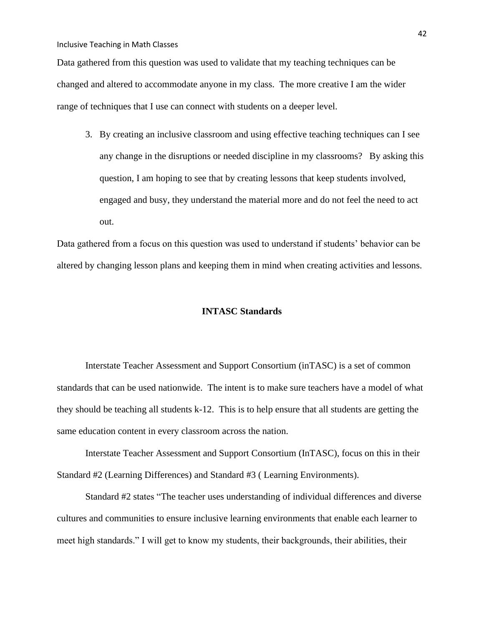Data gathered from this question was used to validate that my teaching techniques can be changed and altered to accommodate anyone in my class. The more creative I am the wider range of techniques that I use can connect with students on a deeper level.

3. By creating an inclusive classroom and using effective teaching techniques can I see any change in the disruptions or needed discipline in my classrooms? By asking this question, I am hoping to see that by creating lessons that keep students involved, engaged and busy, they understand the material more and do not feel the need to act out.

Data gathered from a focus on this question was used to understand if students' behavior can be altered by changing lesson plans and keeping them in mind when creating activities and lessons.

### **INTASC Standards**

Interstate Teacher Assessment and Support Consortium (inTASC) is a set of common standards that can be used nationwide. The intent is to make sure teachers have a model of what they should be teaching all students k-12. This is to help ensure that all students are getting the same education content in every classroom across the nation.

Interstate Teacher Assessment and Support Consortium (InTASC), focus on this in their Standard #2 (Learning Differences) and Standard #3 ( Learning Environments).

Standard #2 states "The teacher uses understanding of individual differences and diverse cultures and communities to ensure inclusive learning environments that enable each learner to meet high standards." I will get to know my students, their backgrounds, their abilities, their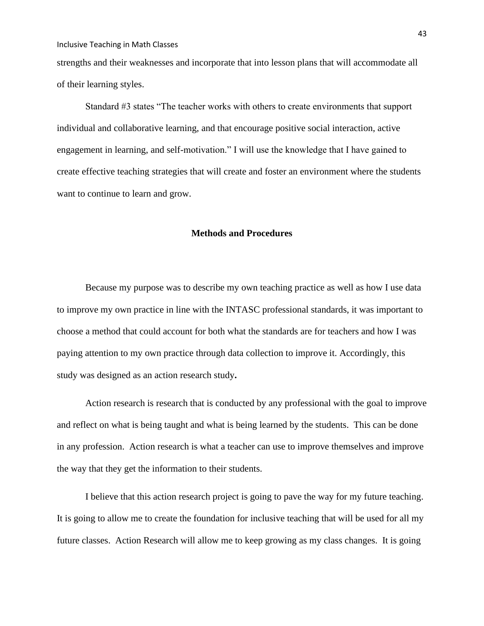strengths and their weaknesses and incorporate that into lesson plans that will accommodate all of their learning styles.

Standard #3 states "The teacher works with others to create environments that support individual and collaborative learning, and that encourage positive social interaction, active engagement in learning, and self-motivation." I will use the knowledge that I have gained to create effective teaching strategies that will create and foster an environment where the students want to continue to learn and grow.

#### **Methods and Procedures**

Because my purpose was to describe my own teaching practice as well as how I use data to improve my own practice in line with the INTASC professional standards, it was important to choose a method that could account for both what the standards are for teachers and how I was paying attention to my own practice through data collection to improve it. Accordingly, this study was designed as an action research study**.** 

Action research is research that is conducted by any professional with the goal to improve and reflect on what is being taught and what is being learned by the students. This can be done in any profession. Action research is what a teacher can use to improve themselves and improve the way that they get the information to their students.

I believe that this action research project is going to pave the way for my future teaching. It is going to allow me to create the foundation for inclusive teaching that will be used for all my future classes. Action Research will allow me to keep growing as my class changes. It is going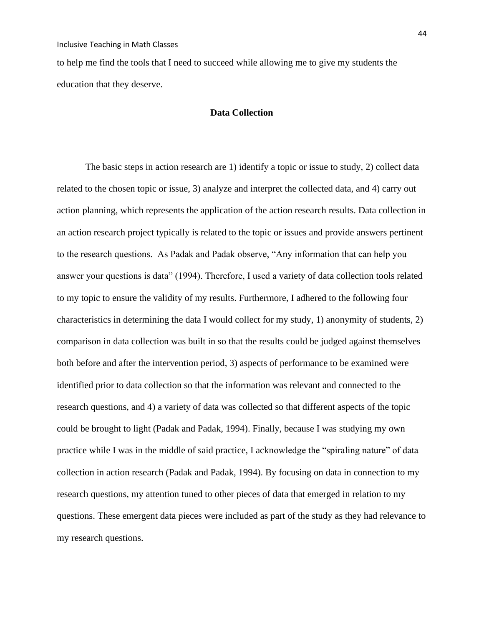to help me find the tools that I need to succeed while allowing me to give my students the education that they deserve.

## **Data Collection**

The basic steps in action research are 1) identify a topic or issue to study, 2) collect data related to the chosen topic or issue, 3) analyze and interpret the collected data, and 4) carry out action planning, which represents the application of the action research results. Data collection in an action research project typically is related to the topic or issues and provide answers pertinent to the research questions. As Padak and Padak observe, "Any information that can help you answer your questions is data" (1994). Therefore, I used a variety of data collection tools related to my topic to ensure the validity of my results. Furthermore, I adhered to the following four characteristics in determining the data I would collect for my study, 1) anonymity of students, 2) comparison in data collection was built in so that the results could be judged against themselves both before and after the intervention period, 3) aspects of performance to be examined were identified prior to data collection so that the information was relevant and connected to the research questions, and 4) a variety of data was collected so that different aspects of the topic could be brought to light (Padak and Padak, 1994). Finally, because I was studying my own practice while I was in the middle of said practice, I acknowledge the "spiraling nature" of data collection in action research (Padak and Padak, 1994). By focusing on data in connection to my research questions, my attention tuned to other pieces of data that emerged in relation to my questions. These emergent data pieces were included as part of the study as they had relevance to my research questions.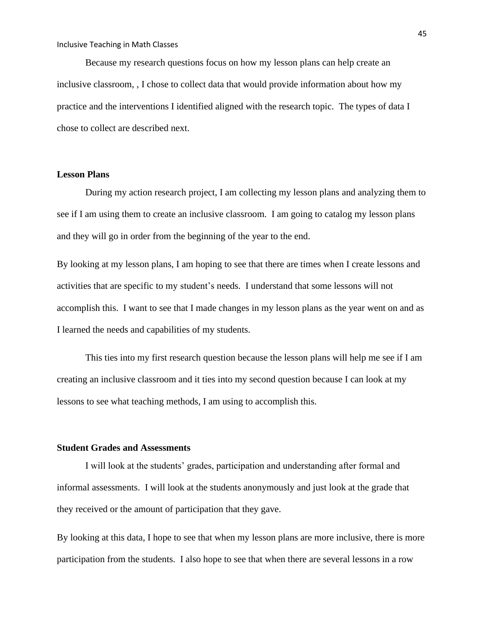Because my research questions focus on how my lesson plans can help create an inclusive classroom, , I chose to collect data that would provide information about how my practice and the interventions I identified aligned with the research topic. The types of data I chose to collect are described next.

# **Lesson Plans**

During my action research project, I am collecting my lesson plans and analyzing them to see if I am using them to create an inclusive classroom. I am going to catalog my lesson plans and they will go in order from the beginning of the year to the end.

By looking at my lesson plans, I am hoping to see that there are times when I create lessons and activities that are specific to my student's needs. I understand that some lessons will not accomplish this. I want to see that I made changes in my lesson plans as the year went on and as I learned the needs and capabilities of my students.

This ties into my first research question because the lesson plans will help me see if I am creating an inclusive classroom and it ties into my second question because I can look at my lessons to see what teaching methods, I am using to accomplish this.

## **Student Grades and Assessments**

I will look at the students' grades, participation and understanding after formal and informal assessments. I will look at the students anonymously and just look at the grade that they received or the amount of participation that they gave.

By looking at this data, I hope to see that when my lesson plans are more inclusive, there is more participation from the students. I also hope to see that when there are several lessons in a row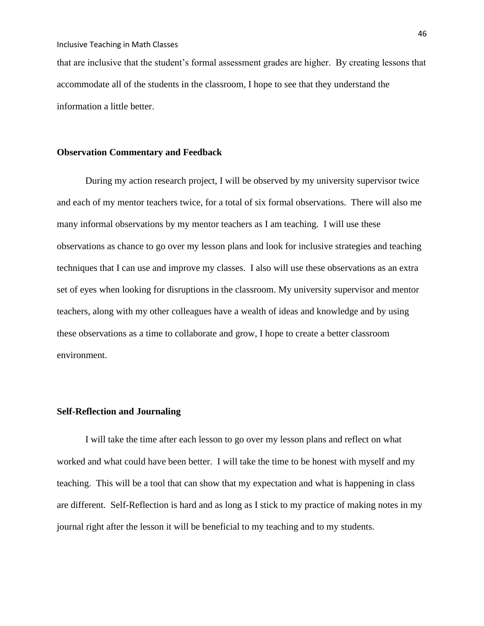that are inclusive that the student's formal assessment grades are higher. By creating lessons that accommodate all of the students in the classroom, I hope to see that they understand the information a little better.

## **Observation Commentary and Feedback**

During my action research project, I will be observed by my university supervisor twice and each of my mentor teachers twice, for a total of six formal observations. There will also me many informal observations by my mentor teachers as I am teaching. I will use these observations as chance to go over my lesson plans and look for inclusive strategies and teaching techniques that I can use and improve my classes. I also will use these observations as an extra set of eyes when looking for disruptions in the classroom. My university supervisor and mentor teachers, along with my other colleagues have a wealth of ideas and knowledge and by using these observations as a time to collaborate and grow, I hope to create a better classroom environment.

## **Self-Reflection and Journaling**

I will take the time after each lesson to go over my lesson plans and reflect on what worked and what could have been better. I will take the time to be honest with myself and my teaching. This will be a tool that can show that my expectation and what is happening in class are different. Self-Reflection is hard and as long as I stick to my practice of making notes in my journal right after the lesson it will be beneficial to my teaching and to my students.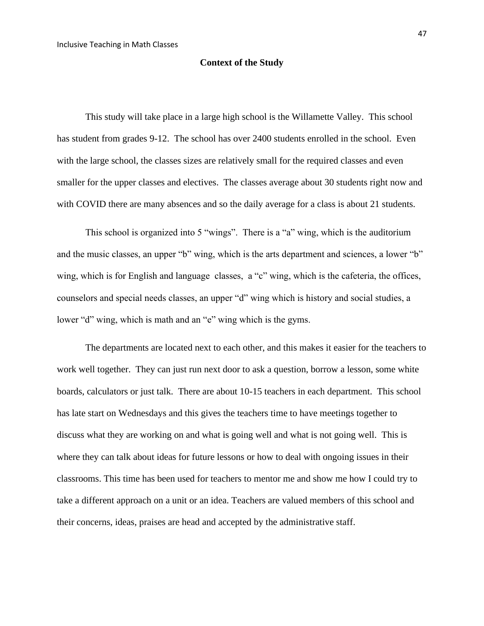## **Context of the Study**

This study will take place in a large high school is the Willamette Valley. This school has student from grades 9-12. The school has over 2400 students enrolled in the school. Even with the large school, the classes sizes are relatively small for the required classes and even smaller for the upper classes and electives. The classes average about 30 students right now and with COVID there are many absences and so the daily average for a class is about 21 students.

This school is organized into 5 "wings". There is a "a" wing, which is the auditorium and the music classes, an upper "b" wing, which is the arts department and sciences, a lower "b" wing, which is for English and language classes, a "c" wing, which is the cafeteria, the offices, counselors and special needs classes, an upper "d" wing which is history and social studies, a lower "d" wing, which is math and an "e" wing which is the gyms.

The departments are located next to each other, and this makes it easier for the teachers to work well together. They can just run next door to ask a question, borrow a lesson, some white boards, calculators or just talk. There are about 10-15 teachers in each department. This school has late start on Wednesdays and this gives the teachers time to have meetings together to discuss what they are working on and what is going well and what is not going well. This is where they can talk about ideas for future lessons or how to deal with ongoing issues in their classrooms. This time has been used for teachers to mentor me and show me how I could try to take a different approach on a unit or an idea. Teachers are valued members of this school and their concerns, ideas, praises are head and accepted by the administrative staff.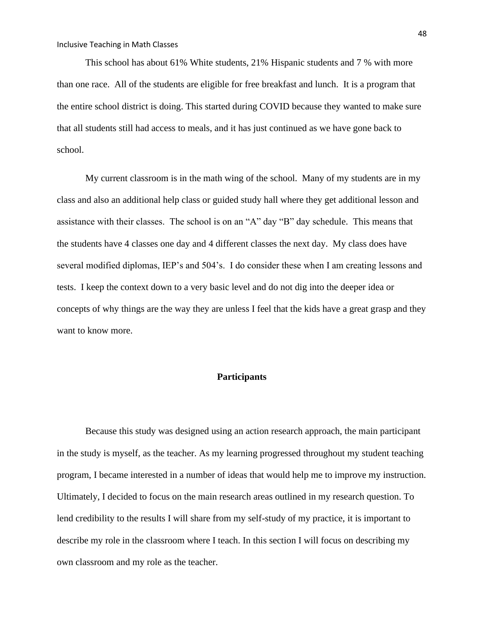This school has about 61% White students, 21% Hispanic students and 7 % with more than one race. All of the students are eligible for free breakfast and lunch. It is a program that the entire school district is doing. This started during COVID because they wanted to make sure that all students still had access to meals, and it has just continued as we have gone back to school.

My current classroom is in the math wing of the school. Many of my students are in my class and also an additional help class or guided study hall where they get additional lesson and assistance with their classes. The school is on an "A" day "B" day schedule. This means that the students have 4 classes one day and 4 different classes the next day. My class does have several modified diplomas, IEP's and 504's. I do consider these when I am creating lessons and tests. I keep the context down to a very basic level and do not dig into the deeper idea or concepts of why things are the way they are unless I feel that the kids have a great grasp and they want to know more.

## **Participants**

Because this study was designed using an action research approach, the main participant in the study is myself, as the teacher. As my learning progressed throughout my student teaching program, I became interested in a number of ideas that would help me to improve my instruction. Ultimately, I decided to focus on the main research areas outlined in my research question. To lend credibility to the results I will share from my self-study of my practice, it is important to describe my role in the classroom where I teach. In this section I will focus on describing my own classroom and my role as the teacher.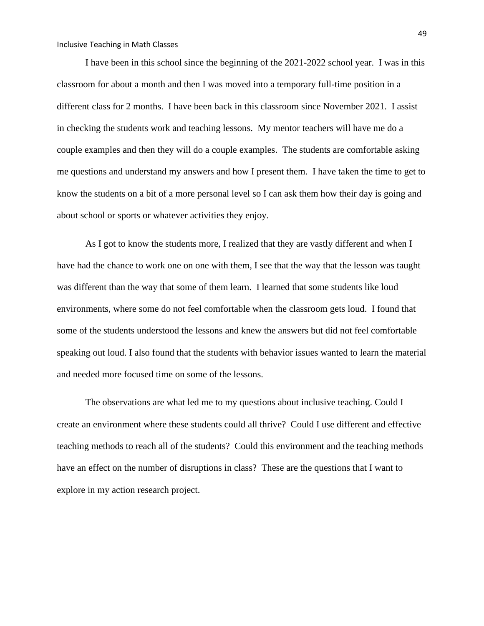I have been in this school since the beginning of the 2021-2022 school year. I was in this classroom for about a month and then I was moved into a temporary full-time position in a different class for 2 months. I have been back in this classroom since November 2021. I assist in checking the students work and teaching lessons. My mentor teachers will have me do a couple examples and then they will do a couple examples. The students are comfortable asking me questions and understand my answers and how I present them. I have taken the time to get to know the students on a bit of a more personal level so I can ask them how their day is going and about school or sports or whatever activities they enjoy.

As I got to know the students more, I realized that they are vastly different and when I have had the chance to work one on one with them, I see that the way that the lesson was taught was different than the way that some of them learn. I learned that some students like loud environments, where some do not feel comfortable when the classroom gets loud. I found that some of the students understood the lessons and knew the answers but did not feel comfortable speaking out loud. I also found that the students with behavior issues wanted to learn the material and needed more focused time on some of the lessons.

The observations are what led me to my questions about inclusive teaching. Could I create an environment where these students could all thrive? Could I use different and effective teaching methods to reach all of the students? Could this environment and the teaching methods have an effect on the number of disruptions in class? These are the questions that I want to explore in my action research project.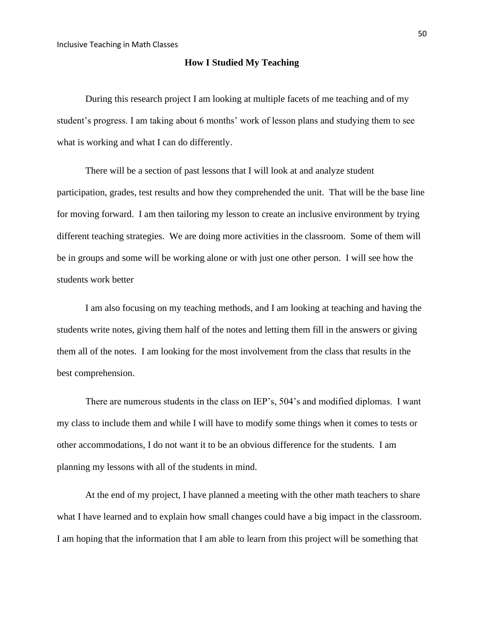## **How I Studied My Teaching**

During this research project I am looking at multiple facets of me teaching and of my student's progress. I am taking about 6 months' work of lesson plans and studying them to see what is working and what I can do differently.

There will be a section of past lessons that I will look at and analyze student participation, grades, test results and how they comprehended the unit. That will be the base line for moving forward. I am then tailoring my lesson to create an inclusive environment by trying different teaching strategies. We are doing more activities in the classroom. Some of them will be in groups and some will be working alone or with just one other person. I will see how the students work better

I am also focusing on my teaching methods, and I am looking at teaching and having the students write notes, giving them half of the notes and letting them fill in the answers or giving them all of the notes. I am looking for the most involvement from the class that results in the best comprehension.

There are numerous students in the class on IEP's, 504's and modified diplomas. I want my class to include them and while I will have to modify some things when it comes to tests or other accommodations, I do not want it to be an obvious difference for the students. I am planning my lessons with all of the students in mind.

At the end of my project, I have planned a meeting with the other math teachers to share what I have learned and to explain how small changes could have a big impact in the classroom. I am hoping that the information that I am able to learn from this project will be something that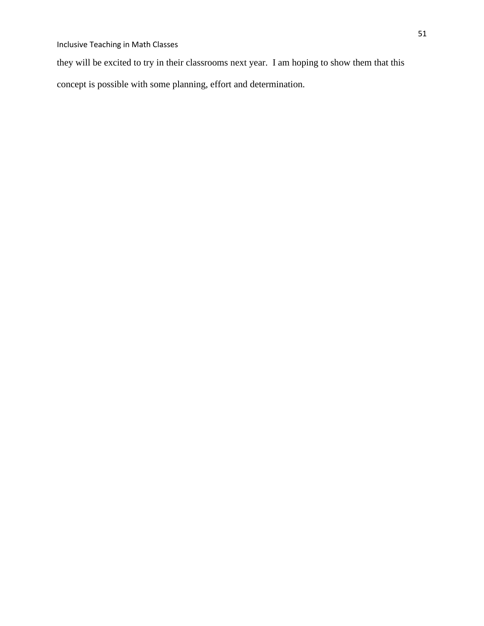they will be excited to try in their classrooms next year. I am hoping to show them that this

concept is possible with some planning, effort and determination.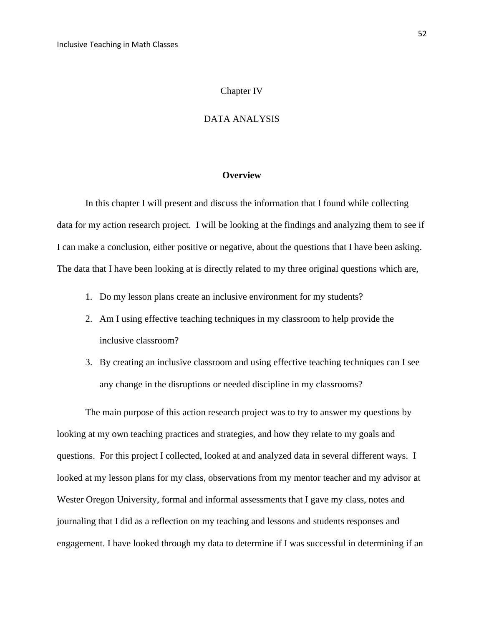### Chapter IV

## DATA ANALYSIS

#### **Overview**

In this chapter I will present and discuss the information that I found while collecting data for my action research project. I will be looking at the findings and analyzing them to see if I can make a conclusion, either positive or negative, about the questions that I have been asking. The data that I have been looking at is directly related to my three original questions which are,

- 1. Do my lesson plans create an inclusive environment for my students?
- 2. Am I using effective teaching techniques in my classroom to help provide the inclusive classroom?
- 3. By creating an inclusive classroom and using effective teaching techniques can I see any change in the disruptions or needed discipline in my classrooms?

The main purpose of this action research project was to try to answer my questions by looking at my own teaching practices and strategies, and how they relate to my goals and questions. For this project I collected, looked at and analyzed data in several different ways. I looked at my lesson plans for my class, observations from my mentor teacher and my advisor at Wester Oregon University, formal and informal assessments that I gave my class, notes and journaling that I did as a reflection on my teaching and lessons and students responses and engagement. I have looked through my data to determine if I was successful in determining if an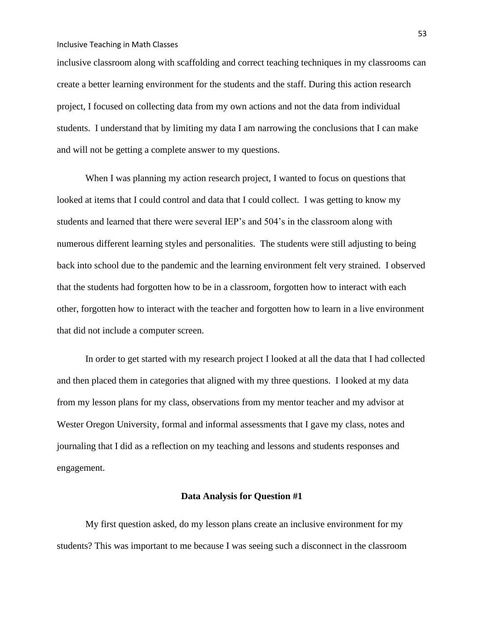inclusive classroom along with scaffolding and correct teaching techniques in my classrooms can create a better learning environment for the students and the staff. During this action research project, I focused on collecting data from my own actions and not the data from individual students. I understand that by limiting my data I am narrowing the conclusions that I can make and will not be getting a complete answer to my questions.

When I was planning my action research project, I wanted to focus on questions that looked at items that I could control and data that I could collect. I was getting to know my students and learned that there were several IEP's and 504's in the classroom along with numerous different learning styles and personalities. The students were still adjusting to being back into school due to the pandemic and the learning environment felt very strained. I observed that the students had forgotten how to be in a classroom, forgotten how to interact with each other, forgotten how to interact with the teacher and forgotten how to learn in a live environment that did not include a computer screen.

In order to get started with my research project I looked at all the data that I had collected and then placed them in categories that aligned with my three questions. I looked at my data from my lesson plans for my class, observations from my mentor teacher and my advisor at Wester Oregon University, formal and informal assessments that I gave my class, notes and journaling that I did as a reflection on my teaching and lessons and students responses and engagement.

## **Data Analysis for Question #1**

My first question asked, do my lesson plans create an inclusive environment for my students? This was important to me because I was seeing such a disconnect in the classroom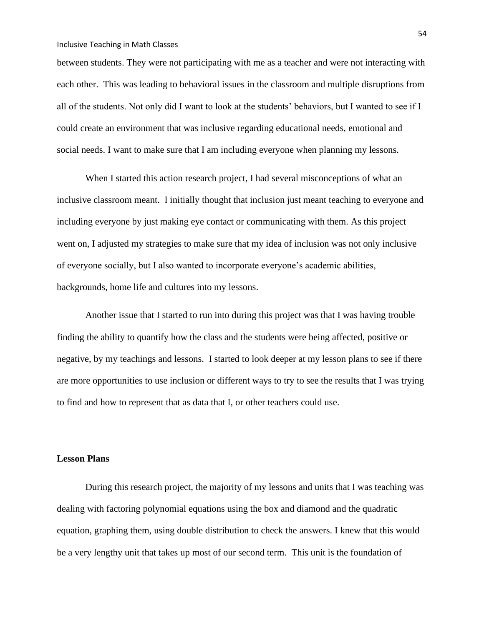between students. They were not participating with me as a teacher and were not interacting with each other. This was leading to behavioral issues in the classroom and multiple disruptions from all of the students. Not only did I want to look at the students' behaviors, but I wanted to see if I could create an environment that was inclusive regarding educational needs, emotional and social needs. I want to make sure that I am including everyone when planning my lessons.

When I started this action research project, I had several misconceptions of what an inclusive classroom meant. I initially thought that inclusion just meant teaching to everyone and including everyone by just making eye contact or communicating with them. As this project went on, I adjusted my strategies to make sure that my idea of inclusion was not only inclusive of everyone socially, but I also wanted to incorporate everyone's academic abilities, backgrounds, home life and cultures into my lessons.

Another issue that I started to run into during this project was that I was having trouble finding the ability to quantify how the class and the students were being affected, positive or negative, by my teachings and lessons. I started to look deeper at my lesson plans to see if there are more opportunities to use inclusion or different ways to try to see the results that I was trying to find and how to represent that as data that I, or other teachers could use.

### **Lesson Plans**

During this research project, the majority of my lessons and units that I was teaching was dealing with factoring polynomial equations using the box and diamond and the quadratic equation, graphing them, using double distribution to check the answers. I knew that this would be a very lengthy unit that takes up most of our second term. This unit is the foundation of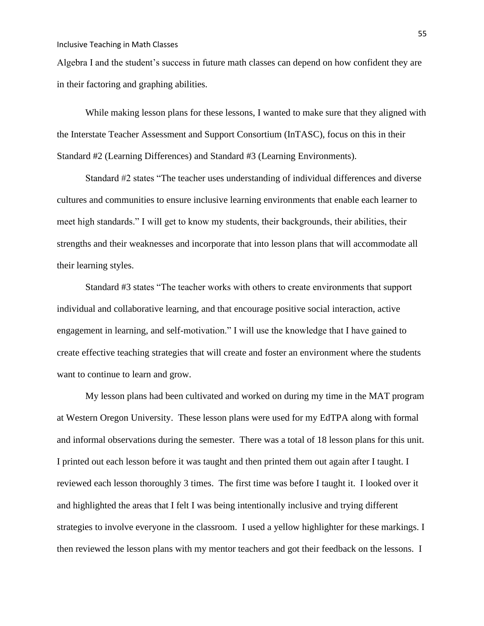Algebra I and the student's success in future math classes can depend on how confident they are in their factoring and graphing abilities.

While making lesson plans for these lessons, I wanted to make sure that they aligned with the Interstate Teacher Assessment and Support Consortium (InTASC), focus on this in their Standard #2 (Learning Differences) and Standard #3 (Learning Environments).

Standard #2 states "The teacher uses understanding of individual differences and diverse cultures and communities to ensure inclusive learning environments that enable each learner to meet high standards." I will get to know my students, their backgrounds, their abilities, their strengths and their weaknesses and incorporate that into lesson plans that will accommodate all their learning styles.

Standard #3 states "The teacher works with others to create environments that support individual and collaborative learning, and that encourage positive social interaction, active engagement in learning, and self-motivation." I will use the knowledge that I have gained to create effective teaching strategies that will create and foster an environment where the students want to continue to learn and grow.

My lesson plans had been cultivated and worked on during my time in the MAT program at Western Oregon University. These lesson plans were used for my EdTPA along with formal and informal observations during the semester. There was a total of 18 lesson plans for this unit. I printed out each lesson before it was taught and then printed them out again after I taught. I reviewed each lesson thoroughly 3 times. The first time was before I taught it. I looked over it and highlighted the areas that I felt I was being intentionally inclusive and trying different strategies to involve everyone in the classroom. I used a yellow highlighter for these markings. I then reviewed the lesson plans with my mentor teachers and got their feedback on the lessons. I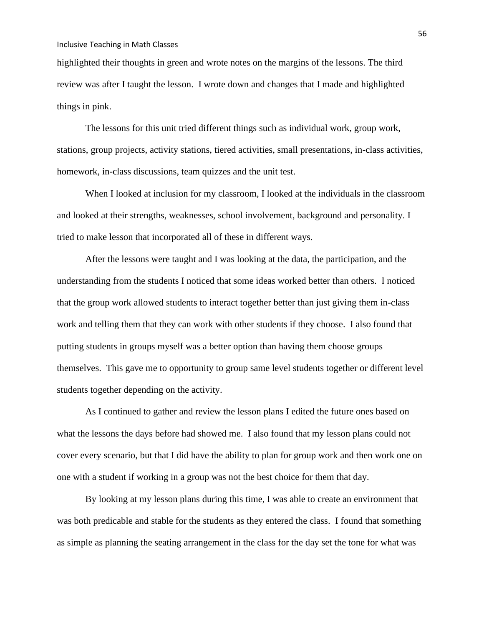highlighted their thoughts in green and wrote notes on the margins of the lessons. The third review was after I taught the lesson. I wrote down and changes that I made and highlighted things in pink.

The lessons for this unit tried different things such as individual work, group work, stations, group projects, activity stations, tiered activities, small presentations, in-class activities, homework, in-class discussions, team quizzes and the unit test.

When I looked at inclusion for my classroom, I looked at the individuals in the classroom and looked at their strengths, weaknesses, school involvement, background and personality. I tried to make lesson that incorporated all of these in different ways.

After the lessons were taught and I was looking at the data, the participation, and the understanding from the students I noticed that some ideas worked better than others. I noticed that the group work allowed students to interact together better than just giving them in-class work and telling them that they can work with other students if they choose. I also found that putting students in groups myself was a better option than having them choose groups themselves. This gave me to opportunity to group same level students together or different level students together depending on the activity.

As I continued to gather and review the lesson plans I edited the future ones based on what the lessons the days before had showed me. I also found that my lesson plans could not cover every scenario, but that I did have the ability to plan for group work and then work one on one with a student if working in a group was not the best choice for them that day.

By looking at my lesson plans during this time, I was able to create an environment that was both predicable and stable for the students as they entered the class. I found that something as simple as planning the seating arrangement in the class for the day set the tone for what was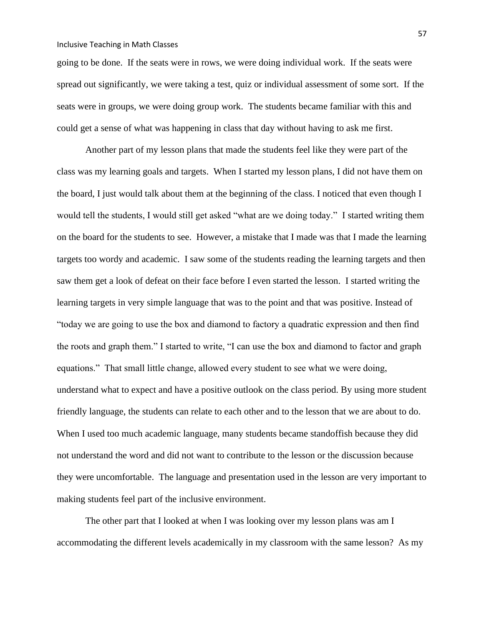going to be done. If the seats were in rows, we were doing individual work. If the seats were spread out significantly, we were taking a test, quiz or individual assessment of some sort. If the seats were in groups, we were doing group work. The students became familiar with this and could get a sense of what was happening in class that day without having to ask me first.

Another part of my lesson plans that made the students feel like they were part of the class was my learning goals and targets. When I started my lesson plans, I did not have them on the board, I just would talk about them at the beginning of the class. I noticed that even though I would tell the students, I would still get asked "what are we doing today." I started writing them on the board for the students to see. However, a mistake that I made was that I made the learning targets too wordy and academic. I saw some of the students reading the learning targets and then saw them get a look of defeat on their face before I even started the lesson. I started writing the learning targets in very simple language that was to the point and that was positive. Instead of "today we are going to use the box and diamond to factory a quadratic expression and then find the roots and graph them." I started to write, "I can use the box and diamond to factor and graph equations." That small little change, allowed every student to see what we were doing, understand what to expect and have a positive outlook on the class period. By using more student friendly language, the students can relate to each other and to the lesson that we are about to do. When I used too much academic language, many students became standoffish because they did not understand the word and did not want to contribute to the lesson or the discussion because they were uncomfortable. The language and presentation used in the lesson are very important to making students feel part of the inclusive environment.

The other part that I looked at when I was looking over my lesson plans was am I accommodating the different levels academically in my classroom with the same lesson? As my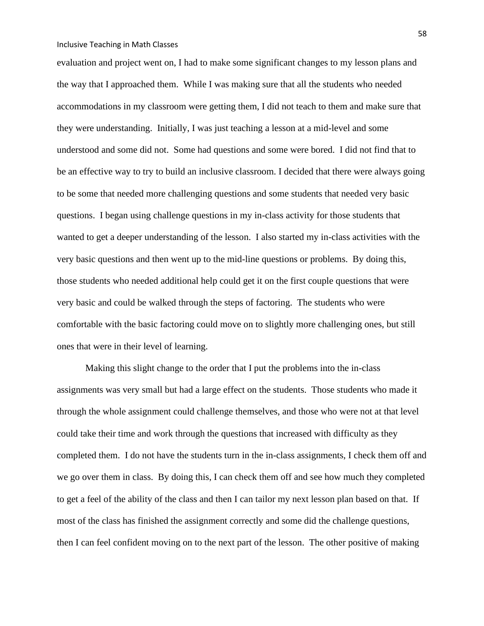evaluation and project went on, I had to make some significant changes to my lesson plans and the way that I approached them. While I was making sure that all the students who needed accommodations in my classroom were getting them, I did not teach to them and make sure that they were understanding. Initially, I was just teaching a lesson at a mid-level and some understood and some did not. Some had questions and some were bored. I did not find that to be an effective way to try to build an inclusive classroom. I decided that there were always going to be some that needed more challenging questions and some students that needed very basic questions. I began using challenge questions in my in-class activity for those students that wanted to get a deeper understanding of the lesson. I also started my in-class activities with the very basic questions and then went up to the mid-line questions or problems. By doing this, those students who needed additional help could get it on the first couple questions that were very basic and could be walked through the steps of factoring. The students who were comfortable with the basic factoring could move on to slightly more challenging ones, but still ones that were in their level of learning.

Making this slight change to the order that I put the problems into the in-class assignments was very small but had a large effect on the students. Those students who made it through the whole assignment could challenge themselves, and those who were not at that level could take their time and work through the questions that increased with difficulty as they completed them. I do not have the students turn in the in-class assignments, I check them off and we go over them in class. By doing this, I can check them off and see how much they completed to get a feel of the ability of the class and then I can tailor my next lesson plan based on that. If most of the class has finished the assignment correctly and some did the challenge questions, then I can feel confident moving on to the next part of the lesson. The other positive of making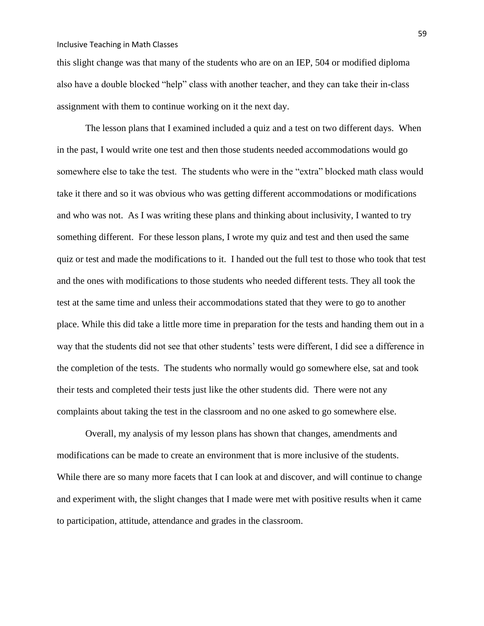this slight change was that many of the students who are on an IEP, 504 or modified diploma also have a double blocked "help" class with another teacher, and they can take their in-class assignment with them to continue working on it the next day.

The lesson plans that I examined included a quiz and a test on two different days. When in the past, I would write one test and then those students needed accommodations would go somewhere else to take the test. The students who were in the "extra" blocked math class would take it there and so it was obvious who was getting different accommodations or modifications and who was not. As I was writing these plans and thinking about inclusivity, I wanted to try something different. For these lesson plans, I wrote my quiz and test and then used the same quiz or test and made the modifications to it. I handed out the full test to those who took that test and the ones with modifications to those students who needed different tests. They all took the test at the same time and unless their accommodations stated that they were to go to another place. While this did take a little more time in preparation for the tests and handing them out in a way that the students did not see that other students' tests were different, I did see a difference in the completion of the tests. The students who normally would go somewhere else, sat and took their tests and completed their tests just like the other students did. There were not any complaints about taking the test in the classroom and no one asked to go somewhere else.

Overall, my analysis of my lesson plans has shown that changes, amendments and modifications can be made to create an environment that is more inclusive of the students. While there are so many more facets that I can look at and discover, and will continue to change and experiment with, the slight changes that I made were met with positive results when it came to participation, attitude, attendance and grades in the classroom.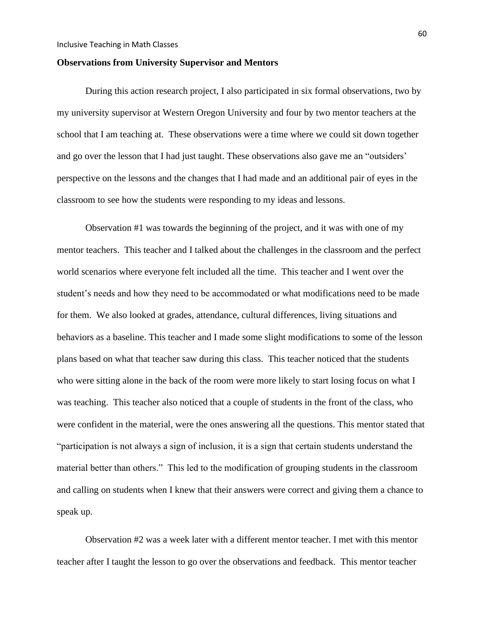### **Observations from University Supervisor and Mentors**

During this action research project, I also participated in six formal observations, two by my university supervisor at Western Oregon University and four by two mentor teachers at the school that I am teaching at. These observations were a time where we could sit down together and go over the lesson that I had just taught. These observations also gave me an "outsiders' perspective on the lessons and the changes that I had made and an additional pair of eyes in the classroom to see how the students were responding to my ideas and lessons.

Observation #1 was towards the beginning of the project, and it was with one of my mentor teachers. This teacher and I talked about the challenges in the classroom and the perfect world scenarios where everyone felt included all the time. This teacher and I went over the student's needs and how they need to be accommodated or what modifications need to be made for them. We also looked at grades, attendance, cultural differences, living situations and behaviors as a baseline. This teacher and I made some slight modifications to some of the lesson plans based on what that teacher saw during this class. This teacher noticed that the students who were sitting alone in the back of the room were more likely to start losing focus on what I was teaching. This teacher also noticed that a couple of students in the front of the class, who were confident in the material, were the ones answering all the questions. This mentor stated that "participation is not always a sign of inclusion, it is a sign that certain students understand the material better than others." This led to the modification of grouping students in the classroom and calling on students when I knew that their answers were correct and giving them a chance to speak up.

Observation #2 was a week later with a different mentor teacher. I met with this mentor teacher after I taught the lesson to go over the observations and feedback. This mentor teacher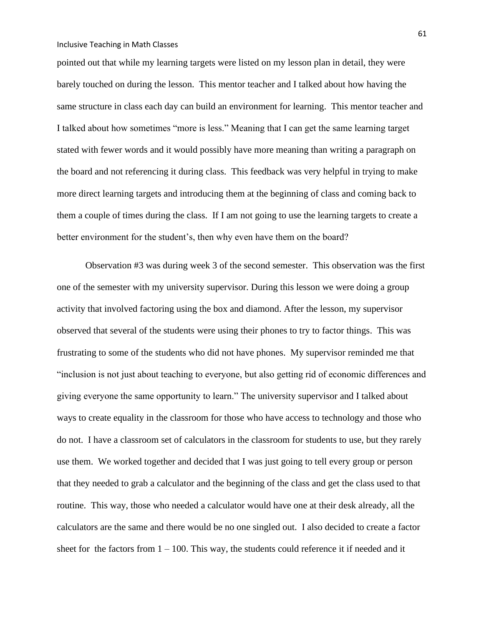pointed out that while my learning targets were listed on my lesson plan in detail, they were barely touched on during the lesson. This mentor teacher and I talked about how having the same structure in class each day can build an environment for learning. This mentor teacher and I talked about how sometimes "more is less." Meaning that I can get the same learning target stated with fewer words and it would possibly have more meaning than writing a paragraph on the board and not referencing it during class. This feedback was very helpful in trying to make more direct learning targets and introducing them at the beginning of class and coming back to them a couple of times during the class. If I am not going to use the learning targets to create a better environment for the student's, then why even have them on the board?

Observation #3 was during week 3 of the second semester. This observation was the first one of the semester with my university supervisor. During this lesson we were doing a group activity that involved factoring using the box and diamond. After the lesson, my supervisor observed that several of the students were using their phones to try to factor things. This was frustrating to some of the students who did not have phones. My supervisor reminded me that "inclusion is not just about teaching to everyone, but also getting rid of economic differences and giving everyone the same opportunity to learn." The university supervisor and I talked about ways to create equality in the classroom for those who have access to technology and those who do not. I have a classroom set of calculators in the classroom for students to use, but they rarely use them. We worked together and decided that I was just going to tell every group or person that they needed to grab a calculator and the beginning of the class and get the class used to that routine. This way, those who needed a calculator would have one at their desk already, all the calculators are the same and there would be no one singled out. I also decided to create a factor sheet for the factors from  $1 - 100$ . This way, the students could reference it if needed and it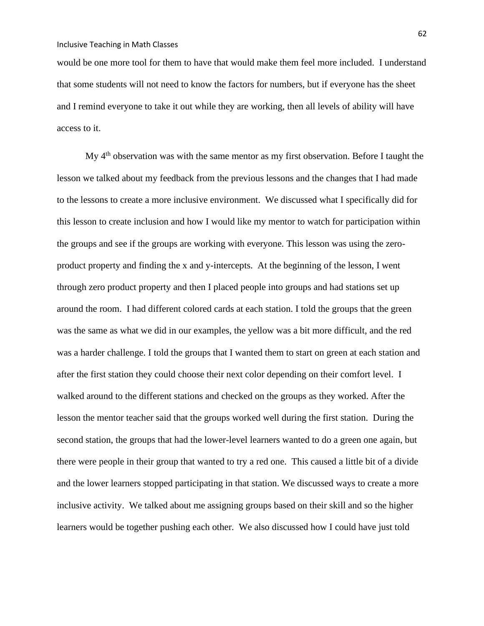would be one more tool for them to have that would make them feel more included. I understand that some students will not need to know the factors for numbers, but if everyone has the sheet and I remind everyone to take it out while they are working, then all levels of ability will have access to it.

My  $4<sup>th</sup>$  observation was with the same mentor as my first observation. Before I taught the lesson we talked about my feedback from the previous lessons and the changes that I had made to the lessons to create a more inclusive environment. We discussed what I specifically did for this lesson to create inclusion and how I would like my mentor to watch for participation within the groups and see if the groups are working with everyone. This lesson was using the zeroproduct property and finding the x and y-intercepts. At the beginning of the lesson, I went through zero product property and then I placed people into groups and had stations set up around the room. I had different colored cards at each station. I told the groups that the green was the same as what we did in our examples, the yellow was a bit more difficult, and the red was a harder challenge. I told the groups that I wanted them to start on green at each station and after the first station they could choose their next color depending on their comfort level. I walked around to the different stations and checked on the groups as they worked. After the lesson the mentor teacher said that the groups worked well during the first station. During the second station, the groups that had the lower-level learners wanted to do a green one again, but there were people in their group that wanted to try a red one. This caused a little bit of a divide and the lower learners stopped participating in that station. We discussed ways to create a more inclusive activity. We talked about me assigning groups based on their skill and so the higher learners would be together pushing each other. We also discussed how I could have just told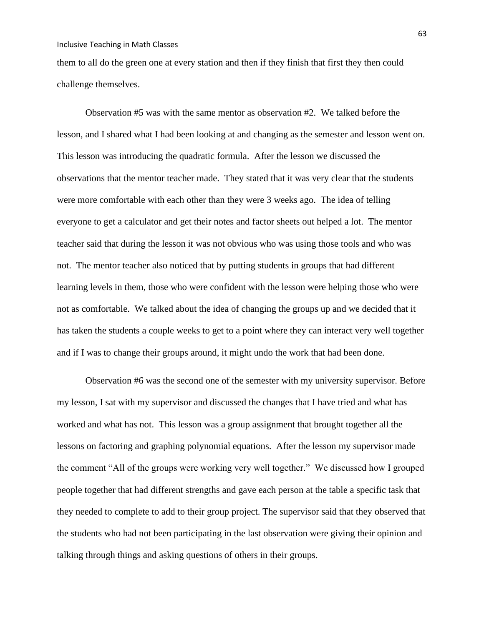them to all do the green one at every station and then if they finish that first they then could challenge themselves.

Observation #5 was with the same mentor as observation #2. We talked before the lesson, and I shared what I had been looking at and changing as the semester and lesson went on. This lesson was introducing the quadratic formula. After the lesson we discussed the observations that the mentor teacher made. They stated that it was very clear that the students were more comfortable with each other than they were 3 weeks ago. The idea of telling everyone to get a calculator and get their notes and factor sheets out helped a lot. The mentor teacher said that during the lesson it was not obvious who was using those tools and who was not. The mentor teacher also noticed that by putting students in groups that had different learning levels in them, those who were confident with the lesson were helping those who were not as comfortable. We talked about the idea of changing the groups up and we decided that it has taken the students a couple weeks to get to a point where they can interact very well together and if I was to change their groups around, it might undo the work that had been done.

Observation #6 was the second one of the semester with my university supervisor. Before my lesson, I sat with my supervisor and discussed the changes that I have tried and what has worked and what has not. This lesson was a group assignment that brought together all the lessons on factoring and graphing polynomial equations. After the lesson my supervisor made the comment "All of the groups were working very well together." We discussed how I grouped people together that had different strengths and gave each person at the table a specific task that they needed to complete to add to their group project. The supervisor said that they observed that the students who had not been participating in the last observation were giving their opinion and talking through things and asking questions of others in their groups.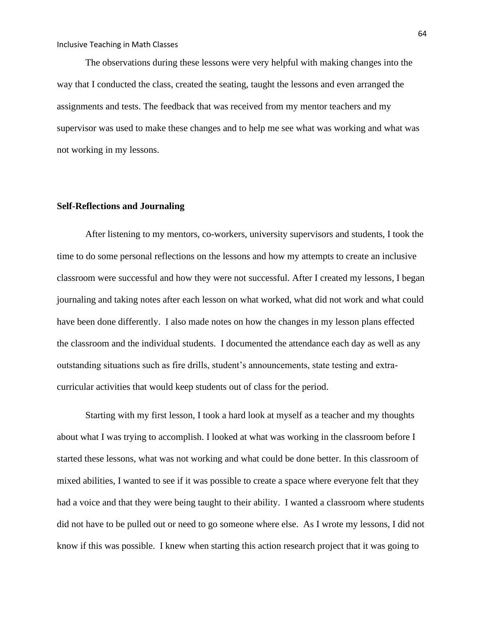The observations during these lessons were very helpful with making changes into the way that I conducted the class, created the seating, taught the lessons and even arranged the assignments and tests. The feedback that was received from my mentor teachers and my supervisor was used to make these changes and to help me see what was working and what was not working in my lessons.

## **Self-Reflections and Journaling**

After listening to my mentors, co-workers, university supervisors and students, I took the time to do some personal reflections on the lessons and how my attempts to create an inclusive classroom were successful and how they were not successful. After I created my lessons, I began journaling and taking notes after each lesson on what worked, what did not work and what could have been done differently. I also made notes on how the changes in my lesson plans effected the classroom and the individual students. I documented the attendance each day as well as any outstanding situations such as fire drills, student's announcements, state testing and extracurricular activities that would keep students out of class for the period.

Starting with my first lesson, I took a hard look at myself as a teacher and my thoughts about what I was trying to accomplish. I looked at what was working in the classroom before I started these lessons, what was not working and what could be done better. In this classroom of mixed abilities, I wanted to see if it was possible to create a space where everyone felt that they had a voice and that they were being taught to their ability. I wanted a classroom where students did not have to be pulled out or need to go someone where else. As I wrote my lessons, I did not know if this was possible. I knew when starting this action research project that it was going to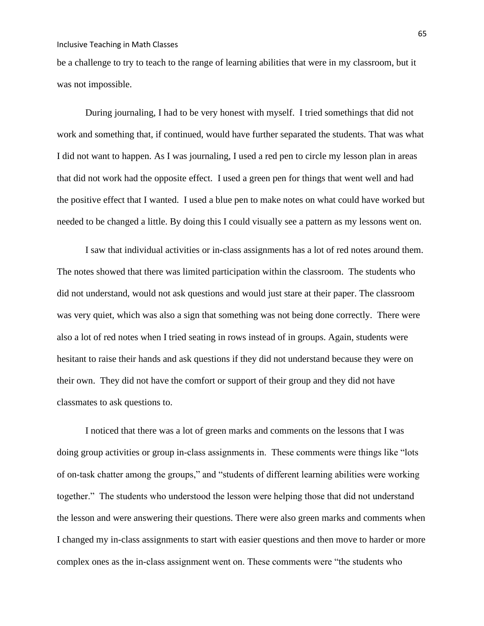be a challenge to try to teach to the range of learning abilities that were in my classroom, but it was not impossible.

During journaling, I had to be very honest with myself. I tried somethings that did not work and something that, if continued, would have further separated the students. That was what I did not want to happen. As I was journaling, I used a red pen to circle my lesson plan in areas that did not work had the opposite effect. I used a green pen for things that went well and had the positive effect that I wanted. I used a blue pen to make notes on what could have worked but needed to be changed a little. By doing this I could visually see a pattern as my lessons went on.

I saw that individual activities or in-class assignments has a lot of red notes around them. The notes showed that there was limited participation within the classroom. The students who did not understand, would not ask questions and would just stare at their paper. The classroom was very quiet, which was also a sign that something was not being done correctly. There were also a lot of red notes when I tried seating in rows instead of in groups. Again, students were hesitant to raise their hands and ask questions if they did not understand because they were on their own. They did not have the comfort or support of their group and they did not have classmates to ask questions to.

I noticed that there was a lot of green marks and comments on the lessons that I was doing group activities or group in-class assignments in. These comments were things like "lots of on-task chatter among the groups," and "students of different learning abilities were working together." The students who understood the lesson were helping those that did not understand the lesson and were answering their questions. There were also green marks and comments when I changed my in-class assignments to start with easier questions and then move to harder or more complex ones as the in-class assignment went on. These comments were "the students who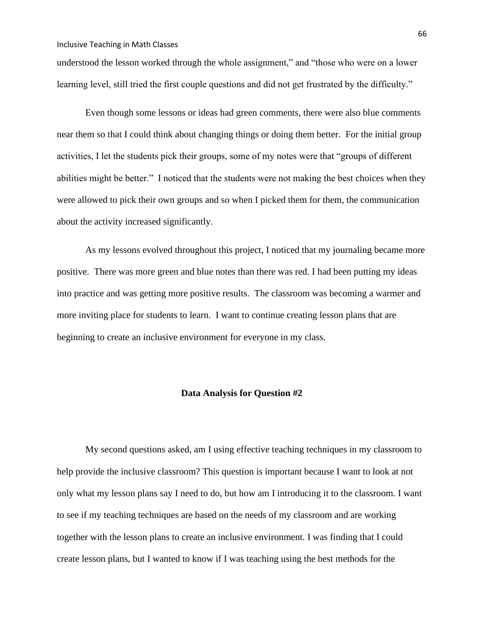understood the lesson worked through the whole assignment," and "those who were on a lower learning level, still tried the first couple questions and did not get frustrated by the difficulty."

Even though some lessons or ideas had green comments, there were also blue comments near them so that I could think about changing things or doing them better. For the initial group activities, I let the students pick their groups, some of my notes were that "groups of different abilities might be better." I noticed that the students were not making the best choices when they were allowed to pick their own groups and so when I picked them for them, the communication about the activity increased significantly.

As my lessons evolved throughout this project, I noticed that my journaling became more positive. There was more green and blue notes than there was red. I had been putting my ideas into practice and was getting more positive results. The classroom was becoming a warmer and more inviting place for students to learn. I want to continue creating lesson plans that are beginning to create an inclusive environment for everyone in my class.

# **Data Analysis for Question #2**

My second questions asked, am I using effective teaching techniques in my classroom to help provide the inclusive classroom? This question is important because I want to look at not only what my lesson plans say I need to do, but how am I introducing it to the classroom. I want to see if my teaching techniques are based on the needs of my classroom and are working together with the lesson plans to create an inclusive environment. I was finding that I could create lesson plans, but I wanted to know if I was teaching using the best methods for the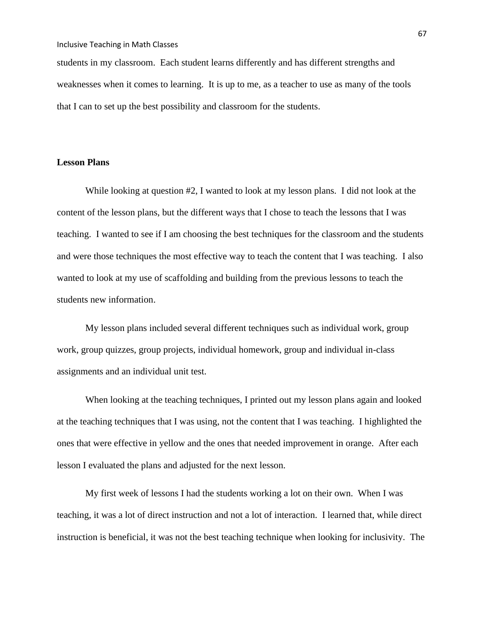students in my classroom. Each student learns differently and has different strengths and weaknesses when it comes to learning. It is up to me, as a teacher to use as many of the tools that I can to set up the best possibility and classroom for the students.

# **Lesson Plans**

While looking at question #2, I wanted to look at my lesson plans. I did not look at the content of the lesson plans, but the different ways that I chose to teach the lessons that I was teaching. I wanted to see if I am choosing the best techniques for the classroom and the students and were those techniques the most effective way to teach the content that I was teaching. I also wanted to look at my use of scaffolding and building from the previous lessons to teach the students new information.

My lesson plans included several different techniques such as individual work, group work, group quizzes, group projects, individual homework, group and individual in-class assignments and an individual unit test.

When looking at the teaching techniques, I printed out my lesson plans again and looked at the teaching techniques that I was using, not the content that I was teaching. I highlighted the ones that were effective in yellow and the ones that needed improvement in orange. After each lesson I evaluated the plans and adjusted for the next lesson.

My first week of lessons I had the students working a lot on their own. When I was teaching, it was a lot of direct instruction and not a lot of interaction. I learned that, while direct instruction is beneficial, it was not the best teaching technique when looking for inclusivity. The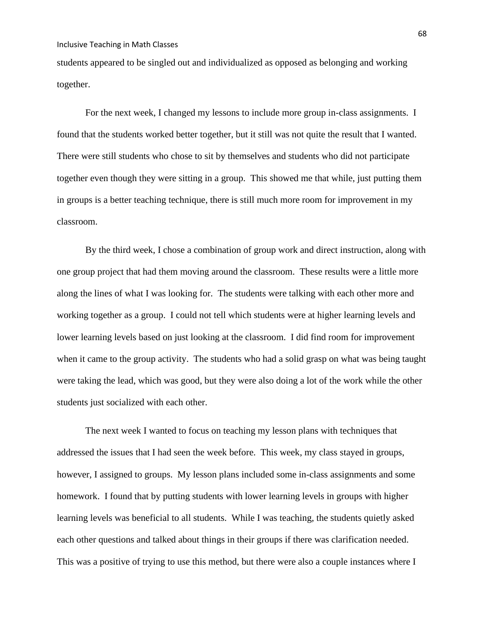students appeared to be singled out and individualized as opposed as belonging and working together.

For the next week, I changed my lessons to include more group in-class assignments. I found that the students worked better together, but it still was not quite the result that I wanted. There were still students who chose to sit by themselves and students who did not participate together even though they were sitting in a group. This showed me that while, just putting them in groups is a better teaching technique, there is still much more room for improvement in my classroom.

By the third week, I chose a combination of group work and direct instruction, along with one group project that had them moving around the classroom. These results were a little more along the lines of what I was looking for. The students were talking with each other more and working together as a group. I could not tell which students were at higher learning levels and lower learning levels based on just looking at the classroom. I did find room for improvement when it came to the group activity. The students who had a solid grasp on what was being taught were taking the lead, which was good, but they were also doing a lot of the work while the other students just socialized with each other.

The next week I wanted to focus on teaching my lesson plans with techniques that addressed the issues that I had seen the week before. This week, my class stayed in groups, however, I assigned to groups. My lesson plans included some in-class assignments and some homework. I found that by putting students with lower learning levels in groups with higher learning levels was beneficial to all students. While I was teaching, the students quietly asked each other questions and talked about things in their groups if there was clarification needed. This was a positive of trying to use this method, but there were also a couple instances where I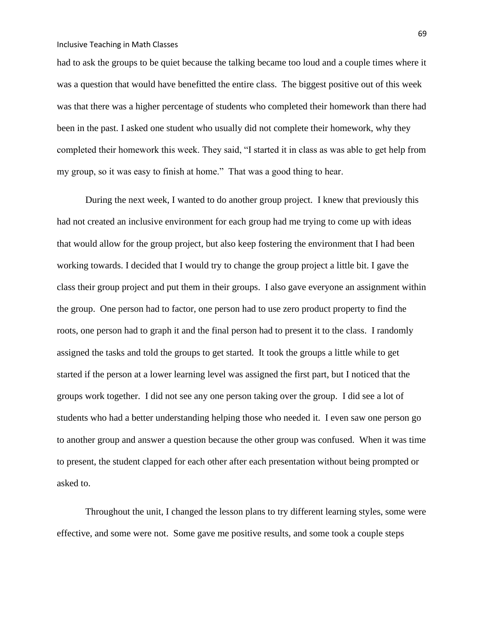had to ask the groups to be quiet because the talking became too loud and a couple times where it was a question that would have benefitted the entire class. The biggest positive out of this week was that there was a higher percentage of students who completed their homework than there had been in the past. I asked one student who usually did not complete their homework, why they completed their homework this week. They said, "I started it in class as was able to get help from my group, so it was easy to finish at home." That was a good thing to hear.

During the next week, I wanted to do another group project. I knew that previously this had not created an inclusive environment for each group had me trying to come up with ideas that would allow for the group project, but also keep fostering the environment that I had been working towards. I decided that I would try to change the group project a little bit. I gave the class their group project and put them in their groups. I also gave everyone an assignment within the group. One person had to factor, one person had to use zero product property to find the roots, one person had to graph it and the final person had to present it to the class. I randomly assigned the tasks and told the groups to get started. It took the groups a little while to get started if the person at a lower learning level was assigned the first part, but I noticed that the groups work together. I did not see any one person taking over the group. I did see a lot of students who had a better understanding helping those who needed it. I even saw one person go to another group and answer a question because the other group was confused. When it was time to present, the student clapped for each other after each presentation without being prompted or asked to.

Throughout the unit, I changed the lesson plans to try different learning styles, some were effective, and some were not. Some gave me positive results, and some took a couple steps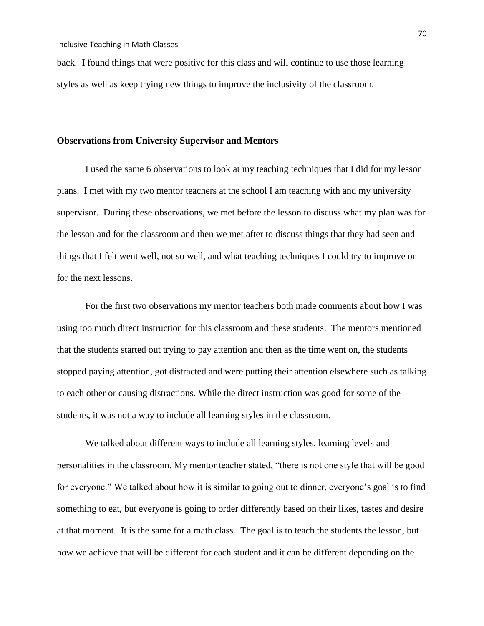back. I found things that were positive for this class and will continue to use those learning styles as well as keep trying new things to improve the inclusivity of the classroom.

#### **Observations from University Supervisor and Mentors**

I used the same 6 observations to look at my teaching techniques that I did for my lesson plans. I met with my two mentor teachers at the school I am teaching with and my university supervisor. During these observations, we met before the lesson to discuss what my plan was for the lesson and for the classroom and then we met after to discuss things that they had seen and things that I felt went well, not so well, and what teaching techniques I could try to improve on for the next lessons.

For the first two observations my mentor teachers both made comments about how I was using too much direct instruction for this classroom and these students. The mentors mentioned that the students started out trying to pay attention and then as the time went on, the students stopped paying attention, got distracted and were putting their attention elsewhere such as talking to each other or causing distractions. While the direct instruction was good for some of the students, it was not a way to include all learning styles in the classroom.

We talked about different ways to include all learning styles, learning levels and personalities in the classroom. My mentor teacher stated, "there is not one style that will be good for everyone." We talked about how it is similar to going out to dinner, everyone's goal is to find something to eat, but everyone is going to order differently based on their likes, tastes and desire at that moment. It is the same for a math class. The goal is to teach the students the lesson, but how we achieve that will be different for each student and it can be different depending on the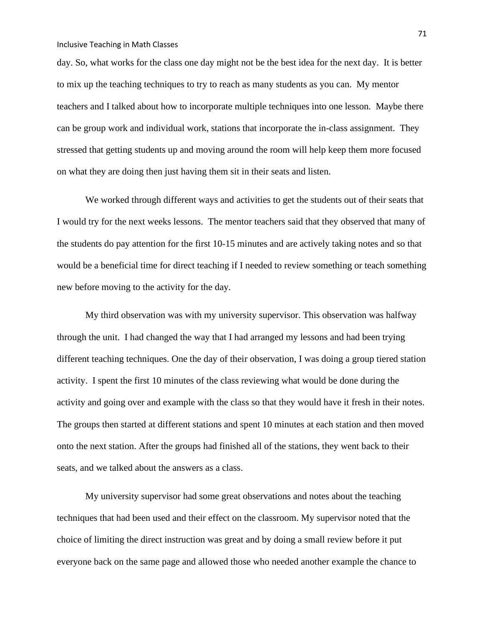day. So, what works for the class one day might not be the best idea for the next day. It is better to mix up the teaching techniques to try to reach as many students as you can. My mentor teachers and I talked about how to incorporate multiple techniques into one lesson. Maybe there can be group work and individual work, stations that incorporate the in-class assignment. They stressed that getting students up and moving around the room will help keep them more focused on what they are doing then just having them sit in their seats and listen.

We worked through different ways and activities to get the students out of their seats that I would try for the next weeks lessons. The mentor teachers said that they observed that many of the students do pay attention for the first 10-15 minutes and are actively taking notes and so that would be a beneficial time for direct teaching if I needed to review something or teach something new before moving to the activity for the day.

My third observation was with my university supervisor. This observation was halfway through the unit. I had changed the way that I had arranged my lessons and had been trying different teaching techniques. One the day of their observation, I was doing a group tiered station activity. I spent the first 10 minutes of the class reviewing what would be done during the activity and going over and example with the class so that they would have it fresh in their notes. The groups then started at different stations and spent 10 minutes at each station and then moved onto the next station. After the groups had finished all of the stations, they went back to their seats, and we talked about the answers as a class.

My university supervisor had some great observations and notes about the teaching techniques that had been used and their effect on the classroom. My supervisor noted that the choice of limiting the direct instruction was great and by doing a small review before it put everyone back on the same page and allowed those who needed another example the chance to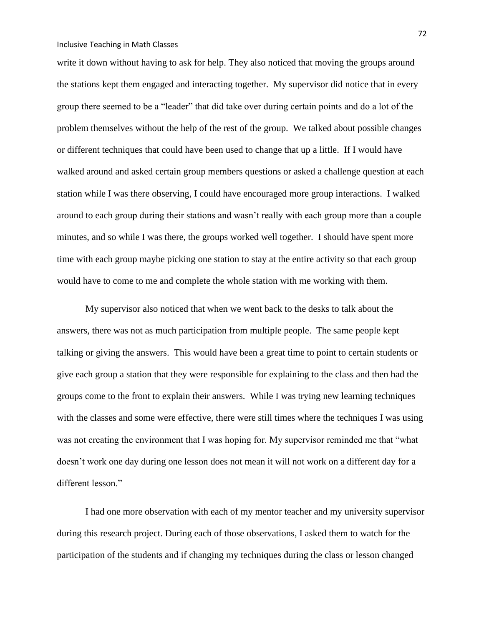write it down without having to ask for help. They also noticed that moving the groups around the stations kept them engaged and interacting together. My supervisor did notice that in every group there seemed to be a "leader" that did take over during certain points and do a lot of the problem themselves without the help of the rest of the group. We talked about possible changes or different techniques that could have been used to change that up a little. If I would have walked around and asked certain group members questions or asked a challenge question at each station while I was there observing, I could have encouraged more group interactions. I walked around to each group during their stations and wasn't really with each group more than a couple minutes, and so while I was there, the groups worked well together. I should have spent more time with each group maybe picking one station to stay at the entire activity so that each group would have to come to me and complete the whole station with me working with them.

My supervisor also noticed that when we went back to the desks to talk about the answers, there was not as much participation from multiple people. The same people kept talking or giving the answers. This would have been a great time to point to certain students or give each group a station that they were responsible for explaining to the class and then had the groups come to the front to explain their answers. While I was trying new learning techniques with the classes and some were effective, there were still times where the techniques I was using was not creating the environment that I was hoping for. My supervisor reminded me that "what doesn't work one day during one lesson does not mean it will not work on a different day for a different lesson."

I had one more observation with each of my mentor teacher and my university supervisor during this research project. During each of those observations, I asked them to watch for the participation of the students and if changing my techniques during the class or lesson changed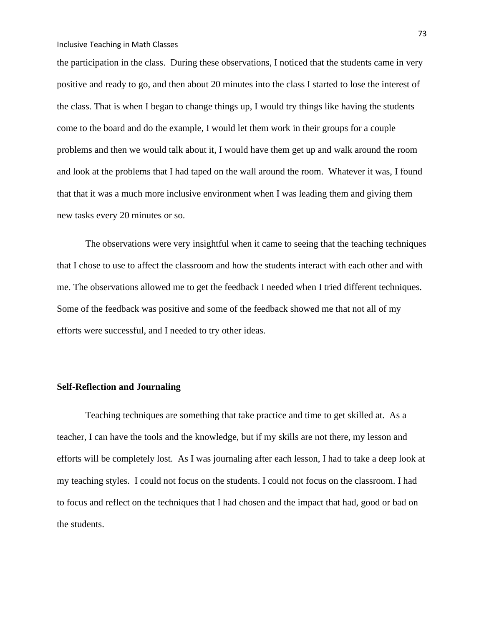the participation in the class. During these observations, I noticed that the students came in very positive and ready to go, and then about 20 minutes into the class I started to lose the interest of the class. That is when I began to change things up, I would try things like having the students come to the board and do the example, I would let them work in their groups for a couple problems and then we would talk about it, I would have them get up and walk around the room and look at the problems that I had taped on the wall around the room. Whatever it was, I found that that it was a much more inclusive environment when I was leading them and giving them new tasks every 20 minutes or so.

The observations were very insightful when it came to seeing that the teaching techniques that I chose to use to affect the classroom and how the students interact with each other and with me. The observations allowed me to get the feedback I needed when I tried different techniques. Some of the feedback was positive and some of the feedback showed me that not all of my efforts were successful, and I needed to try other ideas.

# **Self-Reflection and Journaling**

Teaching techniques are something that take practice and time to get skilled at. As a teacher, I can have the tools and the knowledge, but if my skills are not there, my lesson and efforts will be completely lost. As I was journaling after each lesson, I had to take a deep look at my teaching styles. I could not focus on the students. I could not focus on the classroom. I had to focus and reflect on the techniques that I had chosen and the impact that had, good or bad on the students.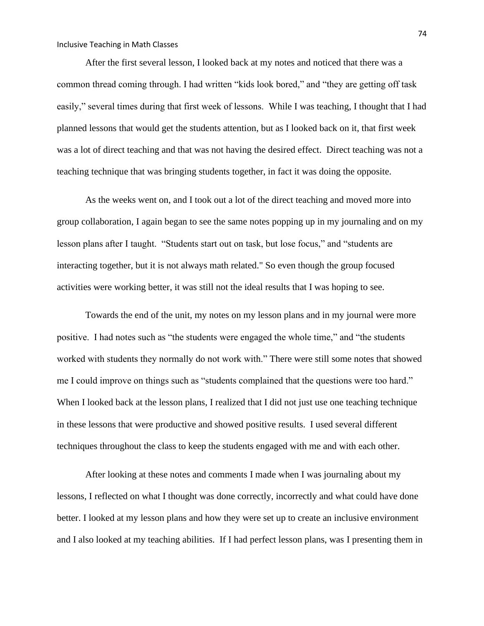After the first several lesson, I looked back at my notes and noticed that there was a common thread coming through. I had written "kids look bored," and "they are getting off task easily," several times during that first week of lessons. While I was teaching, I thought that I had planned lessons that would get the students attention, but as I looked back on it, that first week was a lot of direct teaching and that was not having the desired effect. Direct teaching was not a teaching technique that was bringing students together, in fact it was doing the opposite.

As the weeks went on, and I took out a lot of the direct teaching and moved more into group collaboration, I again began to see the same notes popping up in my journaling and on my lesson plans after I taught. "Students start out on task, but lose focus," and "students are interacting together, but it is not always math related." So even though the group focused activities were working better, it was still not the ideal results that I was hoping to see.

Towards the end of the unit, my notes on my lesson plans and in my journal were more positive. I had notes such as "the students were engaged the whole time," and "the students worked with students they normally do not work with." There were still some notes that showed me I could improve on things such as "students complained that the questions were too hard." When I looked back at the lesson plans, I realized that I did not just use one teaching technique in these lessons that were productive and showed positive results. I used several different techniques throughout the class to keep the students engaged with me and with each other.

After looking at these notes and comments I made when I was journaling about my lessons, I reflected on what I thought was done correctly, incorrectly and what could have done better. I looked at my lesson plans and how they were set up to create an inclusive environment and I also looked at my teaching abilities. If I had perfect lesson plans, was I presenting them in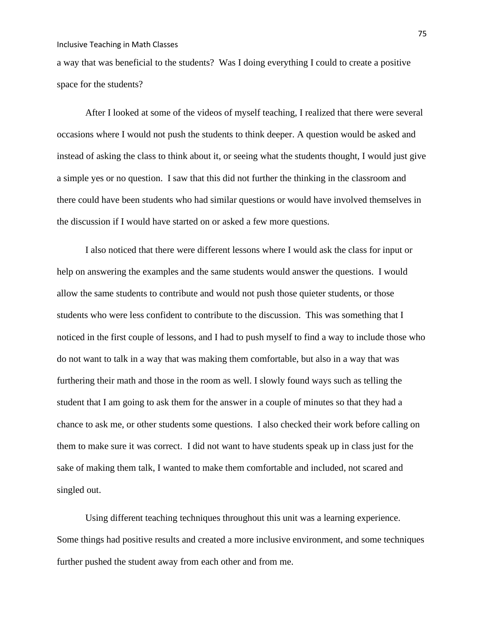a way that was beneficial to the students? Was I doing everything I could to create a positive space for the students?

After I looked at some of the videos of myself teaching, I realized that there were several occasions where I would not push the students to think deeper. A question would be asked and instead of asking the class to think about it, or seeing what the students thought, I would just give a simple yes or no question. I saw that this did not further the thinking in the classroom and there could have been students who had similar questions or would have involved themselves in the discussion if I would have started on or asked a few more questions.

I also noticed that there were different lessons where I would ask the class for input or help on answering the examples and the same students would answer the questions. I would allow the same students to contribute and would not push those quieter students, or those students who were less confident to contribute to the discussion. This was something that I noticed in the first couple of lessons, and I had to push myself to find a way to include those who do not want to talk in a way that was making them comfortable, but also in a way that was furthering their math and those in the room as well. I slowly found ways such as telling the student that I am going to ask them for the answer in a couple of minutes so that they had a chance to ask me, or other students some questions. I also checked their work before calling on them to make sure it was correct. I did not want to have students speak up in class just for the sake of making them talk, I wanted to make them comfortable and included, not scared and singled out.

Using different teaching techniques throughout this unit was a learning experience. Some things had positive results and created a more inclusive environment, and some techniques further pushed the student away from each other and from me.

75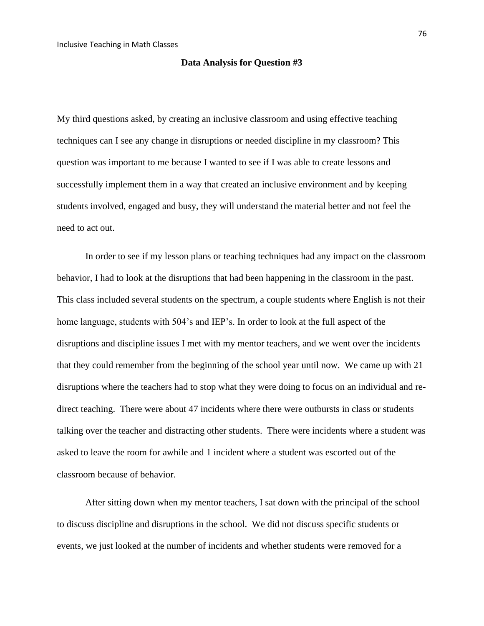#### **Data Analysis for Question #3**

My third questions asked, by creating an inclusive classroom and using effective teaching techniques can I see any change in disruptions or needed discipline in my classroom? This question was important to me because I wanted to see if I was able to create lessons and successfully implement them in a way that created an inclusive environment and by keeping students involved, engaged and busy, they will understand the material better and not feel the need to act out.

In order to see if my lesson plans or teaching techniques had any impact on the classroom behavior, I had to look at the disruptions that had been happening in the classroom in the past. This class included several students on the spectrum, a couple students where English is not their home language, students with 504's and IEP's. In order to look at the full aspect of the disruptions and discipline issues I met with my mentor teachers, and we went over the incidents that they could remember from the beginning of the school year until now. We came up with 21 disruptions where the teachers had to stop what they were doing to focus on an individual and redirect teaching. There were about 47 incidents where there were outbursts in class or students talking over the teacher and distracting other students. There were incidents where a student was asked to leave the room for awhile and 1 incident where a student was escorted out of the classroom because of behavior.

After sitting down when my mentor teachers, I sat down with the principal of the school to discuss discipline and disruptions in the school. We did not discuss specific students or events, we just looked at the number of incidents and whether students were removed for a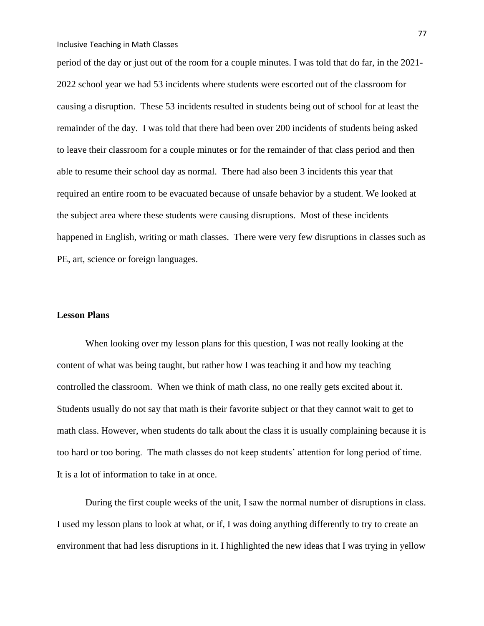period of the day or just out of the room for a couple minutes. I was told that do far, in the 2021- 2022 school year we had 53 incidents where students were escorted out of the classroom for causing a disruption. These 53 incidents resulted in students being out of school for at least the remainder of the day. I was told that there had been over 200 incidents of students being asked to leave their classroom for a couple minutes or for the remainder of that class period and then able to resume their school day as normal. There had also been 3 incidents this year that required an entire room to be evacuated because of unsafe behavior by a student. We looked at the subject area where these students were causing disruptions. Most of these incidents happened in English, writing or math classes. There were very few disruptions in classes such as PE, art, science or foreign languages.

### **Lesson Plans**

When looking over my lesson plans for this question, I was not really looking at the content of what was being taught, but rather how I was teaching it and how my teaching controlled the classroom. When we think of math class, no one really gets excited about it. Students usually do not say that math is their favorite subject or that they cannot wait to get to math class. However, when students do talk about the class it is usually complaining because it is too hard or too boring. The math classes do not keep students' attention for long period of time. It is a lot of information to take in at once.

During the first couple weeks of the unit, I saw the normal number of disruptions in class. I used my lesson plans to look at what, or if, I was doing anything differently to try to create an environment that had less disruptions in it. I highlighted the new ideas that I was trying in yellow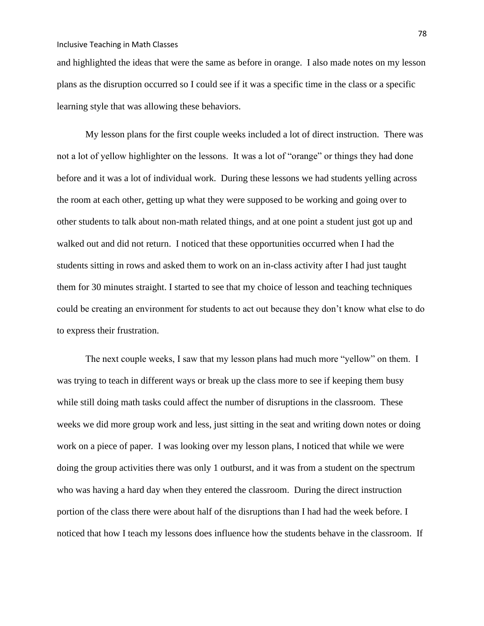and highlighted the ideas that were the same as before in orange. I also made notes on my lesson plans as the disruption occurred so I could see if it was a specific time in the class or a specific learning style that was allowing these behaviors.

My lesson plans for the first couple weeks included a lot of direct instruction. There was not a lot of yellow highlighter on the lessons. It was a lot of "orange" or things they had done before and it was a lot of individual work. During these lessons we had students yelling across the room at each other, getting up what they were supposed to be working and going over to other students to talk about non-math related things, and at one point a student just got up and walked out and did not return. I noticed that these opportunities occurred when I had the students sitting in rows and asked them to work on an in-class activity after I had just taught them for 30 minutes straight. I started to see that my choice of lesson and teaching techniques could be creating an environment for students to act out because they don't know what else to do to express their frustration.

The next couple weeks, I saw that my lesson plans had much more "yellow" on them. I was trying to teach in different ways or break up the class more to see if keeping them busy while still doing math tasks could affect the number of disruptions in the classroom. These weeks we did more group work and less, just sitting in the seat and writing down notes or doing work on a piece of paper. I was looking over my lesson plans, I noticed that while we were doing the group activities there was only 1 outburst, and it was from a student on the spectrum who was having a hard day when they entered the classroom. During the direct instruction portion of the class there were about half of the disruptions than I had had the week before. I noticed that how I teach my lessons does influence how the students behave in the classroom. If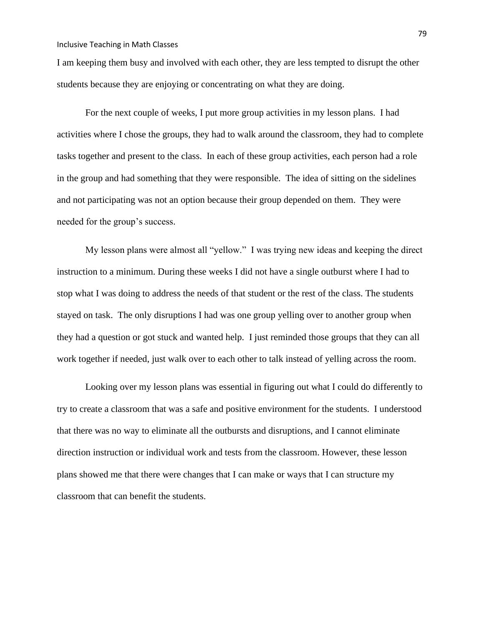I am keeping them busy and involved with each other, they are less tempted to disrupt the other students because they are enjoying or concentrating on what they are doing.

For the next couple of weeks, I put more group activities in my lesson plans. I had activities where I chose the groups, they had to walk around the classroom, they had to complete tasks together and present to the class. In each of these group activities, each person had a role in the group and had something that they were responsible. The idea of sitting on the sidelines and not participating was not an option because their group depended on them. They were needed for the group's success.

My lesson plans were almost all "yellow." I was trying new ideas and keeping the direct instruction to a minimum. During these weeks I did not have a single outburst where I had to stop what I was doing to address the needs of that student or the rest of the class. The students stayed on task. The only disruptions I had was one group yelling over to another group when they had a question or got stuck and wanted help. I just reminded those groups that they can all work together if needed, just walk over to each other to talk instead of yelling across the room.

Looking over my lesson plans was essential in figuring out what I could do differently to try to create a classroom that was a safe and positive environment for the students. I understood that there was no way to eliminate all the outbursts and disruptions, and I cannot eliminate direction instruction or individual work and tests from the classroom. However, these lesson plans showed me that there were changes that I can make or ways that I can structure my classroom that can benefit the students.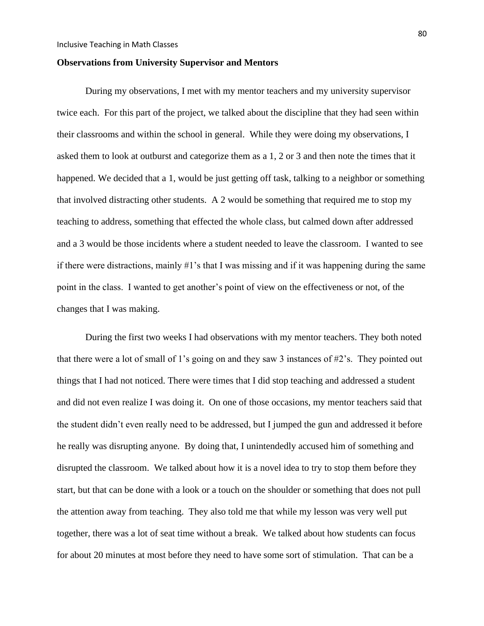### **Observations from University Supervisor and Mentors**

During my observations, I met with my mentor teachers and my university supervisor twice each. For this part of the project, we talked about the discipline that they had seen within their classrooms and within the school in general. While they were doing my observations, I asked them to look at outburst and categorize them as a 1, 2 or 3 and then note the times that it happened. We decided that a 1, would be just getting off task, talking to a neighbor or something that involved distracting other students. A 2 would be something that required me to stop my teaching to address, something that effected the whole class, but calmed down after addressed and a 3 would be those incidents where a student needed to leave the classroom. I wanted to see if there were distractions, mainly #1's that I was missing and if it was happening during the same point in the class. I wanted to get another's point of view on the effectiveness or not, of the changes that I was making.

During the first two weeks I had observations with my mentor teachers. They both noted that there were a lot of small of 1's going on and they saw 3 instances of #2's. They pointed out things that I had not noticed. There were times that I did stop teaching and addressed a student and did not even realize I was doing it. On one of those occasions, my mentor teachers said that the student didn't even really need to be addressed, but I jumped the gun and addressed it before he really was disrupting anyone. By doing that, I unintendedly accused him of something and disrupted the classroom. We talked about how it is a novel idea to try to stop them before they start, but that can be done with a look or a touch on the shoulder or something that does not pull the attention away from teaching. They also told me that while my lesson was very well put together, there was a lot of seat time without a break. We talked about how students can focus for about 20 minutes at most before they need to have some sort of stimulation. That can be a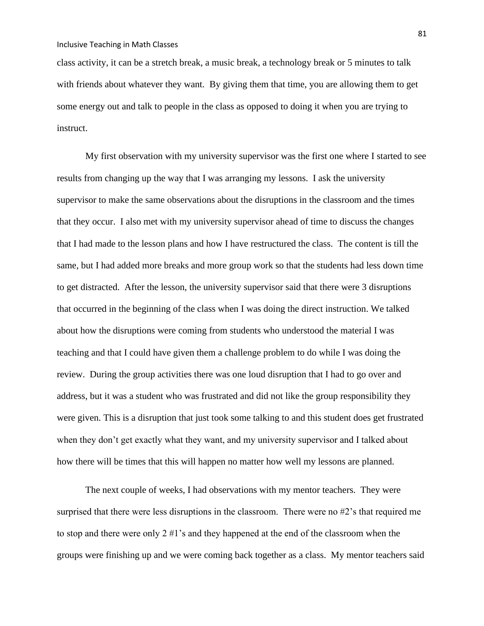class activity, it can be a stretch break, a music break, a technology break or 5 minutes to talk with friends about whatever they want. By giving them that time, you are allowing them to get some energy out and talk to people in the class as opposed to doing it when you are trying to instruct.

My first observation with my university supervisor was the first one where I started to see results from changing up the way that I was arranging my lessons. I ask the university supervisor to make the same observations about the disruptions in the classroom and the times that they occur. I also met with my university supervisor ahead of time to discuss the changes that I had made to the lesson plans and how I have restructured the class. The content is till the same, but I had added more breaks and more group work so that the students had less down time to get distracted. After the lesson, the university supervisor said that there were 3 disruptions that occurred in the beginning of the class when I was doing the direct instruction. We talked about how the disruptions were coming from students who understood the material I was teaching and that I could have given them a challenge problem to do while I was doing the review. During the group activities there was one loud disruption that I had to go over and address, but it was a student who was frustrated and did not like the group responsibility they were given. This is a disruption that just took some talking to and this student does get frustrated when they don't get exactly what they want, and my university supervisor and I talked about how there will be times that this will happen no matter how well my lessons are planned.

The next couple of weeks, I had observations with my mentor teachers. They were surprised that there were less disruptions in the classroom. There were no #2's that required me to stop and there were only  $2 \# 1$ 's and they happened at the end of the classroom when the groups were finishing up and we were coming back together as a class. My mentor teachers said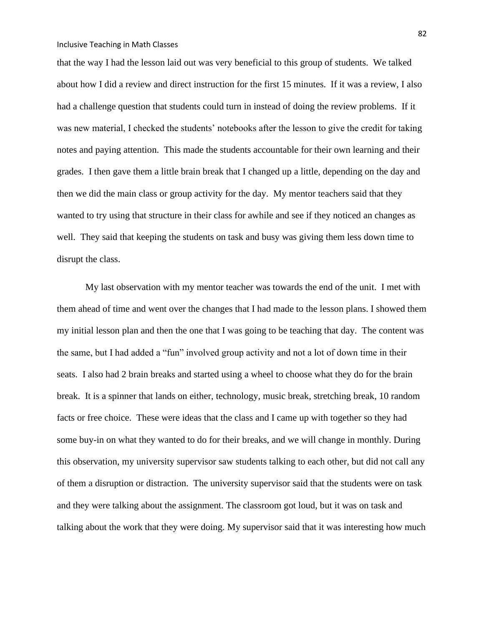that the way I had the lesson laid out was very beneficial to this group of students. We talked about how I did a review and direct instruction for the first 15 minutes. If it was a review, I also had a challenge question that students could turn in instead of doing the review problems. If it was new material, I checked the students' notebooks after the lesson to give the credit for taking notes and paying attention. This made the students accountable for their own learning and their grades. I then gave them a little brain break that I changed up a little, depending on the day and then we did the main class or group activity for the day. My mentor teachers said that they wanted to try using that structure in their class for awhile and see if they noticed an changes as well. They said that keeping the students on task and busy was giving them less down time to disrupt the class.

My last observation with my mentor teacher was towards the end of the unit. I met with them ahead of time and went over the changes that I had made to the lesson plans. I showed them my initial lesson plan and then the one that I was going to be teaching that day. The content was the same, but I had added a "fun" involved group activity and not a lot of down time in their seats. I also had 2 brain breaks and started using a wheel to choose what they do for the brain break. It is a spinner that lands on either, technology, music break, stretching break, 10 random facts or free choice. These were ideas that the class and I came up with together so they had some buy-in on what they wanted to do for their breaks, and we will change in monthly. During this observation, my university supervisor saw students talking to each other, but did not call any of them a disruption or distraction. The university supervisor said that the students were on task and they were talking about the assignment. The classroom got loud, but it was on task and talking about the work that they were doing. My supervisor said that it was interesting how much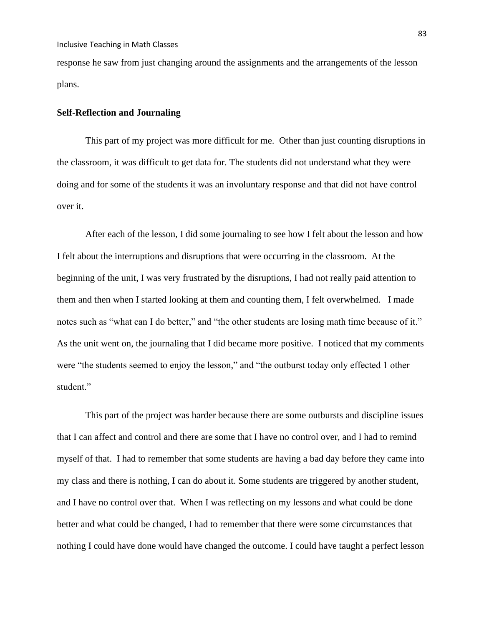response he saw from just changing around the assignments and the arrangements of the lesson plans.

# **Self-Reflection and Journaling**

This part of my project was more difficult for me. Other than just counting disruptions in the classroom, it was difficult to get data for. The students did not understand what they were doing and for some of the students it was an involuntary response and that did not have control over it.

After each of the lesson, I did some journaling to see how I felt about the lesson and how I felt about the interruptions and disruptions that were occurring in the classroom. At the beginning of the unit, I was very frustrated by the disruptions, I had not really paid attention to them and then when I started looking at them and counting them, I felt overwhelmed. I made notes such as "what can I do better," and "the other students are losing math time because of it." As the unit went on, the journaling that I did became more positive. I noticed that my comments were "the students seemed to enjoy the lesson," and "the outburst today only effected 1 other student."

This part of the project was harder because there are some outbursts and discipline issues that I can affect and control and there are some that I have no control over, and I had to remind myself of that. I had to remember that some students are having a bad day before they came into my class and there is nothing, I can do about it. Some students are triggered by another student, and I have no control over that. When I was reflecting on my lessons and what could be done better and what could be changed, I had to remember that there were some circumstances that nothing I could have done would have changed the outcome. I could have taught a perfect lesson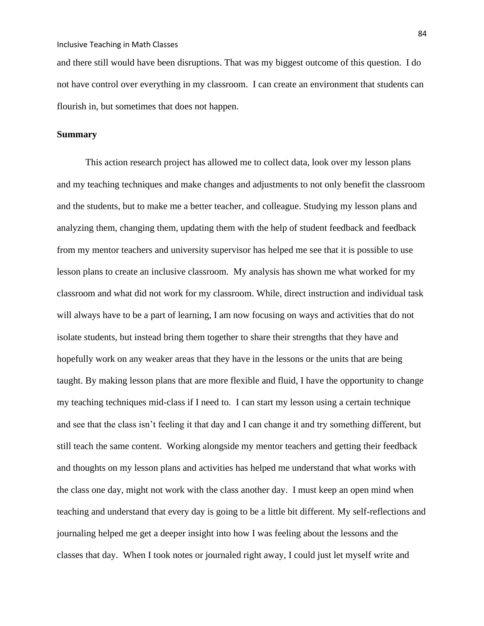and there still would have been disruptions. That was my biggest outcome of this question. I do not have control over everything in my classroom. I can create an environment that students can flourish in, but sometimes that does not happen.

# **Summary**

This action research project has allowed me to collect data, look over my lesson plans and my teaching techniques and make changes and adjustments to not only benefit the classroom and the students, but to make me a better teacher, and colleague. Studying my lesson plans and analyzing them, changing them, updating them with the help of student feedback and feedback from my mentor teachers and university supervisor has helped me see that it is possible to use lesson plans to create an inclusive classroom. My analysis has shown me what worked for my classroom and what did not work for my classroom. While, direct instruction and individual task will always have to be a part of learning, I am now focusing on ways and activities that do not isolate students, but instead bring them together to share their strengths that they have and hopefully work on any weaker areas that they have in the lessons or the units that are being taught. By making lesson plans that are more flexible and fluid, I have the opportunity to change my teaching techniques mid-class if I need to. I can start my lesson using a certain technique and see that the class isn't feeling it that day and I can change it and try something different, but still teach the same content. Working alongside my mentor teachers and getting their feedback and thoughts on my lesson plans and activities has helped me understand that what works with the class one day, might not work with the class another day. I must keep an open mind when teaching and understand that every day is going to be a little bit different. My self-reflections and journaling helped me get a deeper insight into how I was feeling about the lessons and the classes that day. When I took notes or journaled right away, I could just let myself write and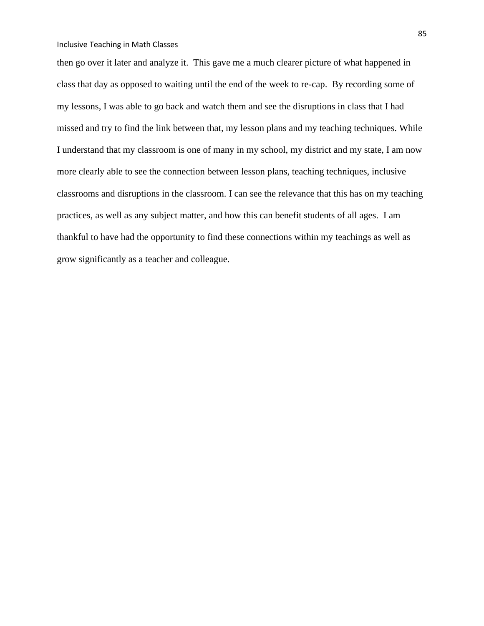then go over it later and analyze it. This gave me a much clearer picture of what happened in class that day as opposed to waiting until the end of the week to re-cap. By recording some of my lessons, I was able to go back and watch them and see the disruptions in class that I had missed and try to find the link between that, my lesson plans and my teaching techniques. While I understand that my classroom is one of many in my school, my district and my state, I am now more clearly able to see the connection between lesson plans, teaching techniques, inclusive classrooms and disruptions in the classroom. I can see the relevance that this has on my teaching practices, as well as any subject matter, and how this can benefit students of all ages. I am thankful to have had the opportunity to find these connections within my teachings as well as grow significantly as a teacher and colleague.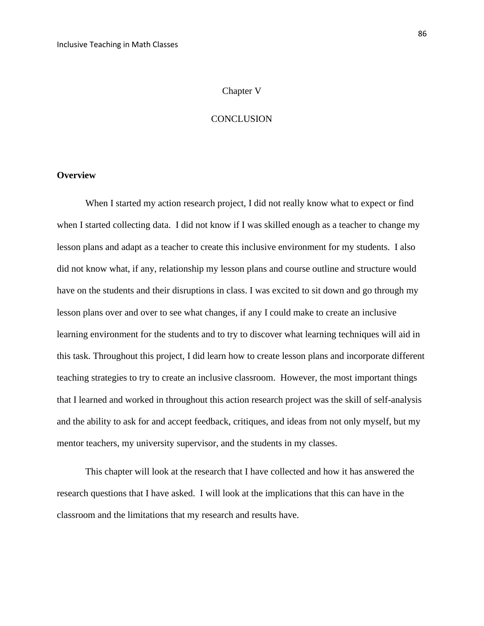### Chapter V

## **CONCLUSION**

# **Overview**

When I started my action research project, I did not really know what to expect or find when I started collecting data. I did not know if I was skilled enough as a teacher to change my lesson plans and adapt as a teacher to create this inclusive environment for my students. I also did not know what, if any, relationship my lesson plans and course outline and structure would have on the students and their disruptions in class. I was excited to sit down and go through my lesson plans over and over to see what changes, if any I could make to create an inclusive learning environment for the students and to try to discover what learning techniques will aid in this task. Throughout this project, I did learn how to create lesson plans and incorporate different teaching strategies to try to create an inclusive classroom. However, the most important things that I learned and worked in throughout this action research project was the skill of self-analysis and the ability to ask for and accept feedback, critiques, and ideas from not only myself, but my mentor teachers, my university supervisor, and the students in my classes.

This chapter will look at the research that I have collected and how it has answered the research questions that I have asked. I will look at the implications that this can have in the classroom and the limitations that my research and results have.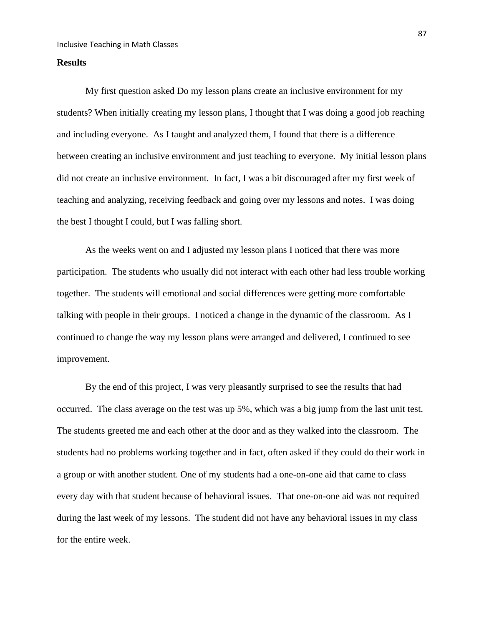# **Results**

My first question asked Do my lesson plans create an inclusive environment for my students? When initially creating my lesson plans, I thought that I was doing a good job reaching and including everyone. As I taught and analyzed them, I found that there is a difference between creating an inclusive environment and just teaching to everyone. My initial lesson plans did not create an inclusive environment. In fact, I was a bit discouraged after my first week of teaching and analyzing, receiving feedback and going over my lessons and notes. I was doing the best I thought I could, but I was falling short.

As the weeks went on and I adjusted my lesson plans I noticed that there was more participation. The students who usually did not interact with each other had less trouble working together. The students will emotional and social differences were getting more comfortable talking with people in their groups. I noticed a change in the dynamic of the classroom. As I continued to change the way my lesson plans were arranged and delivered, I continued to see improvement.

By the end of this project, I was very pleasantly surprised to see the results that had occurred. The class average on the test was up 5%, which was a big jump from the last unit test. The students greeted me and each other at the door and as they walked into the classroom. The students had no problems working together and in fact, often asked if they could do their work in a group or with another student. One of my students had a one-on-one aid that came to class every day with that student because of behavioral issues. That one-on-one aid was not required during the last week of my lessons. The student did not have any behavioral issues in my class for the entire week.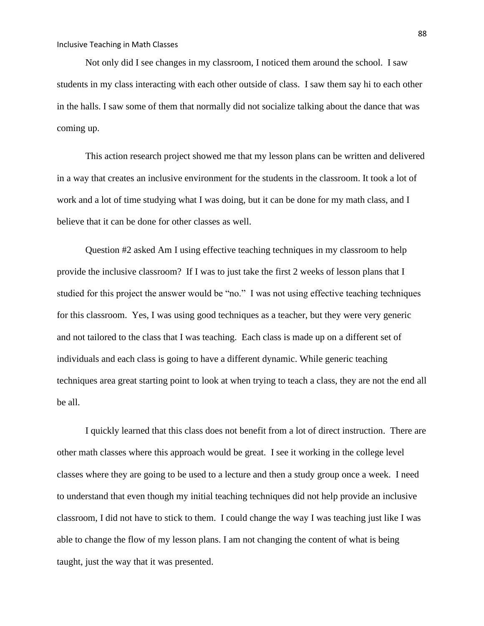Not only did I see changes in my classroom, I noticed them around the school. I saw students in my class interacting with each other outside of class. I saw them say hi to each other in the halls. I saw some of them that normally did not socialize talking about the dance that was coming up.

This action research project showed me that my lesson plans can be written and delivered in a way that creates an inclusive environment for the students in the classroom. It took a lot of work and a lot of time studying what I was doing, but it can be done for my math class, and I believe that it can be done for other classes as well.

Question #2 asked Am I using effective teaching techniques in my classroom to help provide the inclusive classroom? If I was to just take the first 2 weeks of lesson plans that I studied for this project the answer would be "no." I was not using effective teaching techniques for this classroom. Yes, I was using good techniques as a teacher, but they were very generic and not tailored to the class that I was teaching. Each class is made up on a different set of individuals and each class is going to have a different dynamic. While generic teaching techniques area great starting point to look at when trying to teach a class, they are not the end all be all.

I quickly learned that this class does not benefit from a lot of direct instruction. There are other math classes where this approach would be great. I see it working in the college level classes where they are going to be used to a lecture and then a study group once a week. I need to understand that even though my initial teaching techniques did not help provide an inclusive classroom, I did not have to stick to them. I could change the way I was teaching just like I was able to change the flow of my lesson plans. I am not changing the content of what is being taught, just the way that it was presented.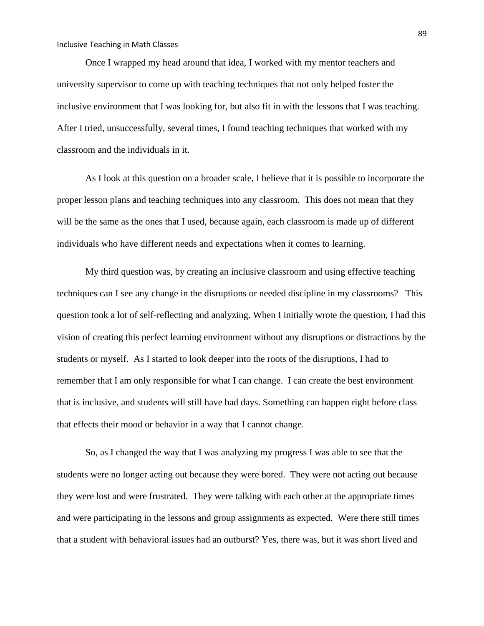Once I wrapped my head around that idea, I worked with my mentor teachers and university supervisor to come up with teaching techniques that not only helped foster the inclusive environment that I was looking for, but also fit in with the lessons that I was teaching. After I tried, unsuccessfully, several times, I found teaching techniques that worked with my classroom and the individuals in it.

As I look at this question on a broader scale, I believe that it is possible to incorporate the proper lesson plans and teaching techniques into any classroom. This does not mean that they will be the same as the ones that I used, because again, each classroom is made up of different individuals who have different needs and expectations when it comes to learning.

My third question was, by creating an inclusive classroom and using effective teaching techniques can I see any change in the disruptions or needed discipline in my classrooms? This question took a lot of self-reflecting and analyzing. When I initially wrote the question, I had this vision of creating this perfect learning environment without any disruptions or distractions by the students or myself. As I started to look deeper into the roots of the disruptions, I had to remember that I am only responsible for what I can change. I can create the best environment that is inclusive, and students will still have bad days. Something can happen right before class that effects their mood or behavior in a way that I cannot change.

So, as I changed the way that I was analyzing my progress I was able to see that the students were no longer acting out because they were bored. They were not acting out because they were lost and were frustrated. They were talking with each other at the appropriate times and were participating in the lessons and group assignments as expected. Were there still times that a student with behavioral issues had an outburst? Yes, there was, but it was short lived and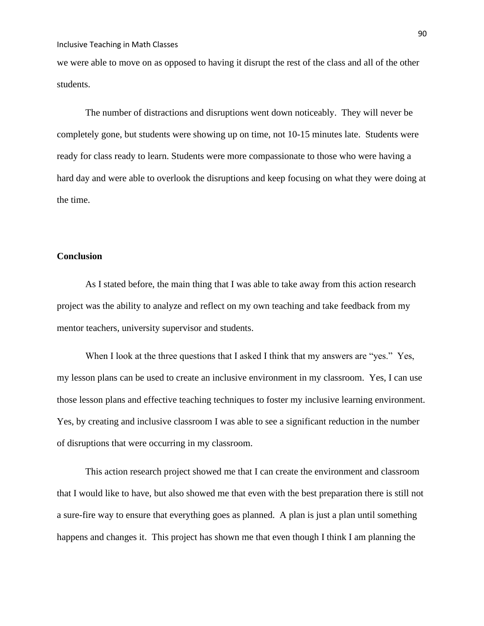we were able to move on as opposed to having it disrupt the rest of the class and all of the other students.

The number of distractions and disruptions went down noticeably. They will never be completely gone, but students were showing up on time, not 10-15 minutes late. Students were ready for class ready to learn. Students were more compassionate to those who were having a hard day and were able to overlook the disruptions and keep focusing on what they were doing at the time.

# **Conclusion**

As I stated before, the main thing that I was able to take away from this action research project was the ability to analyze and reflect on my own teaching and take feedback from my mentor teachers, university supervisor and students.

When I look at the three questions that I asked I think that my answers are "yes." Yes, my lesson plans can be used to create an inclusive environment in my classroom. Yes, I can use those lesson plans and effective teaching techniques to foster my inclusive learning environment. Yes, by creating and inclusive classroom I was able to see a significant reduction in the number of disruptions that were occurring in my classroom.

This action research project showed me that I can create the environment and classroom that I would like to have, but also showed me that even with the best preparation there is still not a sure-fire way to ensure that everything goes as planned. A plan is just a plan until something happens and changes it. This project has shown me that even though I think I am planning the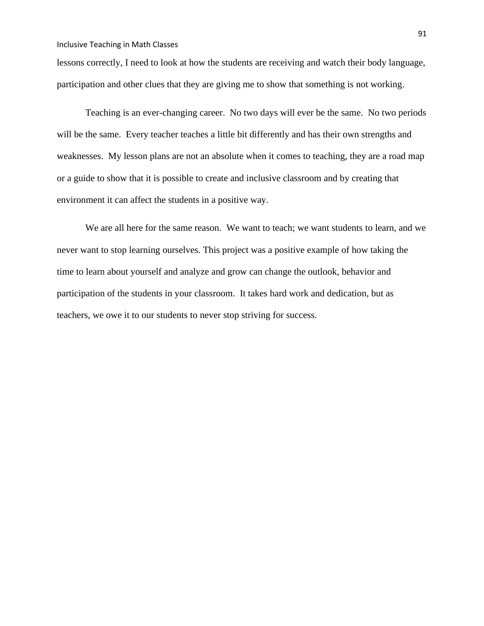lessons correctly, I need to look at how the students are receiving and watch their body language, participation and other clues that they are giving me to show that something is not working.

Teaching is an ever-changing career. No two days will ever be the same. No two periods will be the same. Every teacher teaches a little bit differently and has their own strengths and weaknesses. My lesson plans are not an absolute when it comes to teaching, they are a road map or a guide to show that it is possible to create and inclusive classroom and by creating that environment it can affect the students in a positive way.

We are all here for the same reason. We want to teach; we want students to learn, and we never want to stop learning ourselves. This project was a positive example of how taking the time to learn about yourself and analyze and grow can change the outlook, behavior and participation of the students in your classroom. It takes hard work and dedication, but as teachers, we owe it to our students to never stop striving for success.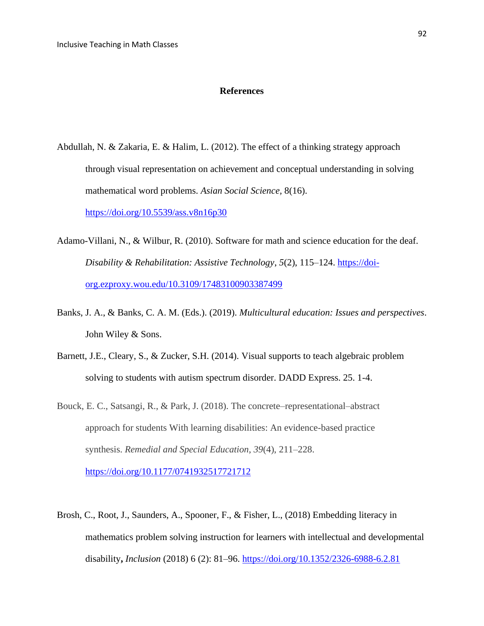#### **References**

Abdullah, N. & Zakaria, E. & Halim, L. (2012). The effect of a thinking strategy approach through visual representation on achievement and conceptual understanding in solving mathematical word problems. *Asian Social Science,* 8(16).

[https://doi.org/10.5539/ass.v8n16p30](about:blank)

- Adamo-Villani, N., & Wilbur, R. (2010). Software for math and science education for the deaf. *Disability & Rehabilitation: Assistive Technology*, *5*(2), 115–124. [https://doi](https://doi-org.ezproxy.wou.edu/10.3109/17483100903387499)[org.ezproxy.wou.edu/10.3109/17483100903387499](https://doi-org.ezproxy.wou.edu/10.3109/17483100903387499)
- Banks, J. A., & Banks, C. A. M. (Eds.). (2019). *Multicultural education: Issues and perspectives*. John Wiley & Sons.
- Barnett, J.E., Cleary, S., & Zucker, S.H. (2014). Visual supports to teach algebraic problem solving to students with autism spectrum disorder. DADD Express. 25. 1-4.
- Bouck, E. C., Satsangi, R., & Park, J. (2018). The concrete–representational–abstract approach for students With learning disabilities: An evidence-based practice synthesis. *Remedial and Special Education*, *39*(4), 211–228. [https://doi.org/10.1177/0741932517721712](about:blank)
- Brosh, C., Root, J., Saunders, A., Spooner, F., & Fisher, L., (2018) Embedding literacy in mathematics problem solving instruction for learners with intellectual and developmental disability**,** *Inclusion* (2018) 6 (2): 81–96.<https://doi.org/10.1352/2326-6988-6.2.81>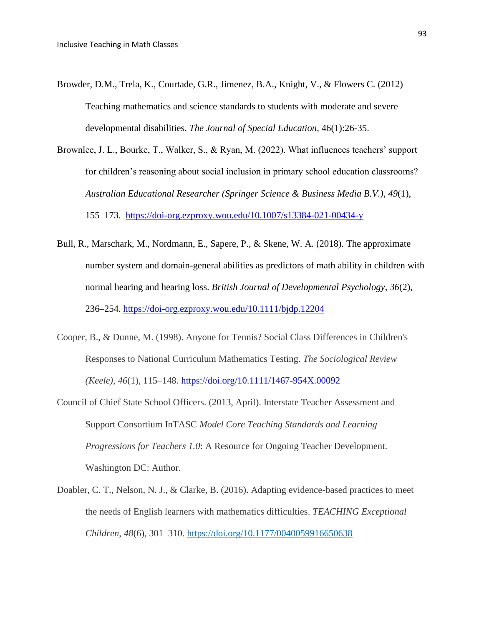- Browder, D.M., Trela, K., Courtade, G.R., Jimenez, B.A., Knight, V., & Flowers C. (2012) Teaching mathematics and science standards to students with moderate and severe developmental disabilities. *The Journal of Special Education*, 46(1):26-35.
- Brownlee, J. L., Bourke, T., Walker, S., & Ryan, M. (2022). What influences teachers' support for children's reasoning about social inclusion in primary school education classrooms? *Australian Educational Researcher (Springer Science & Business Media B.V.)*, *49*(1), 155–173. <https://doi-org.ezproxy.wou.edu/10.1007/s13384-021-00434-y>
- Bull, R., Marschark, M., Nordmann, E., Sapere, P., & Skene, W. A. (2018). The approximate number system and domain-general abilities as predictors of math ability in children with normal hearing and hearing loss. *British Journal of Developmental Psychology*, *36*(2), 236–254.<https://doi-org.ezproxy.wou.edu/10.1111/bjdp.12204>
- Cooper, B., & Dunne, M. (1998). Anyone for Tennis? Social Class Differences in Children's Responses to National Curriculum Mathematics Testing. *The Sociological Review (Keele)*, *46*(1), 115–148. [https://doi.org/10.1111/1467-954X.00092](about:blank)
- Council of Chief State School Officers. (2013, April). Interstate Teacher Assessment and Support Consortium InTASC *Model Core Teaching Standards and Learning Progressions for Teachers 1.0*: A Resource for Ongoing Teacher Development. Washington DC: Author.
- Doabler, C. T., Nelson, N. J., & Clarke, B. (2016). Adapting evidence-based practices to meet the needs of English learners with mathematics difficulties. *TEACHING Exceptional Children*, *48*(6), 301–310. [https://doi.org/10.1177/0040059916650638](about:blank)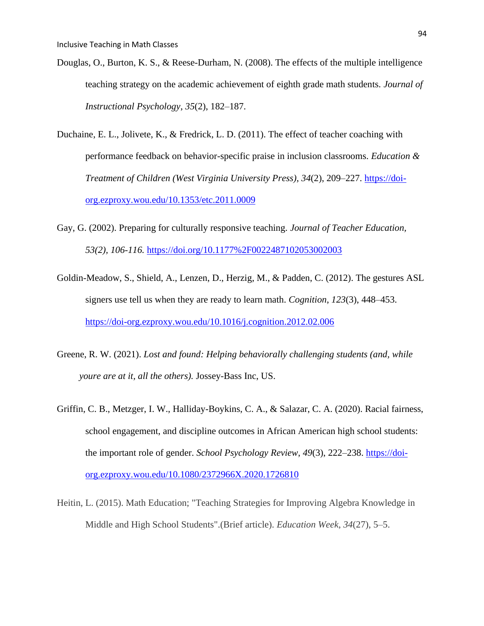- Douglas, O., Burton, K. S., & Reese-Durham, N. (2008). The effects of the multiple intelligence teaching strategy on the academic achievement of eighth grade math students. *Journal of Instructional Psychology*, *35*(2), 182–187.
- Duchaine, E. L., Jolivete, K., & Fredrick, L. D. (2011). The effect of teacher coaching with performance feedback on behavior-specific praise in inclusion classrooms. *Education & Treatment of Children (West Virginia University Press)*, *34*(2), 209–227. [https://doi](https://doi-org.ezproxy.wou.edu/10.1353/etc.2011.0009)[org.ezproxy.wou.edu/10.1353/etc.2011.0009](https://doi-org.ezproxy.wou.edu/10.1353/etc.2011.0009)
- Gay, G. (2002). Preparing for culturally responsive teaching. *Journal of Teacher Education, 53(2), 106-116.* <https://doi.org/10.1177%2F0022487102053002003>
- Goldin-Meadow, S., Shield, A., Lenzen, D., Herzig, M., & Padden, C. (2012). The gestures ASL signers use tell us when they are ready to learn math. *Cognition*, *123*(3), 448–453. <https://doi-org.ezproxy.wou.edu/10.1016/j.cognition.2012.02.006>
- Greene, R. W. (2021). *Lost and found: Helping behaviorally challenging students (and, while youre are at it, all the others).* Jossey-Bass Inc, US.
- Griffin, C. B., Metzger, I. W., Halliday-Boykins, C. A., & Salazar, C. A. (2020). Racial fairness, school engagement, and discipline outcomes in African American high school students: the important role of gender. *School Psychology Review*, *49*(3), 222–238. [https://doi](https://doi-org.ezproxy.wou.edu/10.1080/2372966X.2020.1726810)[org.ezproxy.wou.edu/10.1080/2372966X.2020.1726810](https://doi-org.ezproxy.wou.edu/10.1080/2372966X.2020.1726810)
- Heitin, L. (2015). Math Education; "Teaching Strategies for Improving Algebra Knowledge in Middle and High School Students".(Brief article). *Education Week*, *34*(27), 5–5.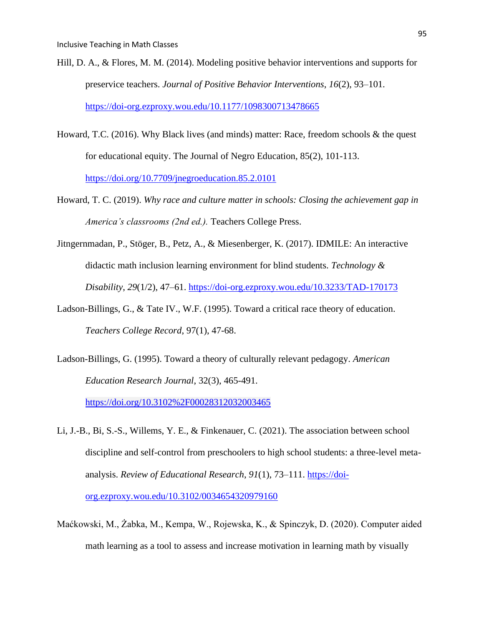- Hill, D. A., & Flores, M. M. (2014). Modeling positive behavior interventions and supports for preservice teachers. *Journal of Positive Behavior Interventions*, *16*(2), 93–101. <https://doi-org.ezproxy.wou.edu/10.1177/1098300713478665>
- Howard, T.C. (2016). Why Black lives (and minds) matter: Race, freedom schools & the quest for educational equity. The Journal of Negro Education, 85(2), 101-113. <https://doi.org/10.7709/jnegroeducation.85.2.0101>
- Howard, T. C. (2019). *Why race and culture matter in schools: Closing the achievement gap in America's classrooms (2nd ed.).* Teachers College Press.
- Jitngernmadan, P., Stöger, B., Petz, A., & Miesenberger, K. (2017). IDMILE: An interactive didactic math inclusion learning environment for blind students. *Technology & Disability*, *29*(1/2), 47–61.<https://doi-org.ezproxy.wou.edu/10.3233/TAD-170173>
- Ladson-Billings, G., & Tate IV., W.F. (1995). Toward a critical race theory of education. *Teachers College Record*, 97(1), 47-68.
- Ladson-Billings, G. (1995). Toward a theory of culturally relevant pedagogy. *American Education Research Journal*, 32(3), 465-491.

[https://doi.org/10.3102%2F00028312032003465](about:blank)

- Li, J.-B., Bi, S.-S., Willems, Y. E., & Finkenauer, C. (2021). The association between school discipline and self-control from preschoolers to high school students: a three-level metaanalysis. *Review of Educational Research*, *91*(1), 73–111. [https://doi](https://doi-org.ezproxy.wou.edu/10.3102/0034654320979160)[org.ezproxy.wou.edu/10.3102/0034654320979160](https://doi-org.ezproxy.wou.edu/10.3102/0034654320979160)
- Maćkowski, M., Żabka, M., Kempa, W., Rojewska, K., & Spinczyk, D. (2020). Computer aided math learning as a tool to assess and increase motivation in learning math by visually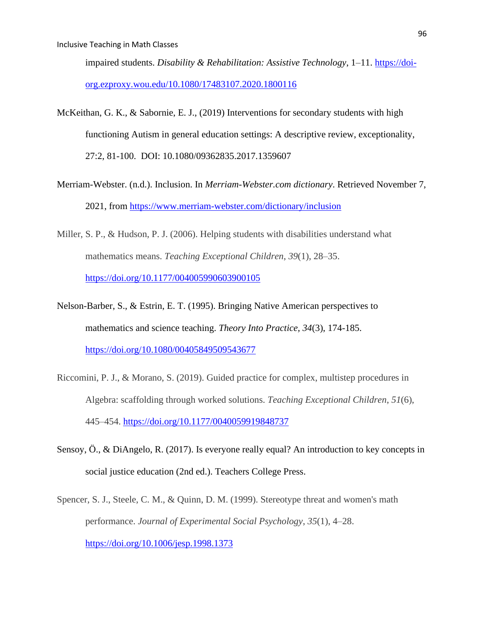impaired students. *Disability & Rehabilitation: Assistive Technology*, 1–11. [https://doi](https://doi-org.ezproxy.wou.edu/10.1080/17483107.2020.1800116)[org.ezproxy.wou.edu/10.1080/17483107.2020.1800116](https://doi-org.ezproxy.wou.edu/10.1080/17483107.2020.1800116)

- McKeithan, G. K., & Sabornie, E. J., (2019) Interventions for secondary students with high functioning Autism in general education settings: A descriptive review, exceptionality, 27:2, 81-100. DOI: 10.1080/09362835.2017.1359607
- Merriam-Webster. (n.d.). Inclusion. In *Merriam-Webster.com dictionary*. Retrieved November 7, 2021, from<https://www.merriam-webster.com/dictionary/inclusion>
- Miller, S. P., & Hudson, P. J. (2006). Helping students with disabilities understand what mathematics means. *Teaching Exceptional Children*, *39*(1), 28–35. [https://doi.org/10.1177/004005990603900105](about:blank)
- Nelson-Barber, S., & Estrin, E. T. (1995). Bringing Native American perspectives to mathematics and science teaching. *Theory Into Practice, 34*(3), 174-185. <https://doi.org/10.1080/00405849509543677>
- Riccomini, P. J., & Morano, S. (2019). Guided practice for complex, multistep procedures in Algebra: scaffolding through worked solutions. *Teaching Exceptional Children*, *51*(6), 445–454. [https://doi.org/10.1177/0040059919848737](about:blank)
- Sensoy, Ö., & DiAngelo, R. (2017). Is everyone really equal? An introduction to key concepts in social justice education (2nd ed.). Teachers College Press.
- Spencer, S. J., Steele, C. M., & Quinn, D. M. (1999). Stereotype threat and women's math performance. *Journal of Experimental Social Psychology*, *35*(1), 4–28. [https://doi.org/10.1006/jesp.1998.1373](about:blank)